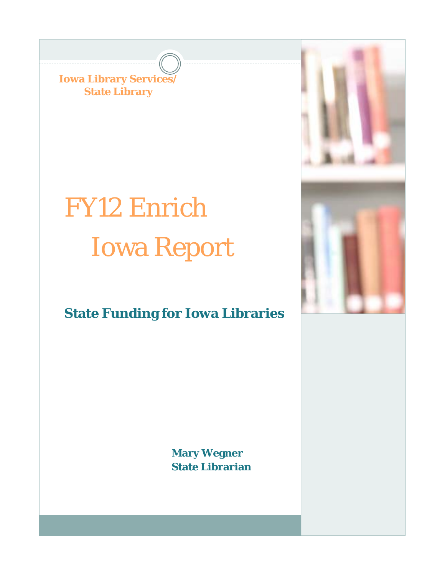**Iowa Library Services/ State Library**

# FY12 Enrich Iowa Report

## **State Funding for Iowa Libraries**

**Mary Wegner State Librarian** 

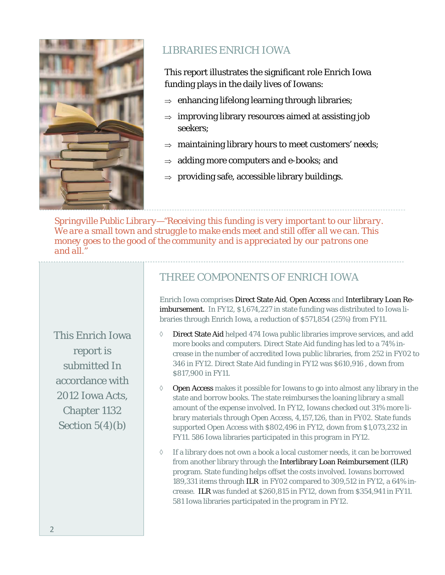

## LIBRARIES ENRICH IOWA

This report illustrates the significant role Enrich Iowa funding plays in the daily lives of Iowans:

- $\Rightarrow$  enhancing lifelong learning through libraries;
- $\Rightarrow$  improving library resources aimed at assisting job seekers;
- $\Rightarrow$  maintaining library hours to meet customers' needs;
- $\Rightarrow$  adding more computers and e-books; and
- $\Rightarrow$  providing safe, accessible library buildings.

*Springville Public Library—"Receiving this funding is very important to our library. We are a small town and struggle to make ends meet and still offer all we can. This money goes to the good of the community and is appreciated by our patrons one and all."* 

This Enrich Iowa report is submitted In accordance with 2012 Iowa Acts, Chapter 1132 Section 5(4)(b)

### THREE COMPONENTS OF ENRICH IOWA

Enrich Iowa comprises Direct State Aid, Open Access and Interlibrary Loan Reimbursement. In FY12, \$1,674,227 in state funding was distributed to Iowa libraries through Enrich Iowa, a reduction of \$571,854 (25%) from FY11.

- $\lozenge$  Direct State Aid helped 474 Iowa public libraries improve services, and add more books and computers. Direct State Aid funding has led to a 74% increase in the number of accredited Iowa public libraries, from 252 in FY02 to 346 in FY12. Direct State Aid funding in FY12 was \$610,916 , down from \$817,900 in FY11.
- $\Diamond$  Open Access makes it possible for Iowans to go into almost any library in the state and borrow books. The state reimburses the loaning library a small amount of the expense involved. In FY12, Iowans checked out 31% more library materials through Open Access, 4,157,126, than in FY02. State funds supported Open Access with \$802,496 in FY12, down from \$1,073,232 in FY11. 586 Iowa libraries participated in this program in FY12.
- $\Diamond$  If a library does not own a book a local customer needs, it can be borrowed from another library through the Interlibrary Loan Reimbursement (ILR) program. State funding helps offset the costs involved. Iowans borrowed 189,331 items through ILR in FY02 compared to 309,512 in FY12, a 64% increase. ILR was funded at \$260,815 in FY12, down from \$354,941 in FY11. 581 Iowa libraries participated in the program in FY12.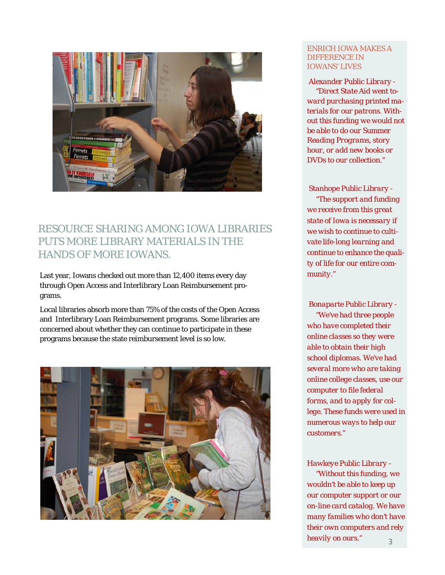

## RESOURCE SHARING AMONG IOWA LIBRARIES PUTS MORE LIBRARY MATERIALS IN THE HANDS OF MORE IOWANS.

Last year, Iowans checked out more than 12,400 items every day through Open Access and Interlibrary Loan Reimbursement programs.

Local libraries absorb more than 75% of the costs of the Open Access and Interlibrary Loan Reimbursement programs. Some libraries are concerned about whether they can continue to participate in these programs because the state reimbursement level is so low.



#### ENRICH IOWA MAKES A DIFFERENCE IN IOWANS' LIVES

*Alexander Public Library - "Direct State Aid went toward purchasing printed materials for our patrons. Without this funding we would not be able to do our Summer Reading Programs, story hour, or add new books or DVDs to our collection."* 

 *Stanhope Public Library - "The support and funding we receive from this great state of Iowa is necessary if we wish to continue to cultivate life-long learning and continue to enhance the quality of life for our entire community."* 

 *Bonaparte Public Library - "We've had three people who have completed their online classes so they were able to obtain their high school diplomas. We've had several more who are taking online college classes, use our computer to file federal forms, and to apply for college. These funds were used in numerous ways to help our customers."* 

 *their own computers and rely Hawkeye Public Library - "Without this funding, we wouldn't be able to keep up our computer support or our on-line card catalog. We have many families who don't have heavily on ours."*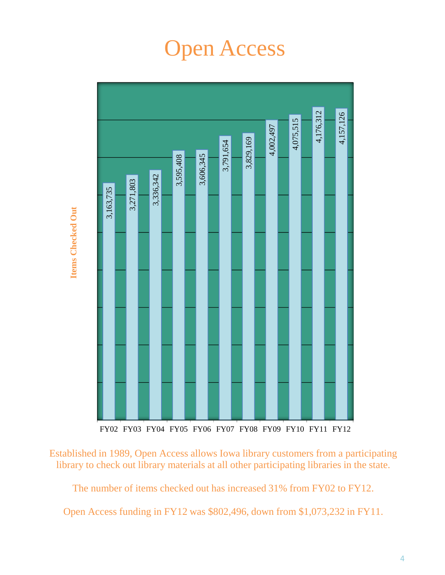## Open Access



Established in 1989, Open Access allows Iowa library customers from a participating library to check out library materials at all other participating libraries in the state.

The number of items checked out has increased 31% from FY02 to FY12.

Open Access funding in FY12 was \$802,496, down from \$1,073,232 in FY11.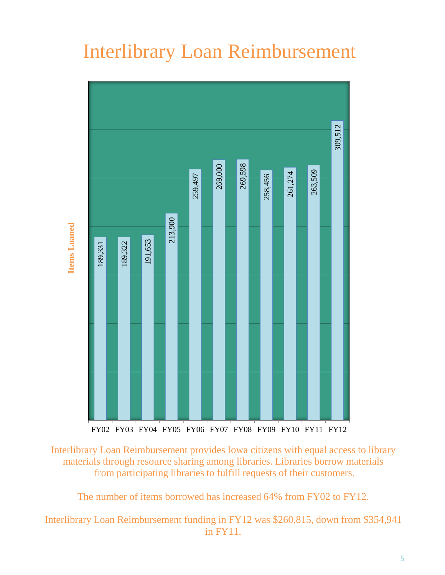## Interlibrary Loan Reimbursement



Interlibrary Loan Reimbursement provides Iowa citizens with equal access to library materials through resource sharing among libraries. Libraries borrow materials from participating libraries to fulfill requests of their customers.

The number of items borrowed has increased 64% from FY02 to FY12.

Interlibrary Loan Reimbursement funding in FY12 was \$260,815, down from \$354,941 in FY11.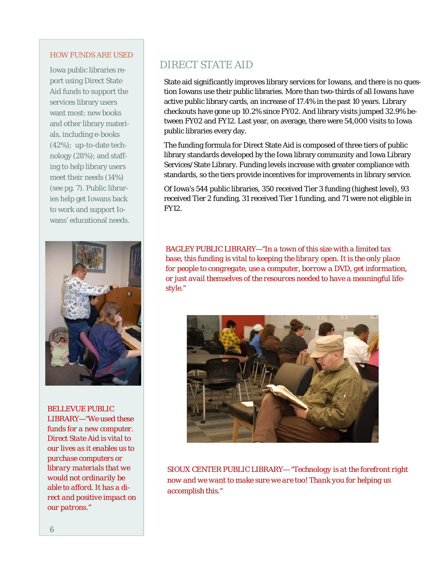#### HOW FUNDS ARE USED

Iowa public libraries report using Direct State Aid funds to support the services library users want most: new books and other library materials, including e-books (42%); up-to-date technology (28%); and staffing to help library users meet their needs (14%) (see pg. 7). Public libraries help get Iowans back to work and support Iowans' educational needs.



*BELLEVUE PUBLIC LIBRARY—"We used these funds for a new computer. Direct State Aid is vital to our lives as it enables us to purchase computers or library materials that we would not ordinarily be able to afford. It has a direct and positive impact on our patrons."* 

### DIRECT STATE AID

State aid significantly improves library services for Iowans, and there is no question Iowans use their public libraries. More than two-thirds of all Iowans have active public library cards, an increase of 17.4% in the past 10 years. Library checkouts have gone up 10.2% since FY02. And library visits jumped 32.9% between FY02 and FY12. Last year, on average, there were 54,000 visits to Iowa public libraries every day.

The funding formula for Direct State Aid is composed of three tiers of public library standards developed by the Iowa library community and Iowa Library Services/State Library. Funding levels increase with greater compliance with standards, so the tiers provide incentives for improvements in library service.

Of Iowa's 544 public libraries, 350 received Tier 3 funding (highest level), 93 received Tier 2 funding, 31 received Tier 1 funding, and 71 were not eligible in FY12.

*BAGLEY PUBLIC LIBRARY—"In a town of this size with a limited tax base, this funding is vital to keeping the library open. It is the only place for people to congregate, use a computer, borrow a DVD, get information, or just avail themselves of the resources needed to have a meaningful lifestyle."* 



*SIOUX CENTER PUBLIC LIBRARY— "Technology is at the forefront right now and we want to make sure we are too! Thank you for helping us accomplish this."*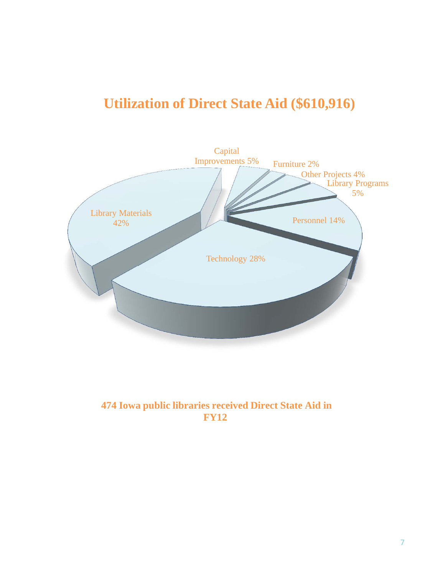## **Utilization of Direct State Aid (\$610,916)**



## **474 Iowa public libraries received Direct State Aid in FY12**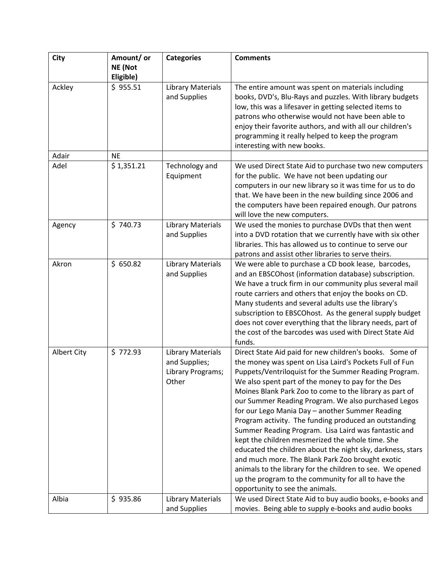| <b>City</b> | Amount/ or | <b>Categories</b>                                                       | <b>Comments</b>                                                                                                                                                                                                                                                                                                                                                                                                                                                                                                                                                                                                                                                                                                                                                                                                                                      |
|-------------|------------|-------------------------------------------------------------------------|------------------------------------------------------------------------------------------------------------------------------------------------------------------------------------------------------------------------------------------------------------------------------------------------------------------------------------------------------------------------------------------------------------------------------------------------------------------------------------------------------------------------------------------------------------------------------------------------------------------------------------------------------------------------------------------------------------------------------------------------------------------------------------------------------------------------------------------------------|
|             | NE (Not    |                                                                         |                                                                                                                                                                                                                                                                                                                                                                                                                                                                                                                                                                                                                                                                                                                                                                                                                                                      |
|             | Eligible)  |                                                                         |                                                                                                                                                                                                                                                                                                                                                                                                                                                                                                                                                                                                                                                                                                                                                                                                                                                      |
| Ackley      | \$955.51   | <b>Library Materials</b><br>and Supplies                                | The entire amount was spent on materials including<br>books, DVD's, Blu-Rays and puzzles. With library budgets<br>low, this was a lifesaver in getting selected items to<br>patrons who otherwise would not have been able to<br>enjoy their favorite authors, and with all our children's<br>programming it really helped to keep the program<br>interesting with new books.                                                                                                                                                                                                                                                                                                                                                                                                                                                                        |
| Adair       | <b>NE</b>  |                                                                         |                                                                                                                                                                                                                                                                                                                                                                                                                                                                                                                                                                                                                                                                                                                                                                                                                                                      |
| Adel        | \$1,351.21 | Technology and<br>Equipment                                             | We used Direct State Aid to purchase two new computers<br>for the public. We have not been updating our<br>computers in our new library so it was time for us to do<br>that. We have been in the new building since 2006 and<br>the computers have been repaired enough. Our patrons<br>will love the new computers.                                                                                                                                                                                                                                                                                                                                                                                                                                                                                                                                 |
| Agency      | \$740.73   | <b>Library Materials</b><br>and Supplies                                | We used the monies to purchase DVDs that then went<br>into a DVD rotation that we currently have with six other<br>libraries. This has allowed us to continue to serve our<br>patrons and assist other libraries to serve theirs.                                                                                                                                                                                                                                                                                                                                                                                                                                                                                                                                                                                                                    |
| Akron       | \$650.82   | <b>Library Materials</b><br>and Supplies                                | We were able to purchase a CD book lease, barcodes,<br>and an EBSCOhost (information database) subscription.<br>We have a truck firm in our community plus several mail<br>route carriers and others that enjoy the books on CD.<br>Many students and several adults use the library's<br>subscription to EBSCOhost. As the general supply budget<br>does not cover everything that the library needs, part of<br>the cost of the barcodes was used with Direct State Aid<br>funds.                                                                                                                                                                                                                                                                                                                                                                  |
| Albert City | \$772.93   | <b>Library Materials</b><br>and Supplies;<br>Library Programs;<br>Other | Direct State Aid paid for new children's books. Some of<br>the money was spent on Lisa Laird's Pockets Full of Fun<br>Puppets/Ventriloquist for the Summer Reading Program.<br>We also spent part of the money to pay for the Des<br>Moines Blank Park Zoo to come to the library as part of<br>our Summer Reading Program. We also purchased Legos<br>for our Lego Mania Day - another Summer Reading<br>Program activity. The funding produced an outstanding<br>Summer Reading Program. Lisa Laird was fantastic and<br>kept the children mesmerized the whole time. She<br>educated the children about the night sky, darkness, stars<br>and much more. The Blank Park Zoo brought exotic<br>animals to the library for the children to see. We opened<br>up the program to the community for all to have the<br>opportunity to see the animals. |
| Albia       | \$935.86   | <b>Library Materials</b><br>and Supplies                                | We used Direct State Aid to buy audio books, e-books and<br>movies. Being able to supply e-books and audio books                                                                                                                                                                                                                                                                                                                                                                                                                                                                                                                                                                                                                                                                                                                                     |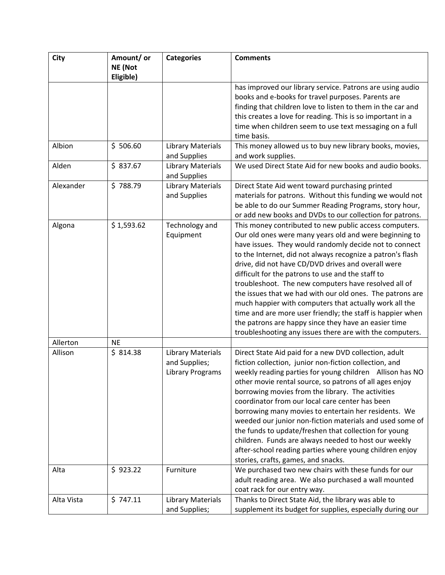| City       | Amount/ or           | <b>Categories</b>        | <b>Comments</b>                                                                                                       |
|------------|----------------------|--------------------------|-----------------------------------------------------------------------------------------------------------------------|
|            | NE (Not<br>Eligible) |                          |                                                                                                                       |
|            |                      |                          | has improved our library service. Patrons are using audio                                                             |
|            |                      |                          | books and e-books for travel purposes. Parents are                                                                    |
|            |                      |                          | finding that children love to listen to them in the car and                                                           |
|            |                      |                          | this creates a love for reading. This is so important in a<br>time when children seem to use text messaging on a full |
|            |                      |                          | time basis.                                                                                                           |
| Albion     | \$506.60             | <b>Library Materials</b> | This money allowed us to buy new library books, movies,                                                               |
|            |                      | and Supplies             | and work supplies.                                                                                                    |
| Alden      | \$837.67             | <b>Library Materials</b> | We used Direct State Aid for new books and audio books.                                                               |
|            |                      | and Supplies             |                                                                                                                       |
| Alexander  | \$788.79             | <b>Library Materials</b> | Direct State Aid went toward purchasing printed                                                                       |
|            |                      | and Supplies             | materials for patrons. Without this funding we would not                                                              |
|            |                      |                          | be able to do our Summer Reading Programs, story hour,                                                                |
|            |                      |                          | or add new books and DVDs to our collection for patrons.                                                              |
| Algona     | \$1,593.62           | Technology and           | This money contributed to new public access computers.                                                                |
|            |                      | Equipment                | Our old ones were many years old and were beginning to                                                                |
|            |                      |                          | have issues. They would randomly decide not to connect                                                                |
|            |                      |                          | to the Internet, did not always recognize a patron's flash                                                            |
|            |                      |                          | drive, did not have CD/DVD drives and overall were<br>difficult for the patrons to use and the staff to               |
|            |                      |                          | troubleshoot. The new computers have resolved all of                                                                  |
|            |                      |                          | the issues that we had with our old ones. The patrons are                                                             |
|            |                      |                          | much happier with computers that actually work all the                                                                |
|            |                      |                          | time and are more user friendly; the staff is happier when                                                            |
|            |                      |                          | the patrons are happy since they have an easier time                                                                  |
|            |                      |                          | troubleshooting any issues there are with the computers.                                                              |
| Allerton   | <b>NE</b>            |                          |                                                                                                                       |
| Allison    | \$814.38             | <b>Library Materials</b> | Direct State Aid paid for a new DVD collection, adult                                                                 |
|            |                      | and Supplies;            | fiction collection, junior non-fiction collection, and                                                                |
|            |                      | <b>Library Programs</b>  | weekly reading parties for young children Allison has NO                                                              |
|            |                      |                          | other movie rental source, so patrons of all ages enjoy                                                               |
|            |                      |                          | borrowing movies from the library. The activities<br>coordinator from our local care center has been                  |
|            |                      |                          | borrowing many movies to entertain her residents. We                                                                  |
|            |                      |                          | weeded our junior non-fiction materials and used some of                                                              |
|            |                      |                          | the funds to update/freshen that collection for young                                                                 |
|            |                      |                          | children. Funds are always needed to host our weekly                                                                  |
|            |                      |                          | after-school reading parties where young children enjoy                                                               |
|            |                      |                          | stories, crafts, games, and snacks.                                                                                   |
| Alta       | \$923.22             | Furniture                | We purchased two new chairs with these funds for our                                                                  |
|            |                      |                          | adult reading area. We also purchased a wall mounted                                                                  |
|            |                      |                          | coat rack for our entry way.                                                                                          |
| Alta Vista | \$747.11             | <b>Library Materials</b> | Thanks to Direct State Aid, the library was able to                                                                   |
|            |                      | and Supplies;            | supplement its budget for supplies, especially during our                                                             |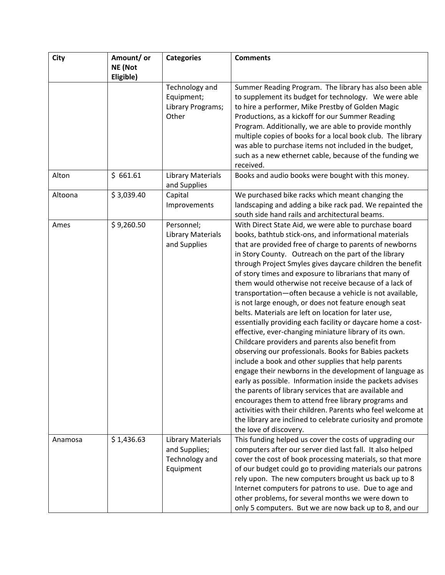| City    | Amount/ or | <b>Categories</b>                         | <b>Comments</b>                                                                                                      |
|---------|------------|-------------------------------------------|----------------------------------------------------------------------------------------------------------------------|
|         | NE (Not    |                                           |                                                                                                                      |
|         | Eligible)  |                                           |                                                                                                                      |
|         |            | Technology and                            | Summer Reading Program. The library has also been able                                                               |
|         |            | Equipment;<br>Library Programs;           | to supplement its budget for technology. We were able<br>to hire a performer, Mike Prestby of Golden Magic           |
|         |            | Other                                     | Productions, as a kickoff for our Summer Reading                                                                     |
|         |            |                                           | Program. Additionally, we are able to provide monthly                                                                |
|         |            |                                           | multiple copies of books for a local book club. The library                                                          |
|         |            |                                           | was able to purchase items not included in the budget,                                                               |
|         |            |                                           | such as a new ethernet cable, because of the funding we                                                              |
|         |            |                                           | received.                                                                                                            |
| Alton   | \$661.61   | <b>Library Materials</b><br>and Supplies  | Books and audio books were bought with this money.                                                                   |
| Altoona | \$3,039.40 | Capital                                   | We purchased bike racks which meant changing the                                                                     |
|         |            | Improvements                              | landscaping and adding a bike rack pad. We repainted the                                                             |
|         |            |                                           | south side hand rails and architectural beams.                                                                       |
| Ames    | \$9,260.50 | Personnel;                                | With Direct State Aid, we were able to purchase board                                                                |
|         |            | <b>Library Materials</b><br>and Supplies  | books, bathtub stick-ons, and informational materials<br>that are provided free of charge to parents of newborns     |
|         |            |                                           | in Story County. Outreach on the part of the library                                                                 |
|         |            |                                           | through Project Smyles gives daycare children the benefit                                                            |
|         |            |                                           | of story times and exposure to librarians that many of                                                               |
|         |            |                                           | them would otherwise not receive because of a lack of                                                                |
|         |            |                                           | transportation-often because a vehicle is not available,                                                             |
|         |            |                                           | is not large enough, or does not feature enough seat                                                                 |
|         |            |                                           | belts. Materials are left on location for later use,                                                                 |
|         |            |                                           | essentially providing each facility or daycare home a cost-                                                          |
|         |            |                                           | effective, ever-changing miniature library of its own.                                                               |
|         |            |                                           | Childcare providers and parents also benefit from<br>observing our professionals. Books for Babies packets           |
|         |            |                                           | include a book and other supplies that help parents                                                                  |
|         |            |                                           | engage their newborns in the development of language as                                                              |
|         |            |                                           | early as possible. Information inside the packets advises                                                            |
|         |            |                                           | the parents of library services that are available and                                                               |
|         |            |                                           | encourages them to attend free library programs and                                                                  |
|         |            |                                           | activities with their children. Parents who feel welcome at                                                          |
|         |            |                                           | the library are inclined to celebrate curiosity and promote                                                          |
|         |            |                                           | the love of discovery.                                                                                               |
| Anamosa | \$1,436.63 | <b>Library Materials</b><br>and Supplies; | This funding helped us cover the costs of upgrading our<br>computers after our server died last fall. It also helped |
|         |            | Technology and                            | cover the cost of book processing materials, so that more                                                            |
|         |            | Equipment                                 | of our budget could go to providing materials our patrons                                                            |
|         |            |                                           | rely upon. The new computers brought us back up to 8                                                                 |
|         |            |                                           | Internet computers for patrons to use. Due to age and                                                                |
|         |            |                                           | other problems, for several months we were down to                                                                   |
|         |            |                                           | only 5 computers. But we are now back up to 8, and our                                                               |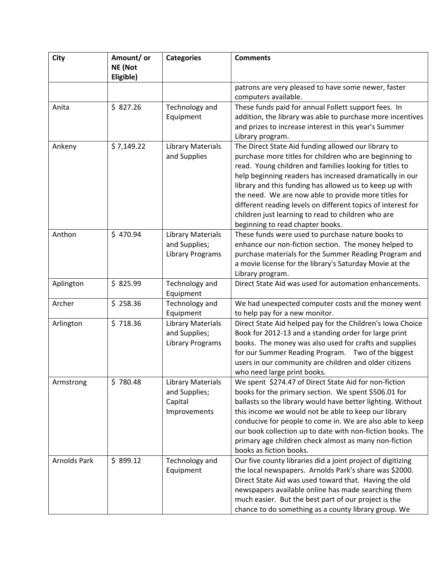| City                | Amount/ or           | <b>Categories</b>        | <b>Comments</b>                                                                                                    |
|---------------------|----------------------|--------------------------|--------------------------------------------------------------------------------------------------------------------|
|                     | NE (Not<br>Eligible) |                          |                                                                                                                    |
|                     |                      |                          | patrons are very pleased to have some newer, faster                                                                |
|                     |                      |                          | computers available.                                                                                               |
| Anita               | \$827.26             | Technology and           | These funds paid for annual Follett support fees. In                                                               |
|                     |                      | Equipment                | addition, the library was able to purchase more incentives                                                         |
|                     |                      |                          | and prizes to increase interest in this year's Summer                                                              |
|                     |                      |                          | Library program.                                                                                                   |
| Ankeny              | \$7,149.22           | <b>Library Materials</b> | The Direct State Aid funding allowed our library to                                                                |
|                     |                      | and Supplies             | purchase more titles for children who are beginning to                                                             |
|                     |                      |                          | read. Young children and families looking for titles to                                                            |
|                     |                      |                          | help beginning readers has increased dramatically in our                                                           |
|                     |                      |                          | library and this funding has allowed us to keep up with                                                            |
|                     |                      |                          | the need. We are now able to provide more titles for                                                               |
|                     |                      |                          | different reading levels on different topics of interest for<br>children just learning to read to children who are |
|                     |                      |                          | beginning to read chapter books.                                                                                   |
| Anthon              | \$470.94             | <b>Library Materials</b> | These funds were used to purchase nature books to                                                                  |
|                     |                      | and Supplies;            | enhance our non-fiction section. The money helped to                                                               |
|                     |                      | <b>Library Programs</b>  | purchase materials for the Summer Reading Program and                                                              |
|                     |                      |                          | a movie license for the library's Saturday Movie at the                                                            |
|                     |                      |                          | Library program.                                                                                                   |
| Aplington           | \$825.99             | Technology and           | Direct State Aid was used for automation enhancements.                                                             |
|                     |                      | Equipment                |                                                                                                                    |
| Archer              | \$258.36             | Technology and           | We had unexpected computer costs and the money went                                                                |
|                     |                      | Equipment                | to help pay for a new monitor.                                                                                     |
| Arlington           | \$718.36             | <b>Library Materials</b> | Direct State Aid helped pay for the Children's Iowa Choice                                                         |
|                     |                      | and Supplies;            | Book for 2012-13 and a standing order for large print                                                              |
|                     |                      | <b>Library Programs</b>  | books. The money was also used for crafts and supplies                                                             |
|                     |                      |                          | for our Summer Reading Program. Two of the biggest<br>users in our community are children and older citizens       |
|                     |                      |                          | who need large print books.                                                                                        |
| Armstrong           | \$780.48             | Library Materials        | We spent \$274.47 of Direct State Aid for non-fiction                                                              |
|                     |                      | and Supplies;            | books for the primary section. We spent \$506.01 for                                                               |
|                     |                      | Capital                  | ballasts so the library would have better lighting. Without                                                        |
|                     |                      | Improvements             | this income we would not be able to keep our library                                                               |
|                     |                      |                          | conducive for people to come in. We are also able to keep                                                          |
|                     |                      |                          | our book collection up to date with non-fiction books. The                                                         |
|                     |                      |                          | primary age children check almost as many non-fiction                                                              |
|                     |                      |                          | books as fiction books.                                                                                            |
| <b>Arnolds Park</b> | \$899.12             | Technology and           | Our five county libraries did a joint project of digitizing                                                        |
|                     |                      | Equipment                | the local newspapers. Arnolds Park's share was \$2000.                                                             |
|                     |                      |                          | Direct State Aid was used toward that. Having the old                                                              |
|                     |                      |                          | newspapers available online has made searching them                                                                |
|                     |                      |                          | much easier. But the best part of our project is the                                                               |
|                     |                      |                          | chance to do something as a county library group. We                                                               |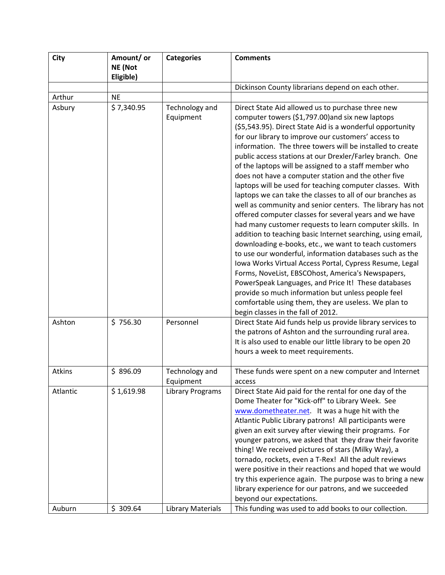| <b>City</b> | Amount/ or | <b>Categories</b>        | <b>Comments</b>                                                                                                   |
|-------------|------------|--------------------------|-------------------------------------------------------------------------------------------------------------------|
|             | NE (Not    |                          |                                                                                                                   |
|             | Eligible)  |                          |                                                                                                                   |
|             |            |                          | Dickinson County librarians depend on each other.                                                                 |
| Arthur      | <b>NE</b>  |                          |                                                                                                                   |
| Asbury      | \$7,340.95 | Technology and           | Direct State Aid allowed us to purchase three new                                                                 |
|             |            | Equipment                | computer towers (\$1,797.00) and six new laptops                                                                  |
|             |            |                          | (\$5,543.95). Direct State Aid is a wonderful opportunity                                                         |
|             |            |                          | for our library to improve our customers' access to                                                               |
|             |            |                          | information. The three towers will be installed to create                                                         |
|             |            |                          | public access stations at our Drexler/Farley branch. One<br>of the laptops will be assigned to a staff member who |
|             |            |                          | does not have a computer station and the other five                                                               |
|             |            |                          | laptops will be used for teaching computer classes. With                                                          |
|             |            |                          | laptops we can take the classes to all of our branches as                                                         |
|             |            |                          | well as community and senior centers. The library has not                                                         |
|             |            |                          | offered computer classes for several years and we have                                                            |
|             |            |                          | had many customer requests to learn computer skills. In                                                           |
|             |            |                          | addition to teaching basic Internet searching, using email,                                                       |
|             |            |                          | downloading e-books, etc., we want to teach customers                                                             |
|             |            |                          | to use our wonderful, information databases such as the                                                           |
|             |            |                          | Iowa Works Virtual Access Portal, Cypress Resume, Legal                                                           |
|             |            |                          | Forms, NoveList, EBSCOhost, America's Newspapers,                                                                 |
|             |            |                          | PowerSpeak Languages, and Price It! These databases                                                               |
|             |            |                          | provide so much information but unless people feel                                                                |
|             |            |                          | comfortable using them, they are useless. We plan to                                                              |
| Ashton      | \$756.30   | Personnel                | begin classes in the fall of 2012.<br>Direct State Aid funds help us provide library services to                  |
|             |            |                          | the patrons of Ashton and the surrounding rural area.                                                             |
|             |            |                          | It is also used to enable our little library to be open 20                                                        |
|             |            |                          | hours a week to meet requirements.                                                                                |
|             |            |                          |                                                                                                                   |
| Atkins      | \$896.09   | Technology and           | These funds were spent on a new computer and Internet                                                             |
|             |            | Equipment                | access                                                                                                            |
| Atlantic    | \$1,619.98 | <b>Library Programs</b>  | Direct State Aid paid for the rental for one day of the                                                           |
|             |            |                          | Dome Theater for "Kick-off" to Library Week. See                                                                  |
|             |            |                          | www.dometheater.net. It was a huge hit with the                                                                   |
|             |            |                          | Atlantic Public Library patrons! All participants were                                                            |
|             |            |                          | given an exit survey after viewing their programs. For                                                            |
|             |            |                          | younger patrons, we asked that they draw their favorite                                                           |
|             |            |                          | thing! We received pictures of stars (Milky Way), a                                                               |
|             |            |                          | tornado, rockets, even a T-Rex! All the adult reviews<br>were positive in their reactions and hoped that we would |
|             |            |                          | try this experience again. The purpose was to bring a new                                                         |
|             |            |                          | library experience for our patrons, and we succeeded                                                              |
|             |            |                          | beyond our expectations.                                                                                          |
| Auburn      | \$309.64   | <b>Library Materials</b> | This funding was used to add books to our collection.                                                             |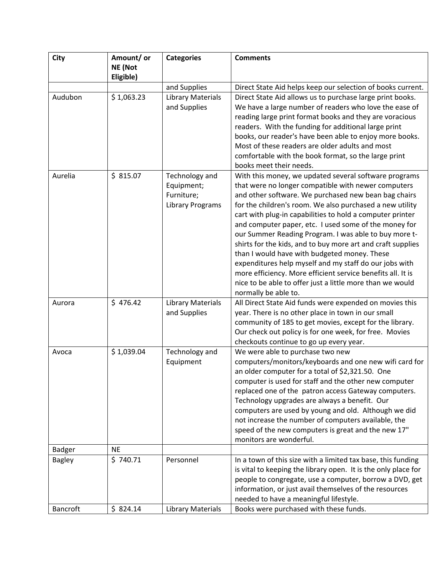| <b>City</b>   | Amount/ or | <b>Categories</b>        | <b>Comments</b>                                                                                                       |
|---------------|------------|--------------------------|-----------------------------------------------------------------------------------------------------------------------|
|               | NE (Not    |                          |                                                                                                                       |
|               | Eligible)  |                          |                                                                                                                       |
|               |            | and Supplies             | Direct State Aid helps keep our selection of books current.                                                           |
| Audubon       | \$1,063.23 | <b>Library Materials</b> | Direct State Aid allows us to purchase large print books.                                                             |
|               |            | and Supplies             | We have a large number of readers who love the ease of                                                                |
|               |            |                          | reading large print format books and they are voracious                                                               |
|               |            |                          | readers. With the funding for additional large print<br>books, our reader's have been able to enjoy more books.       |
|               |            |                          | Most of these readers are older adults and most                                                                       |
|               |            |                          | comfortable with the book format, so the large print                                                                  |
|               |            |                          | books meet their needs.                                                                                               |
| Aurelia       | \$815.07   | Technology and           | With this money, we updated several software programs                                                                 |
|               |            | Equipment;               | that were no longer compatible with newer computers                                                                   |
|               |            | Furniture;               | and other software. We purchased new bean bag chairs                                                                  |
|               |            | <b>Library Programs</b>  | for the children's room. We also purchased a new utility                                                              |
|               |            |                          | cart with plug-in capabilities to hold a computer printer                                                             |
|               |            |                          | and computer paper, etc. I used some of the money for                                                                 |
|               |            |                          | our Summer Reading Program. I was able to buy more t-                                                                 |
|               |            |                          | shirts for the kids, and to buy more art and craft supplies                                                           |
|               |            |                          | than I would have with budgeted money. These                                                                          |
|               |            |                          | expenditures help myself and my staff do our jobs with<br>more efficiency. More efficient service benefits all. It is |
|               |            |                          | nice to be able to offer just a little more than we would                                                             |
|               |            |                          | normally be able to.                                                                                                  |
| Aurora        | \$476.42   | <b>Library Materials</b> | All Direct State Aid funds were expended on movies this                                                               |
|               |            | and Supplies             | year. There is no other place in town in our small                                                                    |
|               |            |                          | community of 185 to get movies, except for the library.                                                               |
|               |            |                          | Our check out policy is for one week, for free. Movies                                                                |
|               |            |                          | checkouts continue to go up every year.                                                                               |
| Avoca         | \$1,039.04 | Technology and           | We were able to purchase two new                                                                                      |
|               |            | Equipment                | computers/monitors/keyboards and one new wifi card for                                                                |
|               |            |                          | an older computer for a total of \$2,321.50. One                                                                      |
|               |            |                          | computer is used for staff and the other new computer<br>replaced one of the patron access Gateway computers.         |
|               |            |                          | Technology upgrades are always a benefit. Our                                                                         |
|               |            |                          | computers are used by young and old. Although we did                                                                  |
|               |            |                          | not increase the number of computers available, the                                                                   |
|               |            |                          | speed of the new computers is great and the new 17"                                                                   |
|               |            |                          | monitors are wonderful.                                                                                               |
| <b>Badger</b> | <b>NE</b>  |                          |                                                                                                                       |
| <b>Bagley</b> | \$740.71   | Personnel                | In a town of this size with a limited tax base, this funding                                                          |
|               |            |                          | is vital to keeping the library open. It is the only place for                                                        |
|               |            |                          | people to congregate, use a computer, borrow a DVD, get                                                               |
|               |            |                          | information, or just avail themselves of the resources                                                                |
|               |            |                          | needed to have a meaningful lifestyle.                                                                                |
| Bancroft      | \$824.14   | <b>Library Materials</b> | Books were purchased with these funds.                                                                                |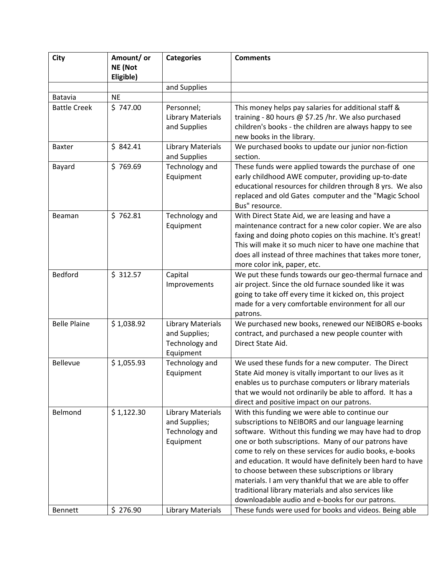| <b>City</b>         | Amount/ or | <b>Categories</b>                        | <b>Comments</b>                                                                                                  |
|---------------------|------------|------------------------------------------|------------------------------------------------------------------------------------------------------------------|
|                     | NE (Not    |                                          |                                                                                                                  |
|                     | Eligible)  |                                          |                                                                                                                  |
|                     |            | and Supplies                             |                                                                                                                  |
| Batavia             | <b>NE</b>  |                                          |                                                                                                                  |
| <b>Battle Creek</b> | \$747.00   | Personnel;                               | This money helps pay salaries for additional staff &<br>training - 80 hours @ \$7.25 /hr. We also purchased      |
|                     |            | <b>Library Materials</b><br>and Supplies | children's books - the children are always happy to see                                                          |
|                     |            |                                          | new books in the library.                                                                                        |
| Baxter              | \$842.41   | <b>Library Materials</b>                 | We purchased books to update our junior non-fiction                                                              |
|                     |            | and Supplies                             | section.                                                                                                         |
| Bayard              | \$769.69   | Technology and                           | These funds were applied towards the purchase of one                                                             |
|                     |            | Equipment                                | early childhood AWE computer, providing up-to-date                                                               |
|                     |            |                                          | educational resources for children through 8 yrs. We also                                                        |
|                     |            |                                          | replaced and old Gates computer and the "Magic School                                                            |
|                     |            |                                          | Bus" resource.                                                                                                   |
| Beaman              | \$762.81   | Technology and                           | With Direct State Aid, we are leasing and have a                                                                 |
|                     |            | Equipment                                | maintenance contract for a new color copier. We are also                                                         |
|                     |            |                                          | faxing and doing photo copies on this machine. It's great!                                                       |
|                     |            |                                          | This will make it so much nicer to have one machine that                                                         |
|                     |            |                                          | does all instead of three machines that takes more toner,                                                        |
| Bedford             | \$312.57   | Capital                                  | more color ink, paper, etc.                                                                                      |
|                     |            | Improvements                             | We put these funds towards our geo-thermal furnace and<br>air project. Since the old furnace sounded like it was |
|                     |            |                                          | going to take off every time it kicked on, this project                                                          |
|                     |            |                                          | made for a very comfortable environment for all our                                                              |
|                     |            |                                          | patrons.                                                                                                         |
| <b>Belle Plaine</b> | \$1,038.92 | <b>Library Materials</b>                 | We purchased new books, renewed our NEIBORS e-books                                                              |
|                     |            | and Supplies;                            | contract, and purchased a new people counter with                                                                |
|                     |            | Technology and                           | Direct State Aid.                                                                                                |
|                     |            | Equipment                                |                                                                                                                  |
| <b>Bellevue</b>     | \$1,055.93 | Technology and                           | We used these funds for a new computer. The Direct                                                               |
|                     |            | Equipment                                | State Aid money is vitally important to our lives as it                                                          |
|                     |            |                                          | enables us to purchase computers or library materials                                                            |
|                     |            |                                          | that we would not ordinarily be able to afford. It has a                                                         |
| Belmond             | \$1,122.30 | <b>Library Materials</b>                 | direct and positive impact on our patrons.<br>With this funding we were able to continue our                     |
|                     |            | and Supplies;                            | subscriptions to NEIBORS and our language learning                                                               |
|                     |            | Technology and                           | software. Without this funding we may have had to drop                                                           |
|                     |            | Equipment                                | one or both subscriptions. Many of our patrons have                                                              |
|                     |            |                                          | come to rely on these services for audio books, e-books                                                          |
|                     |            |                                          | and education. It would have definitely been hard to have                                                        |
|                     |            |                                          | to choose between these subscriptions or library                                                                 |
|                     |            |                                          | materials. I am very thankful that we are able to offer                                                          |
|                     |            |                                          | traditional library materials and also services like                                                             |
|                     |            |                                          | downloadable audio and e-books for our patrons.                                                                  |
| Bennett             | \$276.90   | <b>Library Materials</b>                 | These funds were used for books and videos. Being able                                                           |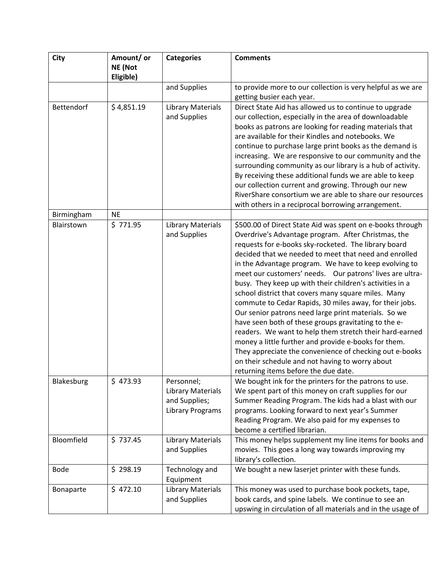| <b>City</b> | Amount/ or           | <b>Categories</b>                                                                  | <b>Comments</b>                                                                                                                                                                                                                                                                                                                                                                                                                                                                                                                                                                                                                                                                                                                                                                                                                                                                                                                |
|-------------|----------------------|------------------------------------------------------------------------------------|--------------------------------------------------------------------------------------------------------------------------------------------------------------------------------------------------------------------------------------------------------------------------------------------------------------------------------------------------------------------------------------------------------------------------------------------------------------------------------------------------------------------------------------------------------------------------------------------------------------------------------------------------------------------------------------------------------------------------------------------------------------------------------------------------------------------------------------------------------------------------------------------------------------------------------|
|             | NE (Not<br>Eligible) |                                                                                    |                                                                                                                                                                                                                                                                                                                                                                                                                                                                                                                                                                                                                                                                                                                                                                                                                                                                                                                                |
|             |                      | and Supplies                                                                       | to provide more to our collection is very helpful as we are<br>getting busier each year.                                                                                                                                                                                                                                                                                                                                                                                                                                                                                                                                                                                                                                                                                                                                                                                                                                       |
| Bettendorf  | \$4,851.19           | <b>Library Materials</b><br>and Supplies                                           | Direct State Aid has allowed us to continue to upgrade<br>our collection, especially in the area of downloadable<br>books as patrons are looking for reading materials that<br>are available for their Kindles and notebooks. We<br>continue to purchase large print books as the demand is<br>increasing. We are responsive to our community and the<br>surrounding community as our library is a hub of activity.<br>By receiving these additional funds we are able to keep<br>our collection current and growing. Through our new<br>RiverShare consortium we are able to share our resources<br>with others in a reciprocal borrowing arrangement.                                                                                                                                                                                                                                                                        |
| Birmingham  | <b>NE</b>            |                                                                                    |                                                                                                                                                                                                                                                                                                                                                                                                                                                                                                                                                                                                                                                                                                                                                                                                                                                                                                                                |
| Blairstown  | \$771.95             | <b>Library Materials</b><br>and Supplies                                           | \$500.00 of Direct State Aid was spent on e-books through<br>Overdrive's Advantage program. After Christmas, the<br>requests for e-books sky-rocketed. The library board<br>decided that we needed to meet that need and enrolled<br>in the Advantage program. We have to keep evolving to<br>meet our customers' needs.  Our patrons' lives are ultra-<br>busy. They keep up with their children's activities in a<br>school district that covers many square miles. Many<br>commute to Cedar Rapids, 30 miles away, for their jobs.<br>Our senior patrons need large print materials. So we<br>have seen both of these groups gravitating to the e-<br>readers. We want to help them stretch their hard-earned<br>money a little further and provide e-books for them.<br>They appreciate the convenience of checking out e-books<br>on their schedule and not having to worry about<br>returning items before the due date. |
| Blakesburg  | \$473.93             | Personnel;<br><b>Library Materials</b><br>and Supplies;<br><b>Library Programs</b> | We bought ink for the printers for the patrons to use.<br>We spent part of this money on craft supplies for our<br>Summer Reading Program. The kids had a blast with our<br>programs. Looking forward to next year's Summer<br>Reading Program. We also paid for my expenses to<br>become a certified librarian.                                                                                                                                                                                                                                                                                                                                                                                                                                                                                                                                                                                                               |
| Bloomfield  | \$737.45             | <b>Library Materials</b><br>and Supplies                                           | This money helps supplement my line items for books and<br>movies. This goes a long way towards improving my<br>library's collection.                                                                                                                                                                                                                                                                                                                                                                                                                                                                                                                                                                                                                                                                                                                                                                                          |
| <b>Bode</b> | \$298.19             | Technology and<br>Equipment                                                        | We bought a new laserjet printer with these funds.                                                                                                                                                                                                                                                                                                                                                                                                                                                                                                                                                                                                                                                                                                                                                                                                                                                                             |
| Bonaparte   | \$472.10             | <b>Library Materials</b><br>and Supplies                                           | This money was used to purchase book pockets, tape,<br>book cards, and spine labels. We continue to see an<br>upswing in circulation of all materials and in the usage of                                                                                                                                                                                                                                                                                                                                                                                                                                                                                                                                                                                                                                                                                                                                                      |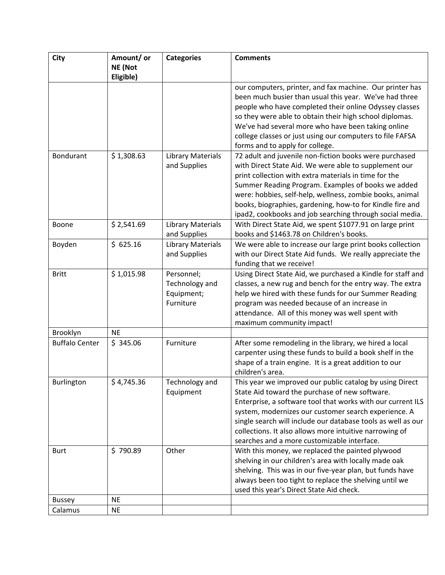| City                              | Amount/ or           | <b>Categories</b>        | <b>Comments</b>                                                                                                    |
|-----------------------------------|----------------------|--------------------------|--------------------------------------------------------------------------------------------------------------------|
|                                   | NE (Not<br>Eligible) |                          |                                                                                                                    |
|                                   |                      |                          | our computers, printer, and fax machine. Our printer has                                                           |
|                                   |                      |                          | been much busier than usual this year. We've had three                                                             |
|                                   |                      |                          | people who have completed their online Odyssey classes                                                             |
|                                   |                      |                          | so they were able to obtain their high school diplomas.                                                            |
|                                   |                      |                          | We've had several more who have been taking online                                                                 |
|                                   |                      |                          | college classes or just using our computers to file FAFSA                                                          |
|                                   |                      |                          | forms and to apply for college.                                                                                    |
| <b>Bondurant</b>                  | \$1,308.63           | <b>Library Materials</b> | 72 adult and juvenile non-fiction books were purchased                                                             |
|                                   |                      | and Supplies             | with Direct State Aid. We were able to supplement our                                                              |
|                                   |                      |                          | print collection with extra materials in time for the                                                              |
|                                   |                      |                          | Summer Reading Program. Examples of books we added                                                                 |
|                                   |                      |                          | were: hobbies, self-help, wellness, zombie books, animal                                                           |
|                                   |                      |                          | books, biographies, gardening, how-to for Kindle fire and                                                          |
|                                   |                      |                          | ipad2, cookbooks and job searching through social media.                                                           |
| Boone                             | \$2,541.69           | <b>Library Materials</b> | With Direct State Aid, we spent \$1077.91 on large print                                                           |
|                                   |                      | and Supplies             | books and \$1463.78 on Children's books.                                                                           |
| Boyden                            | \$625.16             | <b>Library Materials</b> | We were able to increase our large print books collection                                                          |
|                                   |                      | and Supplies             | with our Direct State Aid funds. We really appreciate the                                                          |
|                                   |                      |                          | funding that we receive!                                                                                           |
| <b>Britt</b>                      | \$1,015.98           | Personnel;               | Using Direct State Aid, we purchased a Kindle for staff and                                                        |
|                                   |                      | Technology and           | classes, a new rug and bench for the entry way. The extra                                                          |
|                                   |                      | Equipment;               | help we hired with these funds for our Summer Reading                                                              |
|                                   |                      | Furniture                | program was needed because of an increase in                                                                       |
|                                   |                      |                          | attendance. All of this money was well spent with                                                                  |
|                                   |                      |                          | maximum community impact!                                                                                          |
| Brooklyn<br><b>Buffalo Center</b> | <b>NE</b>            |                          |                                                                                                                    |
|                                   | \$345.06             | Furniture                | After some remodeling in the library, we hired a local                                                             |
|                                   |                      |                          | carpenter using these funds to build a book shelf in the<br>shape of a train engine. It is a great addition to our |
|                                   |                      |                          | children's area.                                                                                                   |
| Burlington                        | \$4,745.36           | Technology and           | This year we improved our public catalog by using Direct                                                           |
|                                   |                      | Equipment                | State Aid toward the purchase of new software.                                                                     |
|                                   |                      |                          | Enterprise, a software tool that works with our current ILS                                                        |
|                                   |                      |                          | system, modernizes our customer search experience. A                                                               |
|                                   |                      |                          | single search will include our database tools as well as our                                                       |
|                                   |                      |                          | collections. It also allows more intuitive narrowing of                                                            |
|                                   |                      |                          | searches and a more customizable interface.                                                                        |
| <b>Burt</b>                       | \$790.89             | Other                    | With this money, we replaced the painted plywood                                                                   |
|                                   |                      |                          | shelving in our children's area with locally made oak                                                              |
|                                   |                      |                          | shelving. This was in our five-year plan, but funds have                                                           |
|                                   |                      |                          | always been too tight to replace the shelving until we                                                             |
|                                   |                      |                          | used this year's Direct State Aid check.                                                                           |
| <b>Bussey</b>                     | <b>NE</b>            |                          |                                                                                                                    |
| Calamus                           | <b>NE</b>            |                          |                                                                                                                    |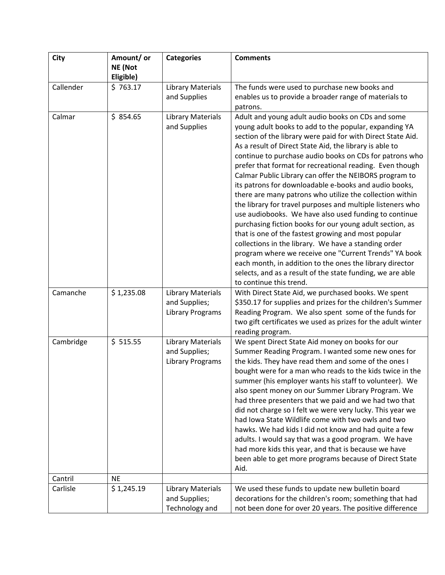| City      | Amount/ or<br><b>NE</b> (Not | <b>Categories</b>                                                    | <b>Comments</b>                                                                                                                                                                                                                                                                                                                                                                                                                                                                                                                                                                                                                                                                                                                                                                                                                                                                                                                                                                                                                                            |
|-----------|------------------------------|----------------------------------------------------------------------|------------------------------------------------------------------------------------------------------------------------------------------------------------------------------------------------------------------------------------------------------------------------------------------------------------------------------------------------------------------------------------------------------------------------------------------------------------------------------------------------------------------------------------------------------------------------------------------------------------------------------------------------------------------------------------------------------------------------------------------------------------------------------------------------------------------------------------------------------------------------------------------------------------------------------------------------------------------------------------------------------------------------------------------------------------|
|           | Eligible)                    |                                                                      |                                                                                                                                                                                                                                                                                                                                                                                                                                                                                                                                                                                                                                                                                                                                                                                                                                                                                                                                                                                                                                                            |
| Callender | \$763.17                     | <b>Library Materials</b><br>and Supplies                             | The funds were used to purchase new books and<br>enables us to provide a broader range of materials to<br>patrons.                                                                                                                                                                                                                                                                                                                                                                                                                                                                                                                                                                                                                                                                                                                                                                                                                                                                                                                                         |
| Calmar    | \$854.65                     | <b>Library Materials</b><br>and Supplies                             | Adult and young adult audio books on CDs and some<br>young adult books to add to the popular, expanding YA<br>section of the library were paid for with Direct State Aid.<br>As a result of Direct State Aid, the library is able to<br>continue to purchase audio books on CDs for patrons who<br>prefer that format for recreational reading. Even though<br>Calmar Public Library can offer the NEIBORS program to<br>its patrons for downloadable e-books and audio books,<br>there are many patrons who utilize the collection within<br>the library for travel purposes and multiple listeners who<br>use audiobooks. We have also used funding to continue<br>purchasing fiction books for our young adult section, as<br>that is one of the fastest growing and most popular<br>collections in the library. We have a standing order<br>program where we receive one "Current Trends" YA book<br>each month, in addition to the ones the library director<br>selects, and as a result of the state funding, we are able<br>to continue this trend. |
| Camanche  | \$1,235.08                   | <b>Library Materials</b><br>and Supplies;<br><b>Library Programs</b> | With Direct State Aid, we purchased books. We spent<br>\$350.17 for supplies and prizes for the children's Summer<br>Reading Program. We also spent some of the funds for<br>two gift certificates we used as prizes for the adult winter<br>reading program.                                                                                                                                                                                                                                                                                                                                                                                                                                                                                                                                                                                                                                                                                                                                                                                              |
| Cambridge | \$515.55                     | <b>Library Materials</b><br>and Supplies;<br><b>Library Programs</b> | We spent Direct State Aid money on books for our<br>Summer Reading Program. I wanted some new ones for<br>the kids. They have read them and some of the ones I<br>bought were for a man who reads to the kids twice in the<br>summer (his employer wants his staff to volunteer). We<br>also spent money on our Summer Library Program. We<br>had three presenters that we paid and we had two that<br>did not charge so I felt we were very lucky. This year we<br>had Iowa State Wildlife come with two owls and two<br>hawks. We had kids I did not know and had quite a few<br>adults. I would say that was a good program. We have<br>had more kids this year, and that is because we have<br>been able to get more programs because of Direct State<br>Aid.                                                                                                                                                                                                                                                                                          |
| Cantril   | <b>NE</b>                    |                                                                      |                                                                                                                                                                                                                                                                                                                                                                                                                                                                                                                                                                                                                                                                                                                                                                                                                                                                                                                                                                                                                                                            |
| Carlisle  | \$1,245.19                   | <b>Library Materials</b><br>and Supplies;<br>Technology and          | We used these funds to update new bulletin board<br>decorations for the children's room; something that had<br>not been done for over 20 years. The positive difference                                                                                                                                                                                                                                                                                                                                                                                                                                                                                                                                                                                                                                                                                                                                                                                                                                                                                    |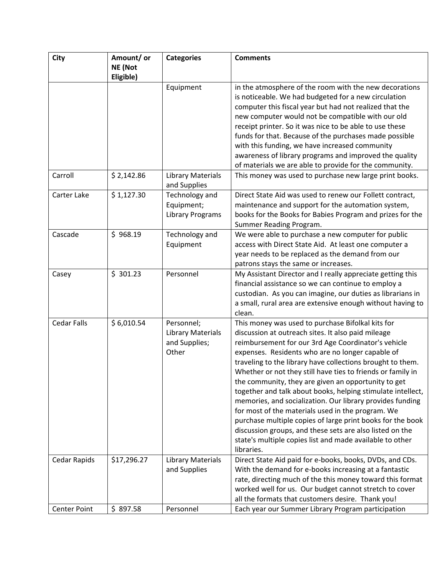| <b>City</b>         | Amount/ or  | <b>Categories</b>                        | <b>Comments</b>                                                                                                   |
|---------------------|-------------|------------------------------------------|-------------------------------------------------------------------------------------------------------------------|
|                     | NE (Not     |                                          |                                                                                                                   |
|                     | Eligible)   |                                          |                                                                                                                   |
|                     |             | Equipment                                | in the atmosphere of the room with the new decorations                                                            |
|                     |             |                                          | is noticeable. We had budgeted for a new circulation                                                              |
|                     |             |                                          | computer this fiscal year but had not realized that the                                                           |
|                     |             |                                          | new computer would not be compatible with our old                                                                 |
|                     |             |                                          | receipt printer. So it was nice to be able to use these                                                           |
|                     |             |                                          | funds for that. Because of the purchases made possible                                                            |
|                     |             |                                          | with this funding, we have increased community                                                                    |
|                     |             |                                          | awareness of library programs and improved the quality                                                            |
|                     |             |                                          | of materials we are able to provide for the community.                                                            |
| Carroll             | \$2,142.86  | <b>Library Materials</b><br>and Supplies | This money was used to purchase new large print books.                                                            |
| Carter Lake         | \$1,127.30  | Technology and                           | Direct State Aid was used to renew our Follett contract,                                                          |
|                     |             | Equipment;                               | maintenance and support for the automation system,                                                                |
|                     |             | <b>Library Programs</b>                  | books for the Books for Babies Program and prizes for the                                                         |
|                     |             |                                          | Summer Reading Program.                                                                                           |
| Cascade             | \$968.19    | Technology and                           | We were able to purchase a new computer for public                                                                |
|                     |             | Equipment                                | access with Direct State Aid. At least one computer a                                                             |
|                     |             |                                          | year needs to be replaced as the demand from our                                                                  |
|                     |             |                                          | patrons stays the same or increases.                                                                              |
| Casey               | \$301.23    | Personnel                                | My Assistant Director and I really appreciate getting this                                                        |
|                     |             |                                          | financial assistance so we can continue to employ a<br>custodian. As you can imagine, our duties as librarians in |
|                     |             |                                          | a small, rural area are extensive enough without having to                                                        |
|                     |             |                                          | clean.                                                                                                            |
| <b>Cedar Falls</b>  | \$6,010.54  | Personnel;                               | This money was used to purchase Bifolkal kits for                                                                 |
|                     |             | <b>Library Materials</b>                 | discussion at outreach sites. It also paid mileage                                                                |
|                     |             | and Supplies;                            | reimbursement for our 3rd Age Coordinator's vehicle                                                               |
|                     |             | Other                                    | expenses. Residents who are no longer capable of                                                                  |
|                     |             |                                          | traveling to the library have collections brought to them.                                                        |
|                     |             |                                          | Whether or not they still have ties to friends or family in                                                       |
|                     |             |                                          | the community, they are given an opportunity to get                                                               |
|                     |             |                                          | together and talk about books, helping stimulate intellect,                                                       |
|                     |             |                                          | memories, and socialization. Our library provides funding                                                         |
|                     |             |                                          | for most of the materials used in the program. We                                                                 |
|                     |             |                                          | purchase multiple copies of large print books for the book                                                        |
|                     |             |                                          | discussion groups, and these sets are also listed on the                                                          |
|                     |             |                                          | state's multiple copies list and made available to other                                                          |
|                     |             |                                          | libraries.                                                                                                        |
| Cedar Rapids        | \$17,296.27 | <b>Library Materials</b>                 | Direct State Aid paid for e-books, books, DVDs, and CDs.                                                          |
|                     |             | and Supplies                             | With the demand for e-books increasing at a fantastic                                                             |
|                     |             |                                          | rate, directing much of the this money toward this format                                                         |
|                     |             |                                          | worked well for us. Our budget cannot stretch to cover                                                            |
|                     |             |                                          | all the formats that customers desire. Thank you!                                                                 |
| <b>Center Point</b> | \$897.58    | Personnel                                | Each year our Summer Library Program participation                                                                |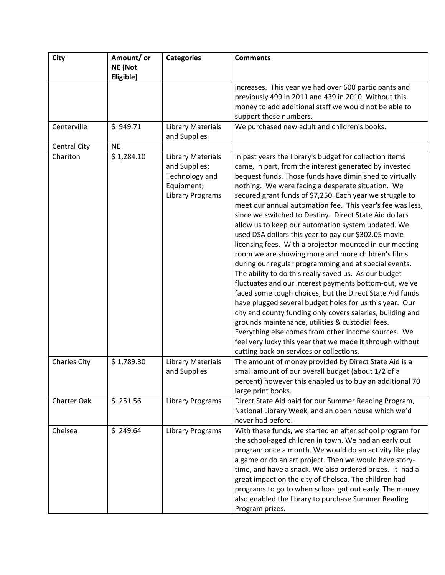| <b>City</b>         | Amount/ or<br>NE (Not | <b>Categories</b>                                                                                    | <b>Comments</b>                                                                                                                                                                                                                                                                                                                                                                                                                                                                                                                                                                                                                                                                                                                                                                                                                                                                                                                                                                                                                                                                                                                                                                                                                          |
|---------------------|-----------------------|------------------------------------------------------------------------------------------------------|------------------------------------------------------------------------------------------------------------------------------------------------------------------------------------------------------------------------------------------------------------------------------------------------------------------------------------------------------------------------------------------------------------------------------------------------------------------------------------------------------------------------------------------------------------------------------------------------------------------------------------------------------------------------------------------------------------------------------------------------------------------------------------------------------------------------------------------------------------------------------------------------------------------------------------------------------------------------------------------------------------------------------------------------------------------------------------------------------------------------------------------------------------------------------------------------------------------------------------------|
|                     | Eligible)             |                                                                                                      |                                                                                                                                                                                                                                                                                                                                                                                                                                                                                                                                                                                                                                                                                                                                                                                                                                                                                                                                                                                                                                                                                                                                                                                                                                          |
|                     |                       |                                                                                                      | increases. This year we had over 600 participants and<br>previously 499 in 2011 and 439 in 2010. Without this<br>money to add additional staff we would not be able to<br>support these numbers.                                                                                                                                                                                                                                                                                                                                                                                                                                                                                                                                                                                                                                                                                                                                                                                                                                                                                                                                                                                                                                         |
| Centerville         | \$949.71              | <b>Library Materials</b><br>and Supplies                                                             | We purchased new adult and children's books.                                                                                                                                                                                                                                                                                                                                                                                                                                                                                                                                                                                                                                                                                                                                                                                                                                                                                                                                                                                                                                                                                                                                                                                             |
| Central City        | <b>NE</b>             |                                                                                                      |                                                                                                                                                                                                                                                                                                                                                                                                                                                                                                                                                                                                                                                                                                                                                                                                                                                                                                                                                                                                                                                                                                                                                                                                                                          |
| Chariton            | \$1,284.10            | <b>Library Materials</b><br>and Supplies;<br>Technology and<br>Equipment;<br><b>Library Programs</b> | In past years the library's budget for collection items<br>came, in part, from the interest generated by invested<br>bequest funds. Those funds have diminished to virtually<br>nothing. We were facing a desperate situation. We<br>secured grant funds of \$7,250. Each year we struggle to<br>meet our annual automation fee. This year's fee was less,<br>since we switched to Destiny. Direct State Aid dollars<br>allow us to keep our automation system updated. We<br>used DSA dollars this year to pay our \$302.05 movie<br>licensing fees. With a projector mounted in our meeting<br>room we are showing more and more children's films<br>during our regular programming and at special events.<br>The ability to do this really saved us. As our budget<br>fluctuates and our interest payments bottom-out, we've<br>faced some tough choices, but the Direct State Aid funds<br>have plugged several budget holes for us this year. Our<br>city and county funding only covers salaries, building and<br>grounds maintenance, utilities & custodial fees.<br>Everything else comes from other income sources. We<br>feel very lucky this year that we made it through without<br>cutting back on services or collections. |
| <b>Charles City</b> | \$1,789.30            | <b>Library Materials</b><br>and Supplies                                                             | The amount of money provided by Direct State Aid is a<br>small amount of our overall budget (about 1/2 of a<br>percent) however this enabled us to buy an additional 70<br>large print books.                                                                                                                                                                                                                                                                                                                                                                                                                                                                                                                                                                                                                                                                                                                                                                                                                                                                                                                                                                                                                                            |
| Charter Oak         | \$251.56              | <b>Library Programs</b>                                                                              | Direct State Aid paid for our Summer Reading Program,<br>National Library Week, and an open house which we'd<br>never had before.                                                                                                                                                                                                                                                                                                                                                                                                                                                                                                                                                                                                                                                                                                                                                                                                                                                                                                                                                                                                                                                                                                        |
| Chelsea             | \$249.64              | <b>Library Programs</b>                                                                              | With these funds, we started an after school program for<br>the school-aged children in town. We had an early out<br>program once a month. We would do an activity like play<br>a game or do an art project. Then we would have story-<br>time, and have a snack. We also ordered prizes. It had a<br>great impact on the city of Chelsea. The children had<br>programs to go to when school got out early. The money<br>also enabled the library to purchase Summer Reading<br>Program prizes.                                                                                                                                                                                                                                                                                                                                                                                                                                                                                                                                                                                                                                                                                                                                          |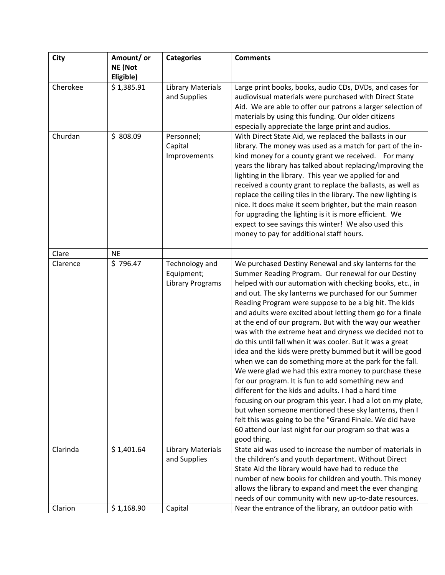| <b>City</b> | Amount/ or | <b>Categories</b>                        | <b>Comments</b>                                                                                                      |
|-------------|------------|------------------------------------------|----------------------------------------------------------------------------------------------------------------------|
|             | NE (Not    |                                          |                                                                                                                      |
|             | Eligible)  |                                          |                                                                                                                      |
| Cherokee    | \$1,385.91 | <b>Library Materials</b><br>and Supplies | Large print books, books, audio CDs, DVDs, and cases for<br>audiovisual materials were purchased with Direct State   |
|             |            |                                          | Aid. We are able to offer our patrons a larger selection of                                                          |
|             |            |                                          | materials by using this funding. Our older citizens                                                                  |
|             |            |                                          | especially appreciate the large print and audios.                                                                    |
| Churdan     | \$808.09   | Personnel;                               | With Direct State Aid, we replaced the ballasts in our                                                               |
|             |            | Capital                                  | library. The money was used as a match for part of the in-                                                           |
|             |            | Improvements                             | kind money for a county grant we received. For many                                                                  |
|             |            |                                          | years the library has talked about replacing/improving the                                                           |
|             |            |                                          | lighting in the library. This year we applied for and                                                                |
|             |            |                                          | received a county grant to replace the ballasts, as well as                                                          |
|             |            |                                          | replace the ceiling tiles in the library. The new lighting is                                                        |
|             |            |                                          | nice. It does make it seem brighter, but the main reason                                                             |
|             |            |                                          | for upgrading the lighting is it is more efficient. We<br>expect to see savings this winter! We also used this       |
|             |            |                                          | money to pay for additional staff hours.                                                                             |
|             |            |                                          |                                                                                                                      |
| Clare       | <b>NE</b>  |                                          |                                                                                                                      |
| Clarence    | \$796.47   | Technology and                           | We purchased Destiny Renewal and sky lanterns for the                                                                |
|             |            | Equipment;                               | Summer Reading Program. Our renewal for our Destiny                                                                  |
|             |            | <b>Library Programs</b>                  | helped with our automation with checking books, etc., in                                                             |
|             |            |                                          | and out. The sky lanterns we purchased for our Summer                                                                |
|             |            |                                          | Reading Program were suppose to be a big hit. The kids<br>and adults were excited about letting them go for a finale |
|             |            |                                          | at the end of our program. But with the way our weather                                                              |
|             |            |                                          | was with the extreme heat and dryness we decided not to                                                              |
|             |            |                                          | do this until fall when it was cooler. But it was a great                                                            |
|             |            |                                          | idea and the kids were pretty bummed but it will be good                                                             |
|             |            |                                          | when we can do something more at the park for the fall.                                                              |
|             |            |                                          | We were glad we had this extra money to purchase these                                                               |
|             |            |                                          | for our program. It is fun to add something new and                                                                  |
|             |            |                                          | different for the kids and adults. I had a hard time                                                                 |
|             |            |                                          | focusing on our program this year. I had a lot on my plate,                                                          |
|             |            |                                          | but when someone mentioned these sky lanterns, then I                                                                |
|             |            |                                          | felt this was going to be the "Grand Finale. We did have<br>60 attend our last night for our program so that was a   |
|             |            |                                          | good thing.                                                                                                          |
| Clarinda    | \$1,401.64 | <b>Library Materials</b>                 | State aid was used to increase the number of materials in                                                            |
|             |            | and Supplies                             | the children's and youth department. Without Direct                                                                  |
|             |            |                                          | State Aid the library would have had to reduce the                                                                   |
|             |            |                                          | number of new books for children and youth. This money                                                               |
|             |            |                                          | allows the library to expand and meet the ever changing                                                              |
|             |            |                                          | needs of our community with new up-to-date resources.                                                                |
| Clarion     | \$1,168.90 | Capital                                  | Near the entrance of the library, an outdoor patio with                                                              |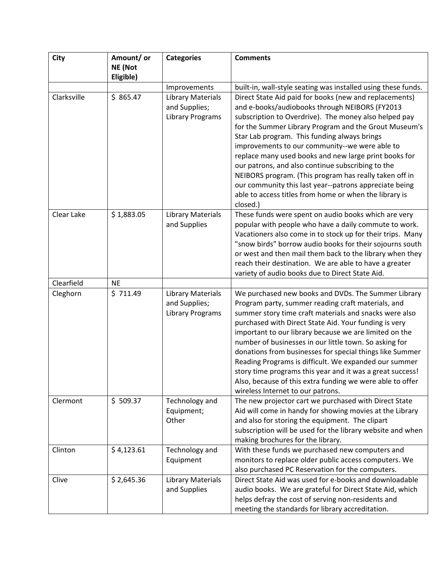| <b>City</b> | Amount/ or | <b>Categories</b>                        | <b>Comments</b>                                                                                                         |
|-------------|------------|------------------------------------------|-------------------------------------------------------------------------------------------------------------------------|
|             | NE (Not    |                                          |                                                                                                                         |
|             | Eligible)  |                                          |                                                                                                                         |
| Clarksville | \$865.47   | Improvements<br><b>Library Materials</b> | built-in, wall-style seating was installed using these funds.<br>Direct State Aid paid for books (new and replacements) |
|             |            | and Supplies;                            | and e-books/audiobooks through NEIBORS (FY2013                                                                          |
|             |            | <b>Library Programs</b>                  | subscription to Overdrive). The money also helped pay                                                                   |
|             |            |                                          | for the Summer Library Program and the Grout Museum's                                                                   |
|             |            |                                          | Star Lab program. This funding always brings                                                                            |
|             |            |                                          | improvements to our community--we were able to                                                                          |
|             |            |                                          | replace many used books and new large print books for                                                                   |
|             |            |                                          | our patrons, and also continue subscribing to the                                                                       |
|             |            |                                          | NEIBORS program. (This program has really taken off in                                                                  |
|             |            |                                          | our community this last year--patrons appreciate being                                                                  |
|             |            |                                          | able to access titles from home or when the library is                                                                  |
|             |            |                                          | closed.)                                                                                                                |
| Clear Lake  | \$1,883.05 | <b>Library Materials</b>                 | These funds were spent on audio books which are very                                                                    |
|             |            | and Supplies                             | popular with people who have a daily commute to work.                                                                   |
|             |            |                                          | Vacationers also come in to stock up for their trips. Many<br>"snow birds" borrow audio books for their sojourns south  |
|             |            |                                          | or west and then mail them back to the library when they                                                                |
|             |            |                                          | reach their destination. We are able to have a greater                                                                  |
|             |            |                                          | variety of audio books due to Direct State Aid.                                                                         |
| Clearfield  | <b>NE</b>  |                                          |                                                                                                                         |
| Cleghorn    | \$711.49   | <b>Library Materials</b>                 | We purchased new books and DVDs. The Summer Library                                                                     |
|             |            | and Supplies;                            | Program party, summer reading craft materials, and                                                                      |
|             |            | <b>Library Programs</b>                  | summer story time craft materials and snacks were also                                                                  |
|             |            |                                          | purchased with Direct State Aid. Your funding is very                                                                   |
|             |            |                                          | important to our library because we are limited on the<br>number of businesses in our little town. So asking for        |
|             |            |                                          | donations from businesses for special things like Summer                                                                |
|             |            |                                          | Reading Programs is difficult. We expanded our summer                                                                   |
|             |            |                                          | story time programs this year and it was a great success!                                                               |
|             |            |                                          | Also, because of this extra funding we were able to offer                                                               |
|             |            |                                          | wireless Internet to our patrons.                                                                                       |
| Clermont    | \$509.37   | Technology and                           | The new projector cart we purchased with Direct State                                                                   |
|             |            | Equipment;                               | Aid will come in handy for showing movies at the Library                                                                |
|             |            | Other                                    | and also for storing the equipment. The clipart                                                                         |
|             |            |                                          | subscription will be used for the library website and when                                                              |
| Clinton     |            |                                          | making brochures for the library.<br>With these funds we purchased new computers and                                    |
|             | \$4,123.61 | Technology and<br>Equipment              | monitors to replace older public access computers. We                                                                   |
|             |            |                                          | also purchased PC Reservation for the computers.                                                                        |
| Clive       | \$2,645.36 | <b>Library Materials</b>                 | Direct State Aid was used for e-books and downloadable                                                                  |
|             |            | and Supplies                             | audio books. We are grateful for Direct State Aid, which                                                                |
|             |            |                                          | helps defray the cost of serving non-residents and                                                                      |
|             |            |                                          | meeting the standards for library accreditation.                                                                        |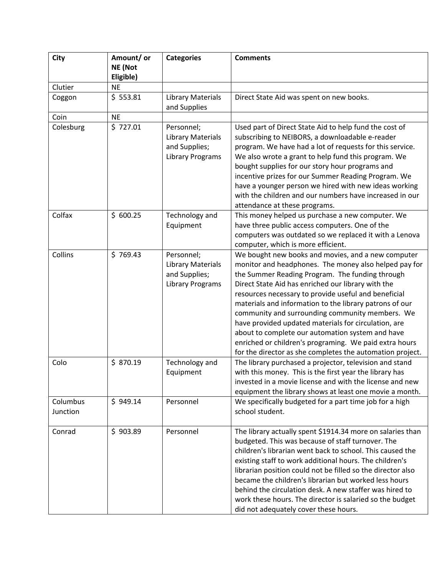| <b>City</b>          | Amount/ or | <b>Categories</b>                                                                  | <b>Comments</b>                                                                                                                                                                                                                                                                                                                                                                                                                                                                                                                                                                                                               |
|----------------------|------------|------------------------------------------------------------------------------------|-------------------------------------------------------------------------------------------------------------------------------------------------------------------------------------------------------------------------------------------------------------------------------------------------------------------------------------------------------------------------------------------------------------------------------------------------------------------------------------------------------------------------------------------------------------------------------------------------------------------------------|
|                      | NE (Not    |                                                                                    |                                                                                                                                                                                                                                                                                                                                                                                                                                                                                                                                                                                                                               |
|                      | Eligible)  |                                                                                    |                                                                                                                                                                                                                                                                                                                                                                                                                                                                                                                                                                                                                               |
| Clutier              | <b>NE</b>  |                                                                                    |                                                                                                                                                                                                                                                                                                                                                                                                                                                                                                                                                                                                                               |
| Coggon               | \$553.81   | <b>Library Materials</b><br>and Supplies                                           | Direct State Aid was spent on new books.                                                                                                                                                                                                                                                                                                                                                                                                                                                                                                                                                                                      |
| Coin                 | <b>NE</b>  |                                                                                    |                                                                                                                                                                                                                                                                                                                                                                                                                                                                                                                                                                                                                               |
| Colesburg            | \$727.01   | Personnel;<br><b>Library Materials</b><br>and Supplies;<br><b>Library Programs</b> | Used part of Direct State Aid to help fund the cost of<br>subscribing to NEIBORS, a downloadable e-reader<br>program. We have had a lot of requests for this service.<br>We also wrote a grant to help fund this program. We<br>bought supplies for our story hour programs and<br>incentive prizes for our Summer Reading Program. We<br>have a younger person we hired with new ideas working<br>with the children and our numbers have increased in our<br>attendance at these programs.                                                                                                                                   |
| Colfax               | \$600.25   | Technology and<br>Equipment                                                        | This money helped us purchase a new computer. We<br>have three public access computers. One of the<br>computers was outdated so we replaced it with a Lenova<br>computer, which is more efficient.                                                                                                                                                                                                                                                                                                                                                                                                                            |
| Collins              | \$769.43   | Personnel;<br><b>Library Materials</b><br>and Supplies;<br><b>Library Programs</b> | We bought new books and movies, and a new computer<br>monitor and headphones. The money also helped pay for<br>the Summer Reading Program. The funding through<br>Direct State Aid has enriched our library with the<br>resources necessary to provide useful and beneficial<br>materials and information to the library patrons of our<br>community and surrounding community members. We<br>have provided updated materials for circulation, are<br>about to complete our automation system and have<br>enriched or children's programing. We paid extra hours<br>for the director as she completes the automation project. |
| Colo                 | \$870.19   | Technology and<br>Equipment                                                        | The library purchased a projector, television and stand<br>with this money. This is the first year the library has<br>invested in a movie license and with the license and new<br>equipment the library shows at least one movie a month.                                                                                                                                                                                                                                                                                                                                                                                     |
| Columbus<br>Junction | \$949.14   | Personnel                                                                          | We specifically budgeted for a part time job for a high<br>school student.                                                                                                                                                                                                                                                                                                                                                                                                                                                                                                                                                    |
| Conrad               | \$903.89   | Personnel                                                                          | The library actually spent \$1914.34 more on salaries than<br>budgeted. This was because of staff turnover. The<br>children's librarian went back to school. This caused the<br>existing staff to work additional hours. The children's<br>librarian position could not be filled so the director also<br>became the children's librarian but worked less hours<br>behind the circulation desk. A new staffer was hired to<br>work these hours. The director is salaried so the budget<br>did not adequately cover these hours.                                                                                               |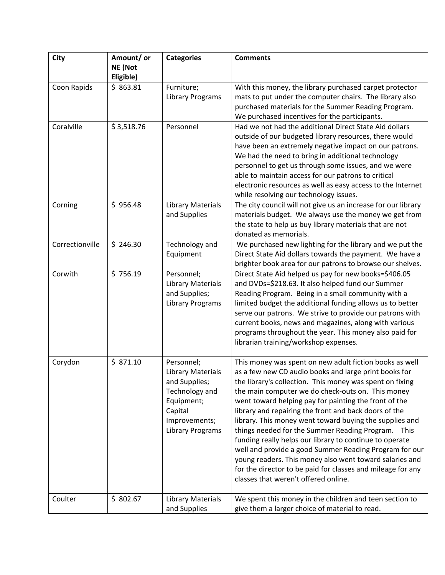| City            | Amount/ or<br>NE (Not | <b>Categories</b>                                                                                                                              | <b>Comments</b>                                                                                                                                                                                                                                                                                                                                                                                                                                                                                                                                                                                                                                                                                                                                                |
|-----------------|-----------------------|------------------------------------------------------------------------------------------------------------------------------------------------|----------------------------------------------------------------------------------------------------------------------------------------------------------------------------------------------------------------------------------------------------------------------------------------------------------------------------------------------------------------------------------------------------------------------------------------------------------------------------------------------------------------------------------------------------------------------------------------------------------------------------------------------------------------------------------------------------------------------------------------------------------------|
|                 | Eligible)             |                                                                                                                                                |                                                                                                                                                                                                                                                                                                                                                                                                                                                                                                                                                                                                                                                                                                                                                                |
| Coon Rapids     | \$863.81              | Furniture;<br><b>Library Programs</b>                                                                                                          | With this money, the library purchased carpet protector<br>mats to put under the computer chairs. The library also<br>purchased materials for the Summer Reading Program.<br>We purchased incentives for the participants.                                                                                                                                                                                                                                                                                                                                                                                                                                                                                                                                     |
| Coralville      | \$3,518.76            | Personnel                                                                                                                                      | Had we not had the additional Direct State Aid dollars<br>outside of our budgeted library resources, there would<br>have been an extremely negative impact on our patrons.<br>We had the need to bring in additional technology<br>personnel to get us through some issues, and we were<br>able to maintain access for our patrons to critical<br>electronic resources as well as easy access to the Internet<br>while resolving our technology issues.                                                                                                                                                                                                                                                                                                        |
| Corning         | \$956.48              | <b>Library Materials</b><br>and Supplies                                                                                                       | The city council will not give us an increase for our library<br>materials budget. We always use the money we get from<br>the state to help us buy library materials that are not<br>donated as memorials.                                                                                                                                                                                                                                                                                                                                                                                                                                                                                                                                                     |
| Correctionville | \$246.30              | Technology and<br>Equipment                                                                                                                    | We purchased new lighting for the library and we put the<br>Direct State Aid dollars towards the payment. We have a<br>brighter book area for our patrons to browse our shelves.                                                                                                                                                                                                                                                                                                                                                                                                                                                                                                                                                                               |
| Corwith         | \$756.19              | Personnel;<br><b>Library Materials</b><br>and Supplies;<br><b>Library Programs</b>                                                             | Direct State Aid helped us pay for new books=\$406.05<br>and DVDs=\$218.63. It also helped fund our Summer<br>Reading Program. Being in a small community with a<br>limited budget the additional funding allows us to better<br>serve our patrons. We strive to provide our patrons with<br>current books, news and magazines, along with various<br>programs throughout the year. This money also paid for<br>librarian training/workshop expenses.                                                                                                                                                                                                                                                                                                          |
| Corydon         | \$871.10              | Personnel;<br><b>Library Materials</b><br>and Supplies;<br>Technology and<br>Equipment;<br>Capital<br>Improvements;<br><b>Library Programs</b> | This money was spent on new adult fiction books as well<br>as a few new CD audio books and large print books for<br>the library's collection. This money was spent on fixing<br>the main computer we do check-outs on. This money<br>went toward helping pay for painting the front of the<br>library and repairing the front and back doors of the<br>library. This money went toward buying the supplies and<br>things needed for the Summer Reading Program.<br>This<br>funding really helps our library to continue to operate<br>well and provide a good Summer Reading Program for our<br>young readers. This money also went toward salaries and<br>for the director to be paid for classes and mileage for any<br>classes that weren't offered online. |
| Coulter         | \$802.67              | <b>Library Materials</b><br>and Supplies                                                                                                       | We spent this money in the children and teen section to<br>give them a larger choice of material to read.                                                                                                                                                                                                                                                                                                                                                                                                                                                                                                                                                                                                                                                      |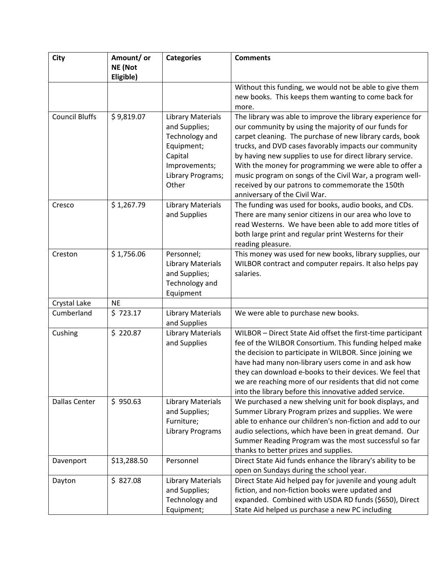| City                  | Amount/ or<br>NE (Not | <b>Categories</b>                                                                                                                   | <b>Comments</b>                                                                                                                                                                                                                                                                                                                                                                                                                                                                                                 |
|-----------------------|-----------------------|-------------------------------------------------------------------------------------------------------------------------------------|-----------------------------------------------------------------------------------------------------------------------------------------------------------------------------------------------------------------------------------------------------------------------------------------------------------------------------------------------------------------------------------------------------------------------------------------------------------------------------------------------------------------|
|                       | Eligible)             |                                                                                                                                     |                                                                                                                                                                                                                                                                                                                                                                                                                                                                                                                 |
|                       |                       |                                                                                                                                     | Without this funding, we would not be able to give them                                                                                                                                                                                                                                                                                                                                                                                                                                                         |
|                       |                       |                                                                                                                                     | new books. This keeps them wanting to come back for                                                                                                                                                                                                                                                                                                                                                                                                                                                             |
|                       |                       |                                                                                                                                     | more.                                                                                                                                                                                                                                                                                                                                                                                                                                                                                                           |
| <b>Council Bluffs</b> | \$9,819.07            | <b>Library Materials</b><br>and Supplies;<br>Technology and<br>Equipment;<br>Capital<br>Improvements;<br>Library Programs;<br>Other | The library was able to improve the library experience for<br>our community by using the majority of our funds for<br>carpet cleaning. The purchase of new library cards, book<br>trucks, and DVD cases favorably impacts our community<br>by having new supplies to use for direct library service.<br>With the money for programming we were able to offer a<br>music program on songs of the Civil War, a program well-<br>received by our patrons to commemorate the 150th<br>anniversary of the Civil War. |
| Cresco                | \$1,267.79            | <b>Library Materials</b><br>and Supplies                                                                                            | The funding was used for books, audio books, and CDs.<br>There are many senior citizens in our area who love to<br>read Westerns. We have been able to add more titles of<br>both large print and regular print Westerns for their<br>reading pleasure.                                                                                                                                                                                                                                                         |
| Creston               | \$1,756.06            | Personnel;<br><b>Library Materials</b><br>and Supplies;<br>Technology and<br>Equipment                                              | This money was used for new books, library supplies, our<br>WILBOR contract and computer repairs. It also helps pay<br>salaries.                                                                                                                                                                                                                                                                                                                                                                                |
| Crystal Lake          | <b>NE</b>             |                                                                                                                                     |                                                                                                                                                                                                                                                                                                                                                                                                                                                                                                                 |
| Cumberland            | \$723.17              | <b>Library Materials</b><br>and Supplies                                                                                            | We were able to purchase new books.                                                                                                                                                                                                                                                                                                                                                                                                                                                                             |
| Cushing               | \$220.87              | <b>Library Materials</b><br>and Supplies                                                                                            | WILBOR - Direct State Aid offset the first-time participant<br>fee of the WILBOR Consortium. This funding helped make<br>the decision to participate in WILBOR. Since joining we<br>have had many non-library users come in and ask how<br>they can download e-books to their devices. We feel that<br>we are reaching more of our residents that did not come<br>into the library before this innovative added service.                                                                                        |
| <b>Dallas Center</b>  | \$950.63              | <b>Library Materials</b><br>and Supplies;<br>Furniture;<br><b>Library Programs</b>                                                  | We purchased a new shelving unit for book displays, and<br>Summer Library Program prizes and supplies. We were<br>able to enhance our children's non-fiction and add to our<br>audio selections, which have been in great demand. Our<br>Summer Reading Program was the most successful so far<br>thanks to better prizes and supplies.                                                                                                                                                                         |
| Davenport             | \$13,288.50           | Personnel                                                                                                                           | Direct State Aid funds enhance the library's ability to be<br>open on Sundays during the school year.                                                                                                                                                                                                                                                                                                                                                                                                           |
| Dayton                | \$827.08              | <b>Library Materials</b><br>and Supplies;<br>Technology and<br>Equipment;                                                           | Direct State Aid helped pay for juvenile and young adult<br>fiction, and non-fiction books were updated and<br>expanded. Combined with USDA RD funds (\$650), Direct<br>State Aid helped us purchase a new PC including                                                                                                                                                                                                                                                                                         |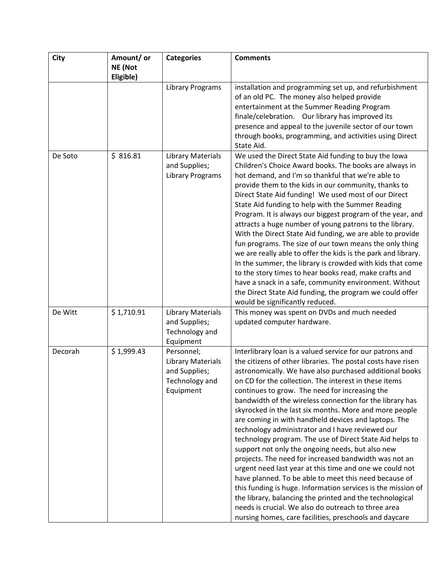| City    | Amount/ or<br>NE (Not | <b>Categories</b>                                                                      | <b>Comments</b>                                                                                                                                                                                                                                                                                                                                                                                                                                                                                                                                                                                                                                                                                                                                                                                                                                                                                                                                                                                                                                                             |
|---------|-----------------------|----------------------------------------------------------------------------------------|-----------------------------------------------------------------------------------------------------------------------------------------------------------------------------------------------------------------------------------------------------------------------------------------------------------------------------------------------------------------------------------------------------------------------------------------------------------------------------------------------------------------------------------------------------------------------------------------------------------------------------------------------------------------------------------------------------------------------------------------------------------------------------------------------------------------------------------------------------------------------------------------------------------------------------------------------------------------------------------------------------------------------------------------------------------------------------|
|         | Eligible)             |                                                                                        |                                                                                                                                                                                                                                                                                                                                                                                                                                                                                                                                                                                                                                                                                                                                                                                                                                                                                                                                                                                                                                                                             |
|         |                       | <b>Library Programs</b>                                                                | installation and programming set up, and refurbishment<br>of an old PC. The money also helped provide<br>entertainment at the Summer Reading Program<br>finale/celebration. Our library has improved its<br>presence and appeal to the juvenile sector of our town<br>through books, programming, and activities using Direct<br>State Aid.                                                                                                                                                                                                                                                                                                                                                                                                                                                                                                                                                                                                                                                                                                                                 |
| De Soto | \$816.81              | <b>Library Materials</b><br>and Supplies;<br><b>Library Programs</b>                   | We used the Direct State Aid funding to buy the Iowa<br>Children's Choice Award books. The books are always in<br>hot demand, and I'm so thankful that we're able to<br>provide them to the kids in our community, thanks to<br>Direct State Aid funding! We used most of our Direct<br>State Aid funding to help with the Summer Reading<br>Program. It is always our biggest program of the year, and<br>attracts a huge number of young patrons to the library.<br>With the Direct State Aid funding, we are able to provide<br>fun programs. The size of our town means the only thing<br>we are really able to offer the kids is the park and library.<br>In the summer, the library is crowded with kids that come<br>to the story times to hear books read, make crafts and<br>have a snack in a safe, community environment. Without<br>the Direct State Aid funding, the program we could offer<br>would be significantly reduced.                                                                                                                                 |
| De Witt | \$1,710.91            | <b>Library Materials</b><br>and Supplies;<br>Technology and<br>Equipment               | This money was spent on DVDs and much needed<br>updated computer hardware.                                                                                                                                                                                                                                                                                                                                                                                                                                                                                                                                                                                                                                                                                                                                                                                                                                                                                                                                                                                                  |
| Decorah | \$1,999.43            | Personnel;<br><b>Library Materials</b><br>and Supplies;<br>Technology and<br>Equipment | Interlibrary loan is a valued service for our patrons and<br>the citizens of other libraries. The postal costs have risen<br>astronomically. We have also purchased additional books<br>on CD for the collection. The interest in these items<br>continues to grow. The need for increasing the<br>bandwidth of the wireless connection for the library has<br>skyrocked in the last six months. More and more people<br>are coming in with handheld devices and laptops. The<br>technology administrator and I have reviewed our<br>technology program. The use of Direct State Aid helps to<br>support not only the ongoing needs, but also new<br>projects. The need for increased bandwidth was not an<br>urgent need last year at this time and one we could not<br>have planned. To be able to meet this need because of<br>this funding is huge. Information services is the mission of<br>the library, balancing the printed and the technological<br>needs is crucial. We also do outreach to three area<br>nursing homes, care facilities, preschools and daycare |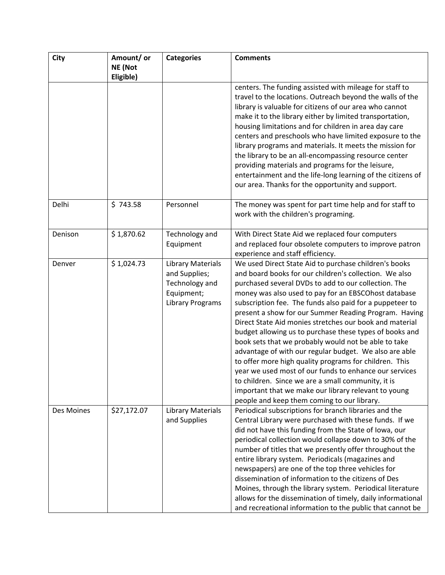| City       | Amount/ or<br>NE (Not | <b>Categories</b>                                                                                    | <b>Comments</b>                                                                                                                                                                                                                                                                                                                                                                                                                                                                                                                                                                                                                                                                                                                                                                                                                                                               |
|------------|-----------------------|------------------------------------------------------------------------------------------------------|-------------------------------------------------------------------------------------------------------------------------------------------------------------------------------------------------------------------------------------------------------------------------------------------------------------------------------------------------------------------------------------------------------------------------------------------------------------------------------------------------------------------------------------------------------------------------------------------------------------------------------------------------------------------------------------------------------------------------------------------------------------------------------------------------------------------------------------------------------------------------------|
|            | Eligible)             |                                                                                                      | centers. The funding assisted with mileage for staff to<br>travel to the locations. Outreach beyond the walls of the<br>library is valuable for citizens of our area who cannot<br>make it to the library either by limited transportation,<br>housing limitations and for children in area day care<br>centers and preschools who have limited exposure to the<br>library programs and materials. It meets the mission for<br>the library to be an all-encompassing resource center<br>providing materials and programs for the leisure,<br>entertainment and the life-long learning of the citizens of<br>our area. Thanks for the opportunity and support.                                                                                                                                                                                                                 |
| Delhi      | \$743.58              | Personnel                                                                                            | The money was spent for part time help and for staff to<br>work with the children's programing.                                                                                                                                                                                                                                                                                                                                                                                                                                                                                                                                                                                                                                                                                                                                                                               |
| Denison    | \$1,870.62            | Technology and<br>Equipment                                                                          | With Direct State Aid we replaced four computers<br>and replaced four obsolete computers to improve patron<br>experience and staff efficiency.                                                                                                                                                                                                                                                                                                                                                                                                                                                                                                                                                                                                                                                                                                                                |
| Denver     | \$1,024.73            | <b>Library Materials</b><br>and Supplies;<br>Technology and<br>Equipment;<br><b>Library Programs</b> | We used Direct State Aid to purchase children's books<br>and board books for our children's collection. We also<br>purchased several DVDs to add to our collection. The<br>money was also used to pay for an EBSCOhost database<br>subscription fee. The funds also paid for a puppeteer to<br>present a show for our Summer Reading Program. Having<br>Direct State Aid monies stretches our book and material<br>budget allowing us to purchase these types of books and<br>book sets that we probably would not be able to take<br>advantage of with our regular budget. We also are able<br>to offer more high quality programs for children. This<br>year we used most of our funds to enhance our services<br>to children. Since we are a small community, it is<br>important that we make our library relevant to young<br>people and keep them coming to our library. |
| Des Moines | \$27,172.07           | <b>Library Materials</b><br>and Supplies                                                             | Periodical subscriptions for branch libraries and the<br>Central Library were purchased with these funds. If we<br>did not have this funding from the State of Iowa, our<br>periodical collection would collapse down to 30% of the<br>number of titles that we presently offer throughout the<br>entire library system. Periodicals (magazines and<br>newspapers) are one of the top three vehicles for<br>dissemination of information to the citizens of Des<br>Moines, through the library system. Periodical literature<br>allows for the dissemination of timely, daily informational<br>and recreational information to the public that cannot be                                                                                                                                                                                                                      |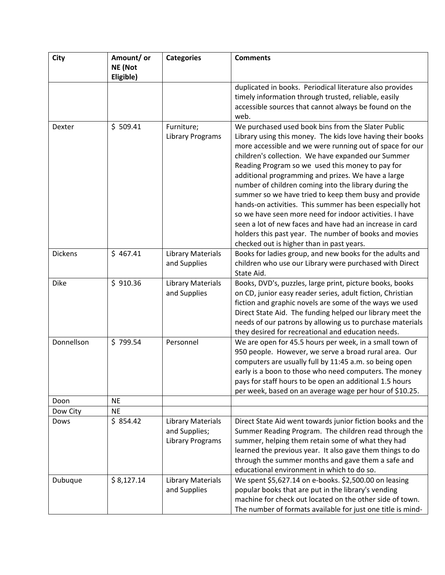| City           | Amount/ or<br>NE (Not<br>Eligible) | <b>Categories</b>                                                    | <b>Comments</b>                                                                                                                                                                                                                                                                                                                                                                                                                                                                                                                                                                                                                                                                                                                                          |
|----------------|------------------------------------|----------------------------------------------------------------------|----------------------------------------------------------------------------------------------------------------------------------------------------------------------------------------------------------------------------------------------------------------------------------------------------------------------------------------------------------------------------------------------------------------------------------------------------------------------------------------------------------------------------------------------------------------------------------------------------------------------------------------------------------------------------------------------------------------------------------------------------------|
|                |                                    |                                                                      | duplicated in books. Periodical literature also provides<br>timely information through trusted, reliable, easily<br>accessible sources that cannot always be found on the<br>web.                                                                                                                                                                                                                                                                                                                                                                                                                                                                                                                                                                        |
| Dexter         | \$509.41                           | Furniture;<br><b>Library Programs</b>                                | We purchased used book bins from the Slater Public<br>Library using this money. The kids love having their books<br>more accessible and we were running out of space for our<br>children's collection. We have expanded our Summer<br>Reading Program so we used this money to pay for<br>additional programming and prizes. We have a large<br>number of children coming into the library during the<br>summer so we have tried to keep them busy and provide<br>hands-on activities. This summer has been especially hot<br>so we have seen more need for indoor activities. I have<br>seen a lot of new faces and have had an increase in card<br>holders this past year. The number of books and movies<br>checked out is higher than in past years. |
| <b>Dickens</b> | \$467.41                           | <b>Library Materials</b><br>and Supplies                             | Books for ladies group, and new books for the adults and<br>children who use our Library were purchased with Direct<br>State Aid.                                                                                                                                                                                                                                                                                                                                                                                                                                                                                                                                                                                                                        |
| <b>Dike</b>    | \$910.36                           | <b>Library Materials</b><br>and Supplies                             | Books, DVD's, puzzles, large print, picture books, books<br>on CD, junior easy reader series, adult fiction, Christian<br>fiction and graphic novels are some of the ways we used<br>Direct State Aid. The funding helped our library meet the<br>needs of our patrons by allowing us to purchase materials<br>they desired for recreational and education needs.                                                                                                                                                                                                                                                                                                                                                                                        |
| Donnellson     | \$799.54                           | Personnel                                                            | We are open for 45.5 hours per week, in a small town of<br>950 people. However, we serve a broad rural area. Our<br>computers are usually full by 11:45 a.m. so being open<br>early is a boon to those who need computers. The money<br>pays for staff hours to be open an additional 1.5 hours<br>per week, based on an average wage per hour of \$10.25.                                                                                                                                                                                                                                                                                                                                                                                               |
| Doon           | <b>NE</b>                          |                                                                      |                                                                                                                                                                                                                                                                                                                                                                                                                                                                                                                                                                                                                                                                                                                                                          |
| Dow City       | <b>NE</b>                          |                                                                      |                                                                                                                                                                                                                                                                                                                                                                                                                                                                                                                                                                                                                                                                                                                                                          |
| Dows           | \$854.42                           | <b>Library Materials</b><br>and Supplies;<br><b>Library Programs</b> | Direct State Aid went towards junior fiction books and the<br>Summer Reading Program. The children read through the<br>summer, helping them retain some of what they had<br>learned the previous year. It also gave them things to do<br>through the summer months and gave them a safe and<br>educational environment in which to do so.                                                                                                                                                                                                                                                                                                                                                                                                                |
| Dubuque        | \$8,127.14                         | <b>Library Materials</b><br>and Supplies                             | We spent \$5,627.14 on e-books. \$2,500.00 on leasing<br>popular books that are put in the library's vending<br>machine for check out located on the other side of town.<br>The number of formats available for just one title is mind-                                                                                                                                                                                                                                                                                                                                                                                                                                                                                                                  |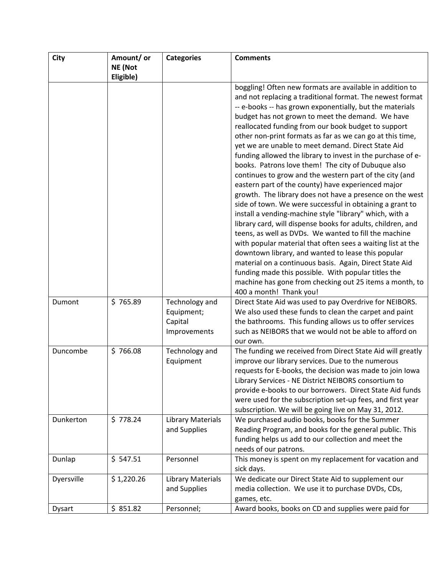| City       | Amount/ or | <b>Categories</b>                                       | <b>Comments</b>                                                                                                                                                                                                                                                                                                                                                                                                                                                                                                                                                                                                                                                                                                                                                                                                                                                                                                                                                                                                                                                                                                                                  |
|------------|------------|---------------------------------------------------------|--------------------------------------------------------------------------------------------------------------------------------------------------------------------------------------------------------------------------------------------------------------------------------------------------------------------------------------------------------------------------------------------------------------------------------------------------------------------------------------------------------------------------------------------------------------------------------------------------------------------------------------------------------------------------------------------------------------------------------------------------------------------------------------------------------------------------------------------------------------------------------------------------------------------------------------------------------------------------------------------------------------------------------------------------------------------------------------------------------------------------------------------------|
|            | NE (Not    |                                                         |                                                                                                                                                                                                                                                                                                                                                                                                                                                                                                                                                                                                                                                                                                                                                                                                                                                                                                                                                                                                                                                                                                                                                  |
|            | Eligible)  |                                                         | boggling! Often new formats are available in addition to<br>and not replacing a traditional format. The newest format<br>-- e-books -- has grown exponentially, but the materials<br>budget has not grown to meet the demand. We have<br>reallocated funding from our book budget to support<br>other non-print formats as far as we can go at this time,<br>yet we are unable to meet demand. Direct State Aid<br>funding allowed the library to invest in the purchase of e-<br>books. Patrons love them! The city of Dubuque also<br>continues to grow and the western part of the city (and<br>eastern part of the county) have experienced major<br>growth. The library does not have a presence on the west<br>side of town. We were successful in obtaining a grant to<br>install a vending-machine style "library" which, with a<br>library card, will dispense books for adults, children, and<br>teens, as well as DVDs. We wanted to fill the machine<br>with popular material that often sees a waiting list at the<br>downtown library, and wanted to lease this popular<br>material on a continuous basis. Again, Direct State Aid |
|            |            |                                                         | funding made this possible. With popular titles the<br>machine has gone from checking out 25 items a month, to<br>400 a month! Thank you!                                                                                                                                                                                                                                                                                                                                                                                                                                                                                                                                                                                                                                                                                                                                                                                                                                                                                                                                                                                                        |
| Dumont     | \$765.89   | Technology and<br>Equipment;<br>Capital<br>Improvements | Direct State Aid was used to pay Overdrive for NEIBORS.<br>We also used these funds to clean the carpet and paint<br>the bathrooms. This funding allows us to offer services<br>such as NEIBORS that we would not be able to afford on<br>our own.                                                                                                                                                                                                                                                                                                                                                                                                                                                                                                                                                                                                                                                                                                                                                                                                                                                                                               |
| Duncombe   | \$766.08   | Technology and<br>Equipment                             | The funding we received from Direct State Aid will greatly<br>improve our library services. Due to the numerous<br>requests for E-books, the decision was made to join lowa<br>Library Services - NE District NEIBORS consortium to<br>provide e-books to our borrowers. Direct State Aid funds<br>were used for the subscription set-up fees, and first year<br>subscription. We will be going live on May 31, 2012.                                                                                                                                                                                                                                                                                                                                                                                                                                                                                                                                                                                                                                                                                                                            |
| Dunkerton  | \$778.24   | <b>Library Materials</b><br>and Supplies                | We purchased audio books, books for the Summer<br>Reading Program, and books for the general public. This<br>funding helps us add to our collection and meet the<br>needs of our patrons.                                                                                                                                                                                                                                                                                                                                                                                                                                                                                                                                                                                                                                                                                                                                                                                                                                                                                                                                                        |
| Dunlap     | \$547.51   | Personnel                                               | This money is spent on my replacement for vacation and<br>sick days.                                                                                                                                                                                                                                                                                                                                                                                                                                                                                                                                                                                                                                                                                                                                                                                                                                                                                                                                                                                                                                                                             |
| Dyersville | \$1,220.26 | <b>Library Materials</b><br>and Supplies                | We dedicate our Direct State Aid to supplement our<br>media collection. We use it to purchase DVDs, CDs,<br>games, etc.                                                                                                                                                                                                                                                                                                                                                                                                                                                                                                                                                                                                                                                                                                                                                                                                                                                                                                                                                                                                                          |
| Dysart     | \$851.82   | Personnel;                                              | Award books, books on CD and supplies were paid for                                                                                                                                                                                                                                                                                                                                                                                                                                                                                                                                                                                                                                                                                                                                                                                                                                                                                                                                                                                                                                                                                              |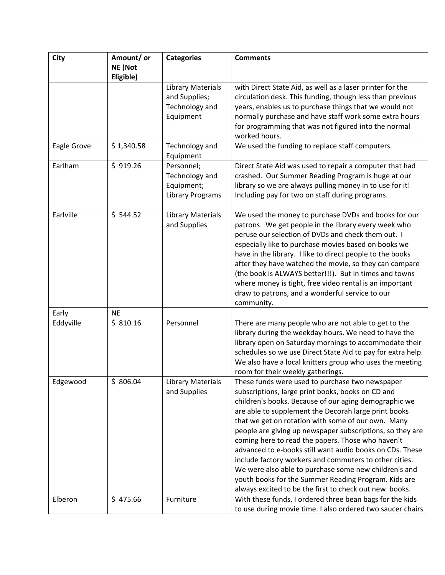| <b>City</b> | Amount/ or            | <b>Categories</b>        | <b>Comments</b>                                                                                                       |
|-------------|-----------------------|--------------------------|-----------------------------------------------------------------------------------------------------------------------|
|             | NE (Not               |                          |                                                                                                                       |
|             | Eligible)             |                          |                                                                                                                       |
|             |                       | <b>Library Materials</b> | with Direct State Aid, as well as a laser printer for the                                                             |
|             |                       | and Supplies;            | circulation desk. This funding, though less than previous                                                             |
|             |                       | Technology and           | years, enables us to purchase things that we would not                                                                |
|             |                       | Equipment                | normally purchase and have staff work some extra hours                                                                |
|             |                       |                          | for programming that was not figured into the normal                                                                  |
|             |                       |                          | worked hours.                                                                                                         |
| Eagle Grove | \$1,340.58            | Technology and           | We used the funding to replace staff computers.                                                                       |
|             |                       | Equipment                |                                                                                                                       |
| Earlham     | \$919.26              | Personnel;               | Direct State Aid was used to repair a computer that had                                                               |
|             |                       | Technology and           | crashed. Our Summer Reading Program is huge at our                                                                    |
|             |                       | Equipment;               | library so we are always pulling money in to use for it!                                                              |
|             |                       | <b>Library Programs</b>  | Including pay for two on staff during programs.                                                                       |
|             |                       |                          |                                                                                                                       |
| Earlville   | \$544.52              | <b>Library Materials</b> | We used the money to purchase DVDs and books for our                                                                  |
|             |                       | and Supplies             | patrons. We get people in the library every week who                                                                  |
|             |                       |                          | peruse our selection of DVDs and check them out. I                                                                    |
|             |                       |                          | especially like to purchase movies based on books we                                                                  |
|             |                       |                          | have in the library. I like to direct people to the books                                                             |
|             |                       |                          | after they have watched the movie, so they can compare                                                                |
|             |                       |                          | (the book is ALWAYS better!!!). But in times and towns                                                                |
|             |                       |                          | where money is tight, free video rental is an important                                                               |
|             |                       |                          | draw to patrons, and a wonderful service to our                                                                       |
|             |                       |                          | community.                                                                                                            |
| Early       | <b>NE</b><br>\$810.16 | Personnel                |                                                                                                                       |
| Eddyville   |                       |                          | There are many people who are not able to get to the                                                                  |
|             |                       |                          | library during the weekday hours. We need to have the                                                                 |
|             |                       |                          | library open on Saturday mornings to accommodate their<br>schedules so we use Direct State Aid to pay for extra help. |
|             |                       |                          |                                                                                                                       |
|             |                       |                          | We also have a local knitters group who uses the meeting                                                              |
|             | \$806.04              |                          | room for their weekly gatherings.                                                                                     |
| Edgewood    |                       | <b>Library Materials</b> | These funds were used to purchase two newspaper                                                                       |
|             |                       | and Supplies             | subscriptions, large print books, books on CD and<br>children's books. Because of our aging demographic we            |
|             |                       |                          |                                                                                                                       |
|             |                       |                          | are able to supplement the Decorah large print books                                                                  |
|             |                       |                          | that we get on rotation with some of our own. Many<br>people are giving up newspaper subscriptions, so they are       |
|             |                       |                          |                                                                                                                       |
|             |                       |                          | coming here to read the papers. Those who haven't<br>advanced to e-books still want audio books on CDs. These         |
|             |                       |                          |                                                                                                                       |
|             |                       |                          | include factory workers and commuters to other cities.                                                                |
|             |                       |                          | We were also able to purchase some new children's and                                                                 |
|             |                       |                          | youth books for the Summer Reading Program. Kids are                                                                  |
| Elberon     | \$475.66              | Furniture                | always excited to be the first to check out new books.                                                                |
|             |                       |                          | With these funds, I ordered three bean bags for the kids                                                              |
|             |                       |                          | to use during movie time. I also ordered two saucer chairs                                                            |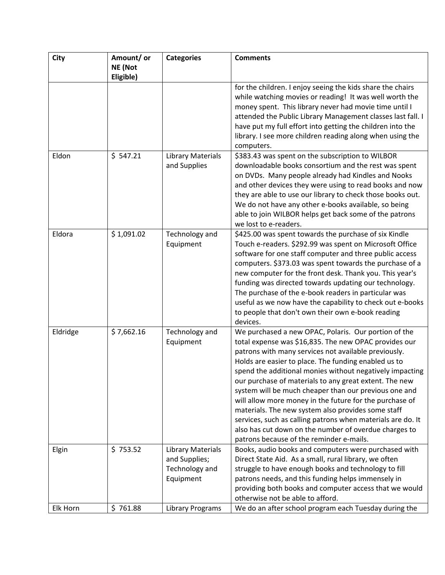| City     | Amount/ or<br>NE (Not | <b>Categories</b>                                                 | <b>Comments</b>                                                                                                                                                                                                                                                                                                                                                                                                                                                                                                                                                                                                                                                                                   |
|----------|-----------------------|-------------------------------------------------------------------|---------------------------------------------------------------------------------------------------------------------------------------------------------------------------------------------------------------------------------------------------------------------------------------------------------------------------------------------------------------------------------------------------------------------------------------------------------------------------------------------------------------------------------------------------------------------------------------------------------------------------------------------------------------------------------------------------|
|          | Eligible)             |                                                                   |                                                                                                                                                                                                                                                                                                                                                                                                                                                                                                                                                                                                                                                                                                   |
|          |                       |                                                                   | for the children. I enjoy seeing the kids share the chairs<br>while watching movies or reading! It was well worth the<br>money spent. This library never had movie time until I<br>attended the Public Library Management classes last fall. I<br>have put my full effort into getting the children into the<br>library. I see more children reading along when using the<br>computers.                                                                                                                                                                                                                                                                                                           |
| Eldon    | \$547.21              | <b>Library Materials</b><br>and Supplies                          | \$383.43 was spent on the subscription to WILBOR<br>downloadable books consortium and the rest was spent<br>on DVDs. Many people already had Kindles and Nooks<br>and other devices they were using to read books and now<br>they are able to use our library to check those books out.<br>We do not have any other e-books available, so being<br>able to join WILBOR helps get back some of the patrons<br>we lost to e-readers.                                                                                                                                                                                                                                                                |
| Eldora   | \$1,091.02            | Technology and<br>Equipment                                       | \$425.00 was spent towards the purchase of six Kindle<br>Touch e-readers. \$292.99 was spent on Microsoft Office<br>software for one staff computer and three public access<br>computers. \$373.03 was spent towards the purchase of a<br>new computer for the front desk. Thank you. This year's<br>funding was directed towards updating our technology.<br>The purchase of the e-book readers in particular was<br>useful as we now have the capability to check out e-books<br>to people that don't own their own e-book reading<br>devices.                                                                                                                                                  |
| Eldridge | \$7,662.16            | Technology and<br>Equipment                                       | We purchased a new OPAC, Polaris. Our portion of the<br>total expense was \$16,835. The new OPAC provides our<br>patrons with many services not available previously.<br>Holds are easier to place. The funding enabled us to<br>spend the additional monies without negatively impacting<br>our purchase of materials to any great extent. The new<br>system will be much cheaper than our previous one and<br>will allow more money in the future for the purchase of<br>materials. The new system also provides some staff<br>services, such as calling patrons when materials are do. It<br>also has cut down on the number of overdue charges to<br>patrons because of the reminder e-mails. |
| Elgin    | \$753.52              | Library Materials<br>and Supplies;<br>Technology and<br>Equipment | Books, audio books and computers were purchased with<br>Direct State Aid. As a small, rural library, we often<br>struggle to have enough books and technology to fill<br>patrons needs, and this funding helps immensely in<br>providing both books and computer access that we would<br>otherwise not be able to afford.                                                                                                                                                                                                                                                                                                                                                                         |
| Elk Horn | \$761.88              | <b>Library Programs</b>                                           | We do an after school program each Tuesday during the                                                                                                                                                                                                                                                                                                                                                                                                                                                                                                                                                                                                                                             |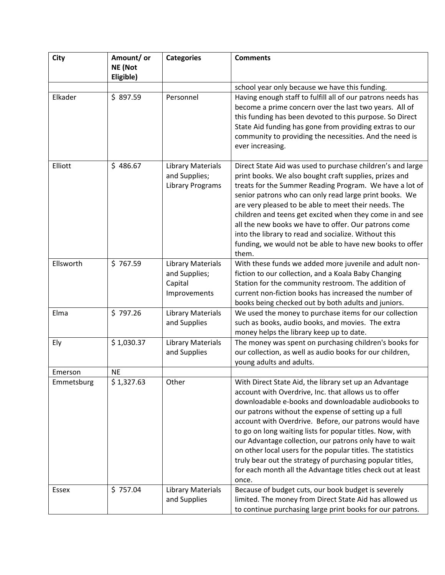| <b>City</b> | Amount/ or | <b>Categories</b>        | <b>Comments</b>                                                                                                     |
|-------------|------------|--------------------------|---------------------------------------------------------------------------------------------------------------------|
|             | NE (Not    |                          |                                                                                                                     |
|             | Eligible)  |                          |                                                                                                                     |
|             |            |                          | school year only because we have this funding.                                                                      |
| Elkader     | \$897.59   | Personnel                | Having enough staff to fulfill all of our patrons needs has                                                         |
|             |            |                          | become a prime concern over the last two years. All of                                                              |
|             |            |                          | this funding has been devoted to this purpose. So Direct<br>State Aid funding has gone from providing extras to our |
|             |            |                          | community to providing the necessities. And the need is                                                             |
|             |            |                          | ever increasing.                                                                                                    |
|             |            |                          |                                                                                                                     |
| Elliott     | \$486.67   | <b>Library Materials</b> | Direct State Aid was used to purchase children's and large                                                          |
|             |            | and Supplies;            | print books. We also bought craft supplies, prizes and                                                              |
|             |            | <b>Library Programs</b>  | treats for the Summer Reading Program. We have a lot of                                                             |
|             |            |                          | senior patrons who can only read large print books. We                                                              |
|             |            |                          | are very pleased to be able to meet their needs. The                                                                |
|             |            |                          | children and teens get excited when they come in and see                                                            |
|             |            |                          | all the new books we have to offer. Our patrons come                                                                |
|             |            |                          | into the library to read and socialize. Without this<br>funding, we would not be able to have new books to offer    |
|             |            |                          | them.                                                                                                               |
| Ellsworth   | \$767.59   | <b>Library Materials</b> | With these funds we added more juvenile and adult non-                                                              |
|             |            | and Supplies;            | fiction to our collection, and a Koala Baby Changing                                                                |
|             |            | Capital                  | Station for the community restroom. The addition of                                                                 |
|             |            | Improvements             | current non-fiction books has increased the number of                                                               |
|             |            |                          | books being checked out by both adults and juniors.                                                                 |
| Elma        | \$797.26   | <b>Library Materials</b> | We used the money to purchase items for our collection                                                              |
|             |            | and Supplies             | such as books, audio books, and movies. The extra                                                                   |
|             |            |                          | money helps the library keep up to date.                                                                            |
| Ely         | \$1,030.37 | <b>Library Materials</b> | The money was spent on purchasing children's books for                                                              |
|             |            | and Supplies             | our collection, as well as audio books for our children,                                                            |
| Emerson     | <b>NE</b>  |                          | young adults and adults.                                                                                            |
| Emmetsburg  | \$1,327.63 | Other                    | With Direct State Aid, the library set up an Advantage                                                              |
|             |            |                          | account with Overdrive, Inc. that allows us to offer                                                                |
|             |            |                          | downloadable e-books and downloadable audiobooks to                                                                 |
|             |            |                          | our patrons without the expense of setting up a full                                                                |
|             |            |                          | account with Overdrive. Before, our patrons would have                                                              |
|             |            |                          | to go on long waiting lists for popular titles. Now, with                                                           |
|             |            |                          | our Advantage collection, our patrons only have to wait                                                             |
|             |            |                          | on other local users for the popular titles. The statistics                                                         |
|             |            |                          | truly bear out the strategy of purchasing popular titles,                                                           |
|             |            |                          | for each month all the Advantage titles check out at least                                                          |
|             | \$757.04   | <b>Library Materials</b> | once.<br>Because of budget cuts, our book budget is severely                                                        |
| Essex       |            | and Supplies             | limited. The money from Direct State Aid has allowed us                                                             |
|             |            |                          | to continue purchasing large print books for our patrons.                                                           |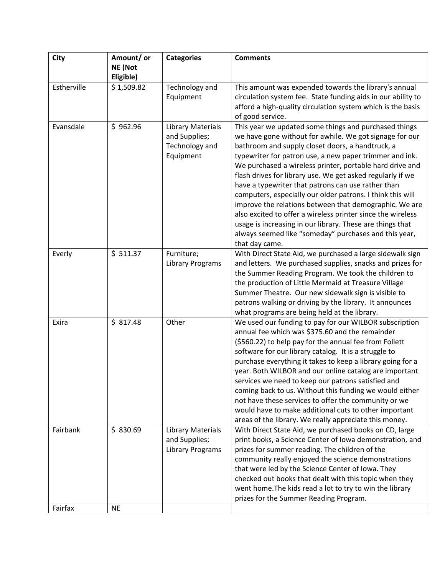| <b>City</b> | Amount/ or                  | <b>Categories</b>                                                        | <b>Comments</b>                                                                                                                                                                                                                                                                                                                                                                                                                                                                                                                                                                                                                                                                                                                                |
|-------------|-----------------------------|--------------------------------------------------------------------------|------------------------------------------------------------------------------------------------------------------------------------------------------------------------------------------------------------------------------------------------------------------------------------------------------------------------------------------------------------------------------------------------------------------------------------------------------------------------------------------------------------------------------------------------------------------------------------------------------------------------------------------------------------------------------------------------------------------------------------------------|
|             | <b>NE</b> (Not<br>Eligible) |                                                                          |                                                                                                                                                                                                                                                                                                                                                                                                                                                                                                                                                                                                                                                                                                                                                |
| Estherville | \$1,509.82                  | Technology and<br>Equipment                                              | This amount was expended towards the library's annual<br>circulation system fee. State funding aids in our ability to<br>afford a high-quality circulation system which is the basis<br>of good service.                                                                                                                                                                                                                                                                                                                                                                                                                                                                                                                                       |
| Evansdale   | \$962.96                    | <b>Library Materials</b><br>and Supplies;<br>Technology and<br>Equipment | This year we updated some things and purchased things<br>we have gone without for awhile. We got signage for our<br>bathroom and supply closet doors, a handtruck, a<br>typewriter for patron use, a new paper trimmer and ink.<br>We purchased a wireless printer, portable hard drive and<br>flash drives for library use. We get asked regularly if we<br>have a typewriter that patrons can use rather than<br>computers, especially our older patrons. I think this will<br>improve the relations between that demographic. We are<br>also excited to offer a wireless printer since the wireless<br>usage is increasing in our library. These are things that<br>always seemed like "someday" purchases and this year,<br>that day came. |
| Everly      | \$511.37                    | Furniture;<br><b>Library Programs</b>                                    | With Direct State Aid, we purchased a large sidewalk sign<br>and letters. We purchased supplies, snacks and prizes for<br>the Summer Reading Program. We took the children to<br>the production of Little Mermaid at Treasure Village<br>Summer Theatre. Our new sidewalk sign is visible to<br>patrons walking or driving by the library. It announces<br>what programs are being held at the library.                                                                                                                                                                                                                                                                                                                                        |
| Exira       | \$817.48                    | Other                                                                    | We used our funding to pay for our WILBOR subscription<br>annual fee which was \$375.60 and the remainder<br>(\$560.22) to help pay for the annual fee from Follett<br>software for our library catalog. It is a struggle to<br>purchase everything it takes to keep a library going for a<br>year. Both WILBOR and our online catalog are important<br>services we need to keep our patrons satisfied and<br>coming back to us. Without this funding we would either<br>not have these services to offer the community or we<br>would have to make additional cuts to other important<br>areas of the library. We really appreciate this money.                                                                                               |
| Fairbank    | \$830.69                    | <b>Library Materials</b><br>and Supplies;<br><b>Library Programs</b>     | With Direct State Aid, we purchased books on CD, large<br>print books, a Science Center of Iowa demonstration, and<br>prizes for summer reading. The children of the<br>community really enjoyed the science demonstrations<br>that were led by the Science Center of Iowa. They<br>checked out books that dealt with this topic when they<br>went home. The kids read a lot to try to win the library<br>prizes for the Summer Reading Program.                                                                                                                                                                                                                                                                                               |
| Fairfax     | <b>NE</b>                   |                                                                          |                                                                                                                                                                                                                                                                                                                                                                                                                                                                                                                                                                                                                                                                                                                                                |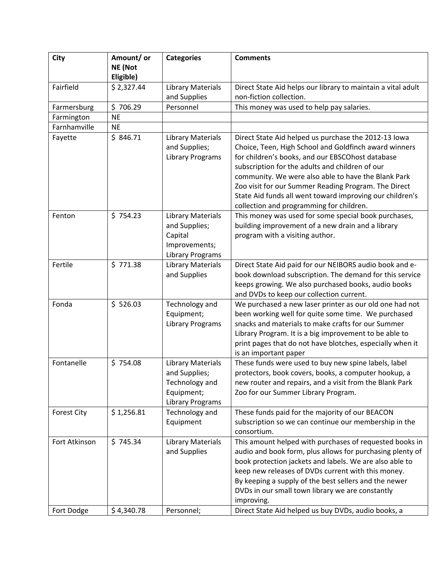| NE (Not    | <b>Categories</b>                                                                                    | <b>Comments</b>                                                                                                                                                                                                                                                                                                                                                                                                                             |
|------------|------------------------------------------------------------------------------------------------------|---------------------------------------------------------------------------------------------------------------------------------------------------------------------------------------------------------------------------------------------------------------------------------------------------------------------------------------------------------------------------------------------------------------------------------------------|
| \$2,327.44 | <b>Library Materials</b>                                                                             | Direct State Aid helps our library to maintain a vital adult<br>non-fiction collection.                                                                                                                                                                                                                                                                                                                                                     |
|            |                                                                                                      | This money was used to help pay salaries.                                                                                                                                                                                                                                                                                                                                                                                                   |
|            |                                                                                                      |                                                                                                                                                                                                                                                                                                                                                                                                                                             |
|            |                                                                                                      |                                                                                                                                                                                                                                                                                                                                                                                                                                             |
| \$846.71   | <b>Library Materials</b><br>and Supplies;<br><b>Library Programs</b>                                 | Direct State Aid helped us purchase the 2012-13 Iowa<br>Choice, Teen, High School and Goldfinch award winners<br>for children's books, and our EBSCOhost database<br>subscription for the adults and children of our<br>community. We were also able to have the Blank Park<br>Zoo visit for our Summer Reading Program. The Direct<br>State Aid funds all went toward improving our children's<br>collection and programming for children. |
| \$754.23   | <b>Library Materials</b><br>and Supplies;<br>Capital<br>Improvements;<br><b>Library Programs</b>     | This money was used for some special book purchases,<br>building improvement of a new drain and a library<br>program with a visiting author.                                                                                                                                                                                                                                                                                                |
| \$771.38   | <b>Library Materials</b><br>and Supplies                                                             | Direct State Aid paid for our NEIBORS audio book and e-<br>book download subscription. The demand for this service<br>keeps growing. We also purchased books, audio books<br>and DVDs to keep our collection current.                                                                                                                                                                                                                       |
| \$526.03   | Technology and<br>Equipment;<br><b>Library Programs</b>                                              | We purchased a new laser printer as our old one had not<br>been working well for quite some time. We purchased<br>snacks and materials to make crafts for our Summer<br>Library Program. It is a big improvement to be able to<br>print pages that do not have blotches, especially when it<br>is an important paper                                                                                                                        |
| \$754.08   | <b>Library Materials</b><br>and Supplies;<br>Technology and<br>Equipment;<br><b>Library Programs</b> | These funds were used to buy new spine labels, label<br>protectors, book covers, books, a computer hookup, a<br>new router and repairs, and a visit from the Blank Park<br>Zoo for our Summer Library Program.                                                                                                                                                                                                                              |
| \$1,256.81 | Technology and<br>Equipment                                                                          | These funds paid for the majority of our BEACON<br>subscription so we can continue our membership in the<br>consortium.                                                                                                                                                                                                                                                                                                                     |
| \$745.34   | <b>Library Materials</b><br>and Supplies                                                             | This amount helped with purchases of requested books in<br>audio and book form, plus allows for purchasing plenty of<br>book protection jackets and labels. We are also able to<br>keep new releases of DVDs current with this money.<br>By keeping a supply of the best sellers and the newer<br>DVDs in our small town library we are constantly<br>improving.<br>Direct State Aid helped us buy DVDs, audio books, a                     |
|            | Eligible)<br>\$706.29<br><b>NE</b><br><b>NE</b><br>\$4,340.78                                        | and Supplies<br>Personnel<br>Personnel;                                                                                                                                                                                                                                                                                                                                                                                                     |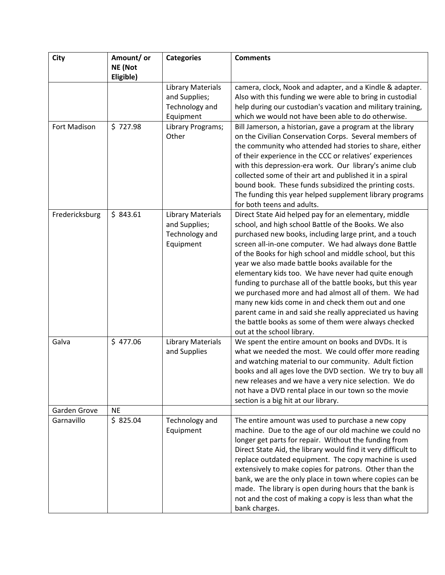| <b>City</b>    | Amount/ or | <b>Categories</b>          | <b>Comments</b>                                                                                                     |
|----------------|------------|----------------------------|---------------------------------------------------------------------------------------------------------------------|
|                | NE (Not    |                            |                                                                                                                     |
|                | Eligible)  |                            |                                                                                                                     |
|                |            | <b>Library Materials</b>   | camera, clock, Nook and adapter, and a Kindle & adapter.                                                            |
|                |            | and Supplies;              | Also with this funding we were able to bring in custodial                                                           |
|                |            | Technology and             | help during our custodian's vacation and military training,                                                         |
|                |            | Equipment                  | which we would not have been able to do otherwise.                                                                  |
| Fort Madison   | \$727.98   | Library Programs;<br>Other | Bill Jamerson, a historian, gave a program at the library<br>on the Civilian Conservation Corps. Several members of |
|                |            |                            | the community who attended had stories to share, either                                                             |
|                |            |                            | of their experience in the CCC or relatives' experiences                                                            |
|                |            |                            | with this depression-era work. Our library's anime club                                                             |
|                |            |                            | collected some of their art and published it in a spiral                                                            |
|                |            |                            | bound book. These funds subsidized the printing costs.                                                              |
|                |            |                            | The funding this year helped supplement library programs                                                            |
|                |            |                            | for both teens and adults.                                                                                          |
| Fredericksburg | \$843.61   | <b>Library Materials</b>   | Direct State Aid helped pay for an elementary, middle                                                               |
|                |            | and Supplies;              | school, and high school Battle of the Books. We also                                                                |
|                |            | Technology and             | purchased new books, including large print, and a touch                                                             |
|                |            | Equipment                  | screen all-in-one computer. We had always done Battle                                                               |
|                |            |                            | of the Books for high school and middle school, but this<br>year we also made battle books available for the        |
|                |            |                            | elementary kids too. We have never had quite enough                                                                 |
|                |            |                            | funding to purchase all of the battle books, but this year                                                          |
|                |            |                            | we purchased more and had almost all of them. We had                                                                |
|                |            |                            | many new kids come in and check them out and one                                                                    |
|                |            |                            | parent came in and said she really appreciated us having                                                            |
|                |            |                            | the battle books as some of them were always checked                                                                |
|                |            |                            | out at the school library.                                                                                          |
| Galva          | \$477.06   | <b>Library Materials</b>   | We spent the entire amount on books and DVDs. It is                                                                 |
|                |            | and Supplies               | what we needed the most. We could offer more reading                                                                |
|                |            |                            | and watching material to our community. Adult fiction                                                               |
|                |            |                            | books and all ages love the DVD section. We try to buy all<br>new releases and we have a very nice selection. We do |
|                |            |                            | not have a DVD rental place in our town so the movie                                                                |
|                |            |                            | section is a big hit at our library.                                                                                |
| Garden Grove   | <b>NE</b>  |                            |                                                                                                                     |
| Garnavillo     | \$825.04   | Technology and             | The entire amount was used to purchase a new copy                                                                   |
|                |            | Equipment                  | machine. Due to the age of our old machine we could no                                                              |
|                |            |                            | longer get parts for repair. Without the funding from                                                               |
|                |            |                            | Direct State Aid, the library would find it very difficult to                                                       |
|                |            |                            | replace outdated equipment. The copy machine is used                                                                |
|                |            |                            | extensively to make copies for patrons. Other than the                                                              |
|                |            |                            | bank, we are the only place in town where copies can be                                                             |
|                |            |                            | made. The library is open during hours that the bank is<br>not and the cost of making a copy is less than what the  |
|                |            |                            | bank charges.                                                                                                       |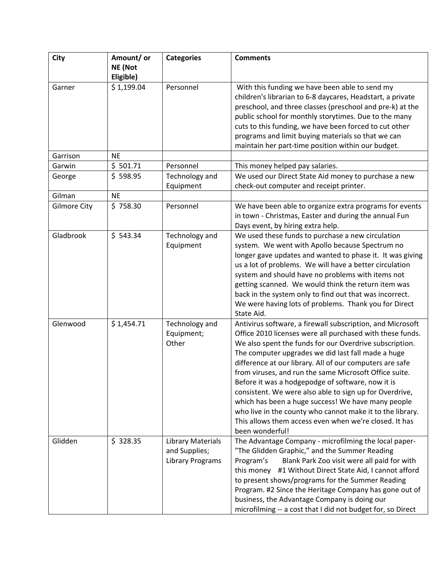| <b>City</b>         | Amount/ or     | <b>Categories</b>        | <b>Comments</b>                                             |
|---------------------|----------------|--------------------------|-------------------------------------------------------------|
|                     | <b>NE</b> (Not |                          |                                                             |
|                     | Eligible)      |                          |                                                             |
| Garner              | \$1,199.04     | Personnel                | With this funding we have been able to send my              |
|                     |                |                          | children's librarian to 6-8 daycares, Headstart, a private  |
|                     |                |                          | preschool, and three classes (preschool and pre-k) at the   |
|                     |                |                          | public school for monthly storytimes. Due to the many       |
|                     |                |                          | cuts to this funding, we have been forced to cut other      |
|                     |                |                          | programs and limit buying materials so that we can          |
| Garrison            | <b>NE</b>      |                          | maintain her part-time position within our budget.          |
| Garwin              | \$501.71       | Personnel                | This money helped pay salaries.                             |
| George              | \$598.95       | Technology and           | We used our Direct State Aid money to purchase a new        |
|                     |                | Equipment                | check-out computer and receipt printer.                     |
| Gilman              | <b>NE</b>      |                          |                                                             |
| <b>Gilmore City</b> | \$758.30       | Personnel                | We have been able to organize extra programs for events     |
|                     |                |                          | in town - Christmas, Easter and during the annual Fun       |
|                     |                |                          | Days event, by hiring extra help.                           |
| Gladbrook           | \$543.34       | Technology and           | We used these funds to purchase a new circulation           |
|                     |                | Equipment                | system. We went with Apollo because Spectrum no             |
|                     |                |                          | longer gave updates and wanted to phase it. It was giving   |
|                     |                |                          | us a lot of problems. We will have a better circulation     |
|                     |                |                          | system and should have no problems with items not           |
|                     |                |                          | getting scanned. We would think the return item was         |
|                     |                |                          | back in the system only to find out that was incorrect.     |
|                     |                |                          | We were having lots of problems. Thank you for Direct       |
|                     |                |                          | State Aid.                                                  |
| Glenwood            | \$1,454.71     | Technology and           | Antivirus software, a firewall subscription, and Microsoft  |
|                     |                | Equipment;               | Office 2010 licenses were all purchased with these funds.   |
|                     |                | Other                    | We also spent the funds for our Overdrive subscription.     |
|                     |                |                          | The computer upgrades we did last fall made a huge          |
|                     |                |                          | difference at our library. All of our computers are safe    |
|                     |                |                          | from viruses, and run the same Microsoft Office suite.      |
|                     |                |                          | Before it was a hodgepodge of software, now it is           |
|                     |                |                          | consistent. We were also able to sign up for Overdrive,     |
|                     |                |                          | which has been a huge success! We have many people          |
|                     |                |                          | who live in the county who cannot make it to the library.   |
|                     |                |                          | This allows them access even when we're closed. It has      |
|                     |                |                          | been wonderful!                                             |
| Glidden             | \$328.35       | <b>Library Materials</b> | The Advantage Company - microfilming the local paper-       |
|                     |                | and Supplies;            | "The Glidden Graphic," and the Summer Reading               |
|                     |                | <b>Library Programs</b>  | Blank Park Zoo visit were all paid for with<br>Program's    |
|                     |                |                          | this money #1 Without Direct State Aid, I cannot afford     |
|                     |                |                          | to present shows/programs for the Summer Reading            |
|                     |                |                          | Program. #2 Since the Heritage Company has gone out of      |
|                     |                |                          | business, the Advantage Company is doing our                |
|                     |                |                          | microfilming -- a cost that I did not budget for, so Direct |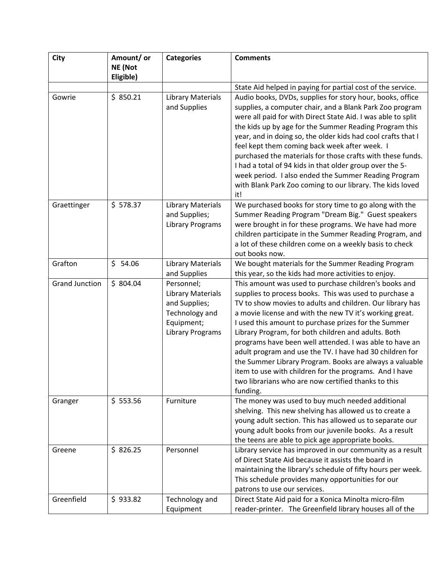| City                  | Amount/ or | <b>Categories</b>               | <b>Comments</b>                                                                                                      |
|-----------------------|------------|---------------------------------|----------------------------------------------------------------------------------------------------------------------|
|                       | NE (Not    |                                 |                                                                                                                      |
|                       | Eligible)  |                                 |                                                                                                                      |
|                       |            |                                 | State Aid helped in paying for partial cost of the service.                                                          |
| Gowrie                | \$850.21   | <b>Library Materials</b>        | Audio books, DVDs, supplies for story hour, books, office                                                            |
|                       |            | and Supplies                    | supplies, a computer chair, and a Blank Park Zoo program                                                             |
|                       |            |                                 | were all paid for with Direct State Aid. I was able to split                                                         |
|                       |            |                                 | the kids up by age for the Summer Reading Program this                                                               |
|                       |            |                                 | year, and in doing so, the older kids had cool crafts that I<br>feel kept them coming back week after week. I        |
|                       |            |                                 | purchased the materials for those crafts with these funds.                                                           |
|                       |            |                                 | I had a total of 94 kids in that older group over the 5-                                                             |
|                       |            |                                 | week period. I also ended the Summer Reading Program                                                                 |
|                       |            |                                 | with Blank Park Zoo coming to our library. The kids loved                                                            |
|                       |            |                                 | it!                                                                                                                  |
| Graettinger           | \$578.37   | <b>Library Materials</b>        | We purchased books for story time to go along with the                                                               |
|                       |            | and Supplies;                   | Summer Reading Program "Dream Big." Guest speakers                                                                   |
|                       |            | <b>Library Programs</b>         | were brought in for these programs. We have had more                                                                 |
|                       |            |                                 | children participate in the Summer Reading Program, and                                                              |
|                       |            |                                 | a lot of these children come on a weekly basis to check                                                              |
|                       |            |                                 | out books now.                                                                                                       |
| Grafton               | \$54.06    | <b>Library Materials</b>        | We bought materials for the Summer Reading Program                                                                   |
|                       |            | and Supplies                    | this year, so the kids had more activities to enjoy.                                                                 |
| <b>Grand Junction</b> | \$804.04   | Personnel;                      | This amount was used to purchase children's books and                                                                |
|                       |            | <b>Library Materials</b>        | supplies to process books. This was used to purchase a                                                               |
|                       |            | and Supplies;<br>Technology and | TV to show movies to adults and children. Our library has<br>a movie license and with the new TV it's working great. |
|                       |            | Equipment;                      | I used this amount to purchase prizes for the Summer                                                                 |
|                       |            | <b>Library Programs</b>         | Library Program, for both children and adults. Both                                                                  |
|                       |            |                                 | programs have been well attended. I was able to have an                                                              |
|                       |            |                                 | adult program and use the TV. I have had 30 children for                                                             |
|                       |            |                                 | the Summer Library Program. Books are always a valuable                                                              |
|                       |            |                                 | item to use with children for the programs. And I have                                                               |
|                       |            |                                 | two librarians who are now certified thanks to this                                                                  |
|                       |            |                                 | funding.                                                                                                             |
| Granger               | \$553.56   | Furniture                       | The money was used to buy much needed additional                                                                     |
|                       |            |                                 | shelving. This new shelving has allowed us to create a                                                               |
|                       |            |                                 | young adult section. This has allowed us to separate our                                                             |
|                       |            |                                 | young adult books from our juvenile books. As a result                                                               |
|                       |            |                                 | the teens are able to pick age appropriate books.                                                                    |
| Greene                | \$826.25   | Personnel                       | Library service has improved in our community as a result                                                            |
|                       |            |                                 | of Direct State Aid because it assists the board in                                                                  |
|                       |            |                                 | maintaining the library's schedule of fifty hours per week.                                                          |
|                       |            |                                 | This schedule provides many opportunities for our                                                                    |
|                       |            |                                 | patrons to use our services.                                                                                         |
| Greenfield            | \$933.82   | Technology and                  | Direct State Aid paid for a Konica Minolta micro-film                                                                |
|                       |            | Equipment                       | reader-printer. The Greenfield library houses all of the                                                             |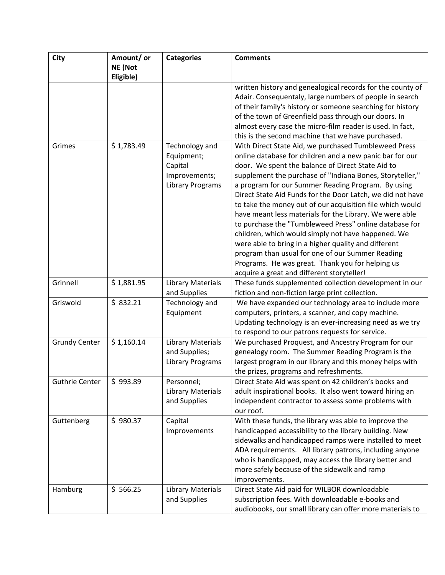| City                  | Amount/ or | <b>Categories</b>        | <b>Comments</b>                                                                                        |
|-----------------------|------------|--------------------------|--------------------------------------------------------------------------------------------------------|
|                       | NE (Not    |                          |                                                                                                        |
|                       | Eligible)  |                          |                                                                                                        |
|                       |            |                          | written history and genealogical records for the county of                                             |
|                       |            |                          | Adair. Consequentaly, large numbers of people in search                                                |
|                       |            |                          | of their family's history or someone searching for history                                             |
|                       |            |                          | of the town of Greenfield pass through our doors. In                                                   |
|                       |            |                          | almost every case the micro-film reader is used. In fact,                                              |
|                       |            |                          | this is the second machine that we have purchased.                                                     |
| Grimes                | \$1,783.49 | Technology and           | With Direct State Aid, we purchased Tumbleweed Press                                                   |
|                       |            | Equipment;               | online database for children and a new panic bar for our                                               |
|                       |            | Capital                  | door. We spent the balance of Direct State Aid to                                                      |
|                       |            | Improvements;            | supplement the purchase of "Indiana Bones, Storyteller,"                                               |
|                       |            | <b>Library Programs</b>  | a program for our Summer Reading Program. By using                                                     |
|                       |            |                          | Direct State Aid Funds for the Door Latch, we did not have                                             |
|                       |            |                          | to take the money out of our acquisition file which would                                              |
|                       |            |                          | have meant less materials for the Library. We were able                                                |
|                       |            |                          | to purchase the "Tumbleweed Press" online database for                                                 |
|                       |            |                          | children, which would simply not have happened. We                                                     |
|                       |            |                          | were able to bring in a higher quality and different                                                   |
|                       |            |                          | program than usual for one of our Summer Reading                                                       |
|                       |            |                          | Programs. He was great. Thank you for helping us                                                       |
|                       |            |                          | acquire a great and different storyteller!                                                             |
| Grinnell              | \$1,881.95 | <b>Library Materials</b> | These funds supplemented collection development in our                                                 |
|                       |            | and Supplies             | fiction and non-fiction large print collection.                                                        |
| Griswold              | \$832.21   | Technology and           | We have expanded our technology area to include more                                                   |
|                       |            | Equipment                | computers, printers, a scanner, and copy machine.                                                      |
|                       |            |                          | Updating technology is an ever-increasing need as we try                                               |
| <b>Grundy Center</b>  | \$1,160.14 | <b>Library Materials</b> | to respond to our patrons requests for service.<br>We purchased Proquest, and Ancestry Program for our |
|                       |            | and Supplies;            | genealogy room. The Summer Reading Program is the                                                      |
|                       |            | <b>Library Programs</b>  | largest program in our library and this money helps with                                               |
|                       |            |                          | the prizes, programs and refreshments.                                                                 |
| <b>Guthrie Center</b> | \$993.89   | Personnel;               | Direct State Aid was spent on 42 children's books and                                                  |
|                       |            | <b>Library Materials</b> | adult inspirational books. It also went toward hiring an                                               |
|                       |            | and Supplies             | independent contractor to assess some problems with                                                    |
|                       |            |                          | our roof.                                                                                              |
| Guttenberg            | \$980.37   | Capital                  | With these funds, the library was able to improve the                                                  |
|                       |            | Improvements             | handicapped accessibility to the library building. New                                                 |
|                       |            |                          | sidewalks and handicapped ramps were installed to meet                                                 |
|                       |            |                          | ADA requirements. All library patrons, including anyone                                                |
|                       |            |                          | who is handicapped, may access the library better and                                                  |
|                       |            |                          | more safely because of the sidewalk and ramp                                                           |
|                       |            |                          | improvements.                                                                                          |
| Hamburg               | \$566.25   | <b>Library Materials</b> | Direct State Aid paid for WILBOR downloadable                                                          |
|                       |            | and Supplies             | subscription fees. With downloadable e-books and                                                       |
|                       |            |                          | audiobooks, our small library can offer more materials to                                              |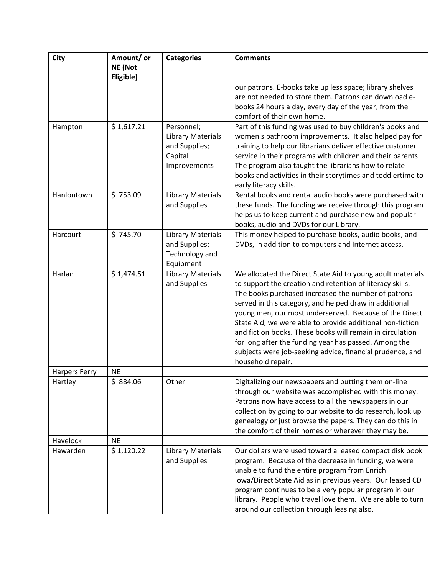| City                 | Amount/ or           | <b>Categories</b>               | <b>Comments</b>                                                                                                    |
|----------------------|----------------------|---------------------------------|--------------------------------------------------------------------------------------------------------------------|
|                      | NE (Not<br>Eligible) |                                 |                                                                                                                    |
|                      |                      |                                 | our patrons. E-books take up less space; library shelves                                                           |
|                      |                      |                                 | are not needed to store them. Patrons can download e-                                                              |
|                      |                      |                                 | books 24 hours a day, every day of the year, from the                                                              |
|                      |                      |                                 | comfort of their own home.                                                                                         |
| Hampton              | \$1,617.21           | Personnel;                      | Part of this funding was used to buy children's books and                                                          |
|                      |                      | <b>Library Materials</b>        | women's bathroom improvements. It also helped pay for                                                              |
|                      |                      | and Supplies;                   | training to help our librarians deliver effective customer                                                         |
|                      |                      | Capital<br>Improvements         | service in their programs with children and their parents.<br>The program also taught the librarians how to relate |
|                      |                      |                                 | books and activities in their storytimes and toddlertime to                                                        |
|                      |                      |                                 | early literacy skills.                                                                                             |
| Hanlontown           | \$753.09             | <b>Library Materials</b>        | Rental books and rental audio books were purchased with                                                            |
|                      |                      | and Supplies                    | these funds. The funding we receive through this program                                                           |
|                      |                      |                                 | helps us to keep current and purchase new and popular                                                              |
|                      |                      |                                 | books, audio and DVDs for our Library.                                                                             |
| Harcourt             | \$745.70             | <b>Library Materials</b>        | This money helped to purchase books, audio books, and                                                              |
|                      |                      | and Supplies;<br>Technology and | DVDs, in addition to computers and Internet access.                                                                |
|                      |                      | Equipment                       |                                                                                                                    |
| Harlan               | \$1,474.51           | <b>Library Materials</b>        | We allocated the Direct State Aid to young adult materials                                                         |
|                      |                      | and Supplies                    | to support the creation and retention of literacy skills.                                                          |
|                      |                      |                                 | The books purchased increased the number of patrons                                                                |
|                      |                      |                                 | served in this category, and helped draw in additional                                                             |
|                      |                      |                                 | young men, our most underserved. Because of the Direct                                                             |
|                      |                      |                                 | State Aid, we were able to provide additional non-fiction                                                          |
|                      |                      |                                 | and fiction books. These books will remain in circulation                                                          |
|                      |                      |                                 | for long after the funding year has passed. Among the<br>subjects were job-seeking advice, financial prudence, and |
|                      |                      |                                 | household repair.                                                                                                  |
| <b>Harpers Ferry</b> | <b>NE</b>            |                                 |                                                                                                                    |
| Hartley              | \$84.06              | Other                           | Digitalizing our newspapers and putting them on-line                                                               |
|                      |                      |                                 | through our website was accomplished with this money.                                                              |
|                      |                      |                                 | Patrons now have access to all the newspapers in our                                                               |
|                      |                      |                                 | collection by going to our website to do research, look up                                                         |
|                      |                      |                                 | genealogy or just browse the papers. They can do this in<br>the comfort of their homes or wherever they may be.    |
| Havelock             | <b>NE</b>            |                                 |                                                                                                                    |
| Hawarden             | \$1,120.22           | <b>Library Materials</b>        | Our dollars were used toward a leased compact disk book                                                            |
|                      |                      | and Supplies                    | program. Because of the decrease in funding, we were                                                               |
|                      |                      |                                 | unable to fund the entire program from Enrich                                                                      |
|                      |                      |                                 | Iowa/Direct State Aid as in previous years. Our leased CD                                                          |
|                      |                      |                                 | program continues to be a very popular program in our                                                              |
|                      |                      |                                 | library. People who travel love them. We are able to turn                                                          |
|                      |                      |                                 | around our collection through leasing also.                                                                        |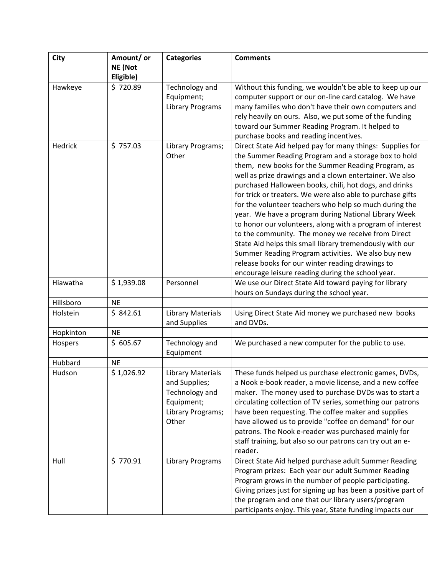| <b>City</b> | Amount/ or | <b>Categories</b>           | <b>Comments</b>                                                                                              |
|-------------|------------|-----------------------------|--------------------------------------------------------------------------------------------------------------|
|             | NE (Not    |                             |                                                                                                              |
|             | Eligible)  |                             |                                                                                                              |
| Hawkeye     | \$720.89   | Technology and              | Without this funding, we wouldn't be able to keep up our                                                     |
|             |            | Equipment;                  | computer support or our on-line card catalog. We have                                                        |
|             |            | <b>Library Programs</b>     | many families who don't have their own computers and                                                         |
|             |            |                             | rely heavily on ours. Also, we put some of the funding                                                       |
|             |            |                             | toward our Summer Reading Program. It helped to<br>purchase books and reading incentives.                    |
| Hedrick     | \$757.03   | Library Programs;           | Direct State Aid helped pay for many things: Supplies for                                                    |
|             |            | Other                       | the Summer Reading Program and a storage box to hold                                                         |
|             |            |                             | them, new books for the Summer Reading Program, as                                                           |
|             |            |                             | well as prize drawings and a clown entertainer. We also                                                      |
|             |            |                             | purchased Halloween books, chili, hot dogs, and drinks                                                       |
|             |            |                             | for trick or treaters. We were also able to purchase gifts                                                   |
|             |            |                             | for the volunteer teachers who help so much during the                                                       |
|             |            |                             | year. We have a program during National Library Week                                                         |
|             |            |                             | to honor our volunteers, along with a program of interest                                                    |
|             |            |                             | to the community. The money we receive from Direct                                                           |
|             |            |                             | State Aid helps this small library tremendously with our                                                     |
|             |            |                             | Summer Reading Program activities. We also buy new<br>release books for our winter reading drawings to       |
|             |            |                             | encourage leisure reading during the school year.                                                            |
| Hiawatha    | \$1,939.08 | Personnel                   | We use our Direct State Aid toward paying for library                                                        |
|             |            |                             | hours on Sundays during the school year.                                                                     |
| Hillsboro   | <b>NE</b>  |                             |                                                                                                              |
| Holstein    | \$842.61   | <b>Library Materials</b>    | Using Direct State Aid money we purchased new books                                                          |
|             |            | and Supplies                | and DVDs.                                                                                                    |
| Hopkinton   | <b>NE</b>  |                             |                                                                                                              |
| Hospers     | \$605.67   | Technology and<br>Equipment | We purchased a new computer for the public to use.                                                           |
| Hubbard     | <b>NE</b>  |                             |                                                                                                              |
| Hudson      | \$1,026.92 | <b>Library Materials</b>    | These funds helped us purchase electronic games, DVDs,                                                       |
|             |            | and Supplies;               | a Nook e-book reader, a movie license, and a new coffee                                                      |
|             |            | Technology and              | maker. The money used to purchase DVDs was to start a                                                        |
|             |            | Equipment;                  | circulating collection of TV series, something our patrons                                                   |
|             |            | Library Programs;<br>Other  | have been requesting. The coffee maker and supplies<br>have allowed us to provide "coffee on demand" for our |
|             |            |                             | patrons. The Nook e-reader was purchased mainly for                                                          |
|             |            |                             | staff training, but also so our patrons can try out an e-                                                    |
|             |            |                             | reader.                                                                                                      |
| Hull        | \$770.91   | <b>Library Programs</b>     | Direct State Aid helped purchase adult Summer Reading<br>Program prizes: Each year our adult Summer Reading  |
|             |            |                             | Program grows in the number of people participating.                                                         |
|             |            |                             | Giving prizes just for signing up has been a positive part of                                                |
|             |            |                             | the program and one that our library users/program                                                           |
|             |            |                             | participants enjoy. This year, State funding impacts our                                                     |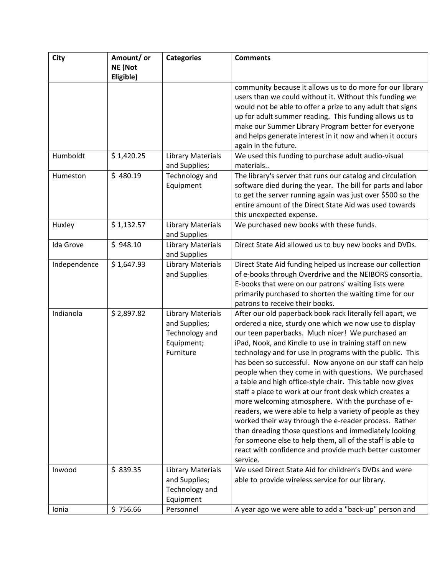| <b>City</b>  | Amount/ or<br>NE (Not | <b>Categories</b>                        | <b>Comments</b>                                             |
|--------------|-----------------------|------------------------------------------|-------------------------------------------------------------|
|              | Eligible)             |                                          |                                                             |
|              |                       |                                          | community because it allows us to do more for our library   |
|              |                       |                                          | users than we could without it. Without this funding we     |
|              |                       |                                          | would not be able to offer a prize to any adult that signs  |
|              |                       |                                          | up for adult summer reading. This funding allows us to      |
|              |                       |                                          | make our Summer Library Program better for everyone         |
|              |                       |                                          | and helps generate interest in it now and when it occurs    |
|              |                       |                                          | again in the future.                                        |
| Humboldt     | \$1,420.25            | <b>Library Materials</b>                 | We used this funding to purchase adult audio-visual         |
|              |                       | and Supplies;                            | materials                                                   |
| Humeston     | \$480.19              | Technology and                           | The library's server that runs our catalog and circulation  |
|              |                       | Equipment                                | software died during the year. The bill for parts and labor |
|              |                       |                                          | to get the server running again was just over \$500 so the  |
|              |                       |                                          | entire amount of the Direct State Aid was used towards      |
|              |                       |                                          | this unexpected expense.                                    |
| Huxley       | \$1,132.57            | <b>Library Materials</b><br>and Supplies | We purchased new books with these funds.                    |
| Ida Grove    | \$948.10              | <b>Library Materials</b>                 | Direct State Aid allowed us to buy new books and DVDs.      |
|              |                       | and Supplies                             |                                                             |
| Independence | \$1,647.93            | <b>Library Materials</b>                 | Direct State Aid funding helped us increase our collection  |
|              |                       | and Supplies                             | of e-books through Overdrive and the NEIBORS consortia.     |
|              |                       |                                          | E-books that were on our patrons' waiting lists were        |
|              |                       |                                          | primarily purchased to shorten the waiting time for our     |
|              |                       |                                          | patrons to receive their books.                             |
| Indianola    | \$2,897.82            | <b>Library Materials</b>                 | After our old paperback book rack literally fell apart, we  |
|              |                       | and Supplies;                            | ordered a nice, sturdy one which we now use to display      |
|              |                       | Technology and                           | our teen paperbacks. Much nicer! We purchased an            |
|              |                       | Equipment;                               | iPad, Nook, and Kindle to use in training staff on new      |
|              |                       | Furniture                                | technology and for use in programs with the public. This    |
|              |                       |                                          | has been so successful. Now anyone on our staff can help    |
|              |                       |                                          | people when they come in with questions. We purchased       |
|              |                       |                                          | a table and high office-style chair. This table now gives   |
|              |                       |                                          | staff a place to work at our front desk which creates a     |
|              |                       |                                          | more welcoming atmosphere. With the purchase of e-          |
|              |                       |                                          | readers, we were able to help a variety of people as they   |
|              |                       |                                          | worked their way through the e-reader process. Rather       |
|              |                       |                                          | than dreading those questions and immediately looking       |
|              |                       |                                          | for someone else to help them, all of the staff is able to  |
|              |                       |                                          | react with confidence and provide much better customer      |
|              |                       |                                          | service.                                                    |
| Inwood       | \$839.35              | <b>Library Materials</b>                 | We used Direct State Aid for children's DVDs and were       |
|              |                       | and Supplies;                            | able to provide wireless service for our library.           |
|              |                       | Technology and                           |                                                             |
|              |                       | Equipment                                |                                                             |
| Ionia        | \$756.66              | Personnel                                | A year ago we were able to add a "back-up" person and       |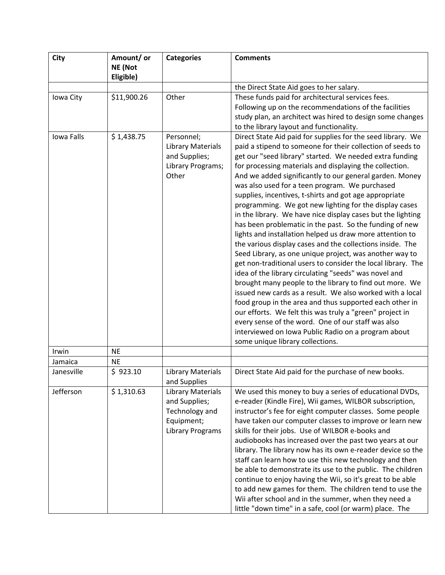| <b>City</b> | Amount/ or  | <b>Categories</b>                                                                                    | <b>Comments</b>                                                                                                                                                                                                                                                                                                                                                                                                                                                                                                                                                                                                                                                                                                                                                                              |
|-------------|-------------|------------------------------------------------------------------------------------------------------|----------------------------------------------------------------------------------------------------------------------------------------------------------------------------------------------------------------------------------------------------------------------------------------------------------------------------------------------------------------------------------------------------------------------------------------------------------------------------------------------------------------------------------------------------------------------------------------------------------------------------------------------------------------------------------------------------------------------------------------------------------------------------------------------|
|             | NE (Not     |                                                                                                      |                                                                                                                                                                                                                                                                                                                                                                                                                                                                                                                                                                                                                                                                                                                                                                                              |
|             | Eligible)   |                                                                                                      |                                                                                                                                                                                                                                                                                                                                                                                                                                                                                                                                                                                                                                                                                                                                                                                              |
|             |             |                                                                                                      | the Direct State Aid goes to her salary.                                                                                                                                                                                                                                                                                                                                                                                                                                                                                                                                                                                                                                                                                                                                                     |
| Iowa City   | \$11,900.26 | Other                                                                                                | These funds paid for architectural services fees.                                                                                                                                                                                                                                                                                                                                                                                                                                                                                                                                                                                                                                                                                                                                            |
|             |             |                                                                                                      | Following up on the recommendations of the facilities                                                                                                                                                                                                                                                                                                                                                                                                                                                                                                                                                                                                                                                                                                                                        |
|             |             |                                                                                                      | study plan, an architect was hired to design some changes                                                                                                                                                                                                                                                                                                                                                                                                                                                                                                                                                                                                                                                                                                                                    |
|             |             |                                                                                                      | to the library layout and functionality.                                                                                                                                                                                                                                                                                                                                                                                                                                                                                                                                                                                                                                                                                                                                                     |
| Iowa Falls  | \$1,438.75  | Personnel;<br><b>Library Materials</b><br>and Supplies;<br>Library Programs;<br>Other                | Direct State Aid paid for supplies for the seed library. We<br>paid a stipend to someone for their collection of seeds to<br>get our "seed library" started. We needed extra funding<br>for processing materials and displaying the collection.<br>And we added significantly to our general garden. Money<br>was also used for a teen program. We purchased<br>supplies, incentives, t-shirts and got age appropriate<br>programming. We got new lighting for the display cases<br>in the library. We have nice display cases but the lighting<br>has been problematic in the past. So the funding of new                                                                                                                                                                                   |
|             |             |                                                                                                      | lights and installation helped us draw more attention to<br>the various display cases and the collections inside. The<br>Seed Library, as one unique project, was another way to<br>get non-traditional users to consider the local library. The<br>idea of the library circulating "seeds" was novel and<br>brought many people to the library to find out more. We<br>issued new cards as a result. We also worked with a local<br>food group in the area and thus supported each other in<br>our efforts. We felt this was truly a "green" project in<br>every sense of the word. One of our staff was also<br>interviewed on Iowa Public Radio on a program about<br>some unique library collections.                                                                                    |
| Irwin       | <b>NE</b>   |                                                                                                      |                                                                                                                                                                                                                                                                                                                                                                                                                                                                                                                                                                                                                                                                                                                                                                                              |
| Jamaica     | <b>NE</b>   |                                                                                                      |                                                                                                                                                                                                                                                                                                                                                                                                                                                                                                                                                                                                                                                                                                                                                                                              |
| Janesville  | \$923.10    | <b>Library Materials</b><br>and Supplies                                                             | Direct State Aid paid for the purchase of new books.                                                                                                                                                                                                                                                                                                                                                                                                                                                                                                                                                                                                                                                                                                                                         |
| Jefferson   | \$1,310.63  | <b>Library Materials</b><br>and Supplies;<br>Technology and<br>Equipment;<br><b>Library Programs</b> | We used this money to buy a series of educational DVDs,<br>e-reader (Kindle Fire), Wii games, WILBOR subscription,<br>instructor's fee for eight computer classes. Some people<br>have taken our computer classes to improve or learn new<br>skills for their jobs. Use of WILBOR e-books and<br>audiobooks has increased over the past two years at our<br>library. The library now has its own e-reader device so the<br>staff can learn how to use this new technology and then<br>be able to demonstrate its use to the public. The children<br>continue to enjoy having the Wii, so it's great to be able<br>to add new games for them. The children tend to use the<br>Wii after school and in the summer, when they need a<br>little "down time" in a safe, cool (or warm) place. The |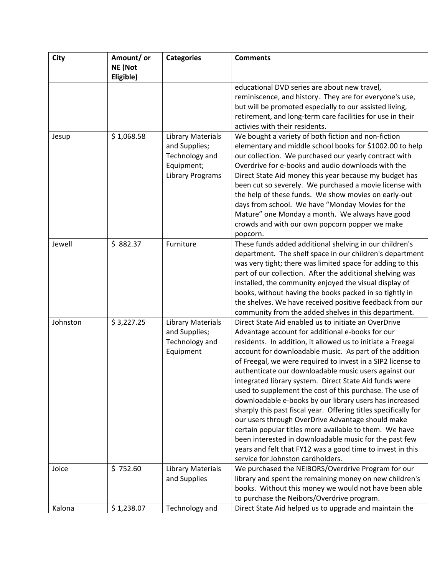| City     | Amount/ or | <b>Categories</b>        | <b>Comments</b>                                                                                                     |
|----------|------------|--------------------------|---------------------------------------------------------------------------------------------------------------------|
|          | NE (Not    |                          |                                                                                                                     |
|          | Eligible)  |                          |                                                                                                                     |
|          |            |                          | educational DVD series are about new travel,                                                                        |
|          |            |                          | reminiscence, and history. They are for everyone's use,                                                             |
|          |            |                          | but will be promoted especially to our assisted living,                                                             |
|          |            |                          | retirement, and long-term care facilities for use in their                                                          |
|          |            |                          | activies with their residents.                                                                                      |
| Jesup    | \$1,068.58 | <b>Library Materials</b> | We bought a variety of both fiction and non-fiction                                                                 |
|          |            | and Supplies;            | elementary and middle school books for \$1002.00 to help                                                            |
|          |            | Technology and           | our collection. We purchased our yearly contract with                                                               |
|          |            | Equipment;               | Overdrive for e-books and audio downloads with the                                                                  |
|          |            | <b>Library Programs</b>  | Direct State Aid money this year because my budget has                                                              |
|          |            |                          | been cut so severely. We purchased a movie license with                                                             |
|          |            |                          | the help of these funds. We show movies on early-out                                                                |
|          |            |                          | days from school. We have "Monday Movies for the                                                                    |
|          |            |                          | Mature" one Monday a month. We always have good                                                                     |
|          |            |                          | crowds and with our own popcorn popper we make                                                                      |
| Jewell   | \$882.37   |                          | popcorn.                                                                                                            |
|          |            | Furniture                | These funds added additional shelving in our children's                                                             |
|          |            |                          | department. The shelf space in our children's department                                                            |
|          |            |                          | was very tight; there was limited space for adding to this                                                          |
|          |            |                          | part of our collection. After the additional shelving was<br>installed, the community enjoyed the visual display of |
|          |            |                          | books, without having the books packed in so tightly in                                                             |
|          |            |                          | the shelves. We have received positive feedback from our                                                            |
|          |            |                          | community from the added shelves in this department.                                                                |
| Johnston | \$3,227.25 | <b>Library Materials</b> | Direct State Aid enabled us to initiate an OverDrive                                                                |
|          |            | and Supplies;            | Advantage account for additional e-books for our                                                                    |
|          |            | Technology and           | residents. In addition, it allowed us to initiate a Freegal                                                         |
|          |            | Equipment                | account for downloadable music. As part of the addition                                                             |
|          |            |                          | of Freegal, we were required to invest in a SIP2 license to                                                         |
|          |            |                          | authenticate our downloadable music users against our                                                               |
|          |            |                          | integrated library system. Direct State Aid funds were                                                              |
|          |            |                          | used to supplement the cost of this purchase. The use of                                                            |
|          |            |                          | downloadable e-books by our library users has increased                                                             |
|          |            |                          | sharply this past fiscal year. Offering titles specifically for                                                     |
|          |            |                          | our users through OverDrive Advantage should make                                                                   |
|          |            |                          | certain popular titles more available to them. We have                                                              |
|          |            |                          | been interested in downloadable music for the past few                                                              |
|          |            |                          | years and felt that FY12 was a good time to invest in this                                                          |
|          |            |                          | service for Johnston cardholders.                                                                                   |
| Joice    | \$752.60   | <b>Library Materials</b> | We purchased the NEIBORS/Overdrive Program for our                                                                  |
|          |            | and Supplies             | library and spent the remaining money on new children's                                                             |
|          |            |                          | books. Without this money we would not have been able                                                               |
|          |            |                          | to purchase the Neibors/Overdrive program.                                                                          |
| Kalona   | \$1,238.07 | Technology and           | Direct State Aid helped us to upgrade and maintain the                                                              |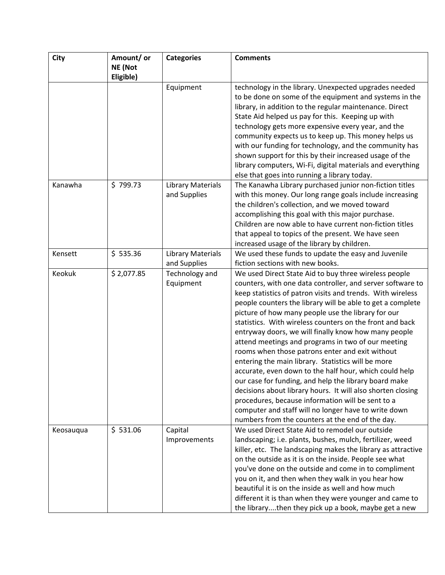| <b>City</b> | Amount/ or | <b>Categories</b>        | <b>Comments</b>                                              |
|-------------|------------|--------------------------|--------------------------------------------------------------|
|             | NE (Not    |                          |                                                              |
|             | Eligible)  |                          |                                                              |
|             |            | Equipment                | technology in the library. Unexpected upgrades needed        |
|             |            |                          | to be done on some of the equipment and systems in the       |
|             |            |                          | library, in addition to the regular maintenance. Direct      |
|             |            |                          | State Aid helped us pay for this. Keeping up with            |
|             |            |                          | technology gets more expensive every year, and the           |
|             |            |                          | community expects us to keep up. This money helps us         |
|             |            |                          | with our funding for technology, and the community has       |
|             |            |                          | shown support for this by their increased usage of the       |
|             |            |                          | library computers, Wi-Fi, digital materials and everything   |
|             |            |                          | else that goes into running a library today.                 |
| Kanawha     | \$799.73   | <b>Library Materials</b> | The Kanawha Library purchased junior non-fiction titles      |
|             |            | and Supplies             | with this money. Our long range goals include increasing     |
|             |            |                          | the children's collection, and we moved toward               |
|             |            |                          | accomplishing this goal with this major purchase.            |
|             |            |                          | Children are now able to have current non-fiction titles     |
|             |            |                          | that appeal to topics of the present. We have seen           |
|             |            |                          | increased usage of the library by children.                  |
| Kensett     | \$535.36   | <b>Library Materials</b> | We used these funds to update the easy and Juvenile          |
|             |            | and Supplies             | fiction sections with new books.                             |
| Keokuk      | \$2,077.85 | Technology and           | We used Direct State Aid to buy three wireless people        |
|             |            | Equipment                | counters, with one data controller, and server software to   |
|             |            |                          | keep statistics of patron visits and trends. With wireless   |
|             |            |                          | people counters the library will be able to get a complete   |
|             |            |                          | picture of how many people use the library for our           |
|             |            |                          | statistics. With wireless counters on the front and back     |
|             |            |                          | entryway doors, we will finally know how many people         |
|             |            |                          | attend meetings and programs in two of our meeting           |
|             |            |                          | rooms when those patrons enter and exit without              |
|             |            |                          | entering the main library. Statistics will be more           |
|             |            |                          | accurate, even down to the half hour, which could help       |
|             |            |                          | our case for funding, and help the library board make        |
|             |            |                          | decisions about library hours. It will also shorten closing  |
|             |            |                          | procedures, because information will be sent to a            |
|             |            |                          | computer and staff will no longer have to write down         |
|             |            |                          | numbers from the counters at the end of the day.             |
| Keosauqua   | \$531.06   | Capital                  | We used Direct State Aid to remodel our outside              |
|             |            | Improvements             | landscaping; i.e. plants, bushes, mulch, fertilizer, weed    |
|             |            |                          | killer, etc. The landscaping makes the library as attractive |
|             |            |                          | on the outside as it is on the inside. People see what       |
|             |            |                          | you've done on the outside and come in to compliment         |
|             |            |                          | you on it, and then when they walk in you hear how           |
|             |            |                          | beautiful it is on the inside as well and how much           |
|             |            |                          | different it is than when they were younger and came to      |
|             |            |                          | the librarythen they pick up a book, maybe get a new         |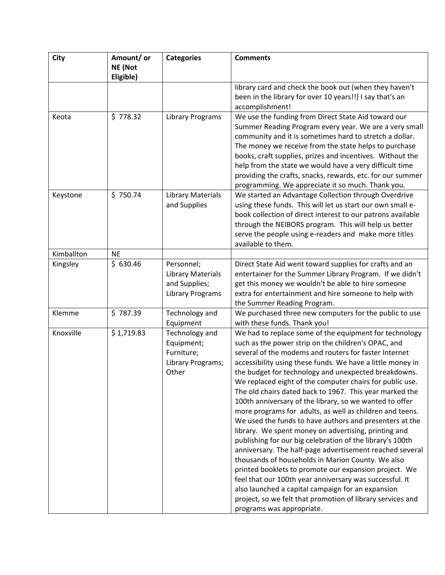| <b>City</b> | Amount/ or<br>NE (Not | <b>Categories</b>                                                                  | <b>Comments</b>                                                                                                                                                                                                                                                                                                                                                                                                                                                                                                                                                                                                                                                                                                                                                                                                                                                                                                                                                                                                                                                                                                 |
|-------------|-----------------------|------------------------------------------------------------------------------------|-----------------------------------------------------------------------------------------------------------------------------------------------------------------------------------------------------------------------------------------------------------------------------------------------------------------------------------------------------------------------------------------------------------------------------------------------------------------------------------------------------------------------------------------------------------------------------------------------------------------------------------------------------------------------------------------------------------------------------------------------------------------------------------------------------------------------------------------------------------------------------------------------------------------------------------------------------------------------------------------------------------------------------------------------------------------------------------------------------------------|
|             | Eligible)             |                                                                                    | library card and check the book out (when they haven't<br>been in the library for over 10 years!!) I say that's an<br>accomplishment!                                                                                                                                                                                                                                                                                                                                                                                                                                                                                                                                                                                                                                                                                                                                                                                                                                                                                                                                                                           |
| Keota       | \$778.32              | <b>Library Programs</b>                                                            | We use the funding from Direct State Aid toward our<br>Summer Reading Program every year. We are a very small<br>community and it is sometimes hard to stretch a dollar.<br>The money we receive from the state helps to purchase<br>books, craft supplies, prizes and incentives. Without the<br>help from the state we would have a very difficult time<br>providing the crafts, snacks, rewards, etc. for our summer<br>programming. We appreciate it so much. Thank you.                                                                                                                                                                                                                                                                                                                                                                                                                                                                                                                                                                                                                                    |
| Keystone    | \$750.74              | <b>Library Materials</b><br>and Supplies                                           | We started an Advantage Collection through Overdrive<br>using these funds. This will let us start our own small e-<br>book collection of direct interest to our patrons available<br>through the NEIBORS program. This will help us better<br>serve the people using e-readers and make more titles<br>available to them.                                                                                                                                                                                                                                                                                                                                                                                                                                                                                                                                                                                                                                                                                                                                                                                       |
| Kimballton  | <b>NE</b>             |                                                                                    |                                                                                                                                                                                                                                                                                                                                                                                                                                                                                                                                                                                                                                                                                                                                                                                                                                                                                                                                                                                                                                                                                                                 |
| Kingsley    | \$630.46              | Personnel;<br><b>Library Materials</b><br>and Supplies;<br><b>Library Programs</b> | Direct State Aid went toward supplies for crafts and an<br>entertainer for the Summer Library Program. If we didn't<br>get this money we wouldn't be able to hire someone<br>extra for entertainment and hire someone to help with<br>the Summer Reading Program.                                                                                                                                                                                                                                                                                                                                                                                                                                                                                                                                                                                                                                                                                                                                                                                                                                               |
| Klemme      | \$787.39              | Technology and<br>Equipment                                                        | We purchased three new computers for the public to use<br>with these funds. Thank you!                                                                                                                                                                                                                                                                                                                                                                                                                                                                                                                                                                                                                                                                                                                                                                                                                                                                                                                                                                                                                          |
| Knoxville   | \$1,719.83            | Technology and<br>Equipment;<br>Furniture;<br>Library Programs;<br>Other           | We had to replace some of the equipment for technology<br>such as the power strip on the children's OPAC, and<br>several of the modems and routers for faster Internet<br>accessibility using these funds. We have a little money in<br>the budget for technology and unexpected breakdowns.<br>We replaced eight of the computer chairs for public use.<br>The old chairs dated back to 1967. This year marked the<br>100th anniversary of the library, so we wanted to offer<br>more programs for adults, as well as children and teens.<br>We used the funds to have authors and presenters at the<br>library. We spent money on advertising, printing and<br>publishing for our big celebration of the library's 100th<br>anniversary. The half-page advertisement reached several<br>thousands of households in Marion County. We also<br>printed booklets to promote our expansion project. We<br>feel that our 100th year anniversary was successful. It<br>also launched a capital campaign for an expansion<br>project, so we felt that promotion of library services and<br>programs was appropriate. |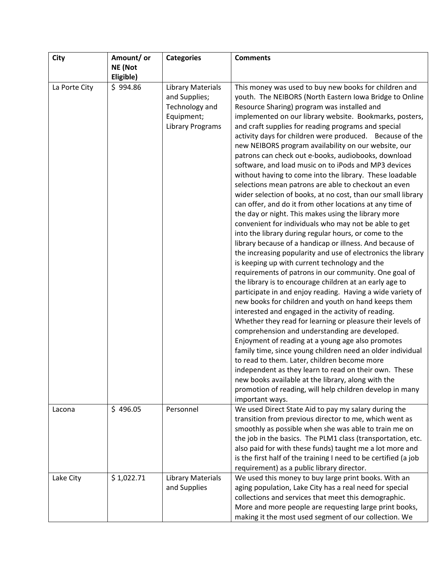| <b>City</b>   | Amount/ or | <b>Categories</b>                                                                                    | <b>Comments</b>                                                                                                                                                                                                                                                                                                                                                                                                                                                                                                                                                                                                                                                                                                                                                                                                                                                                                                                                                                                                                                                                                                                                                                                                                                                                                                                                                                                                                                                                                                                                                                                                                                                                                                                                                                                                            |
|---------------|------------|------------------------------------------------------------------------------------------------------|----------------------------------------------------------------------------------------------------------------------------------------------------------------------------------------------------------------------------------------------------------------------------------------------------------------------------------------------------------------------------------------------------------------------------------------------------------------------------------------------------------------------------------------------------------------------------------------------------------------------------------------------------------------------------------------------------------------------------------------------------------------------------------------------------------------------------------------------------------------------------------------------------------------------------------------------------------------------------------------------------------------------------------------------------------------------------------------------------------------------------------------------------------------------------------------------------------------------------------------------------------------------------------------------------------------------------------------------------------------------------------------------------------------------------------------------------------------------------------------------------------------------------------------------------------------------------------------------------------------------------------------------------------------------------------------------------------------------------------------------------------------------------------------------------------------------------|
|               | NE (Not    |                                                                                                      |                                                                                                                                                                                                                                                                                                                                                                                                                                                                                                                                                                                                                                                                                                                                                                                                                                                                                                                                                                                                                                                                                                                                                                                                                                                                                                                                                                                                                                                                                                                                                                                                                                                                                                                                                                                                                            |
|               | Eligible)  |                                                                                                      |                                                                                                                                                                                                                                                                                                                                                                                                                                                                                                                                                                                                                                                                                                                                                                                                                                                                                                                                                                                                                                                                                                                                                                                                                                                                                                                                                                                                                                                                                                                                                                                                                                                                                                                                                                                                                            |
| La Porte City | \$994.86   | <b>Library Materials</b><br>and Supplies;<br>Technology and<br>Equipment;<br><b>Library Programs</b> | This money was used to buy new books for children and<br>youth. The NEIBORS (North Eastern Iowa Bridge to Online<br>Resource Sharing) program was installed and<br>implemented on our library website. Bookmarks, posters,<br>and craft supplies for reading programs and special<br>activity days for children were produced. Because of the<br>new NEIBORS program availability on our website, our<br>patrons can check out e-books, audiobooks, download<br>software, and load music on to iPods and MP3 devices<br>without having to come into the library. These loadable<br>selections mean patrons are able to checkout an even<br>wider selection of books, at no cost, than our small library<br>can offer, and do it from other locations at any time of<br>the day or night. This makes using the library more<br>convenient for individuals who may not be able to get<br>into the library during regular hours, or come to the<br>library because of a handicap or illness. And because of<br>the increasing popularity and use of electronics the library<br>is keeping up with current technology and the<br>requirements of patrons in our community. One goal of<br>the library is to encourage children at an early age to<br>participate in and enjoy reading. Having a wide variety of<br>new books for children and youth on hand keeps them<br>interested and engaged in the activity of reading.<br>Whether they read for learning or pleasure their levels of<br>comprehension and understanding are developed.<br>Enjoyment of reading at a young age also promotes<br>family time, since young children need an older individual<br>to read to them. Later, children become more<br>independent as they learn to read on their own. These<br>new books available at the library, along with the |
|               |            |                                                                                                      | promotion of reading, will help children develop in many<br>important ways.                                                                                                                                                                                                                                                                                                                                                                                                                                                                                                                                                                                                                                                                                                                                                                                                                                                                                                                                                                                                                                                                                                                                                                                                                                                                                                                                                                                                                                                                                                                                                                                                                                                                                                                                                |
| Lacona        | \$496.05   | Personnel                                                                                            | We used Direct State Aid to pay my salary during the<br>transition from previous director to me, which went as<br>smoothly as possible when she was able to train me on<br>the job in the basics. The PLM1 class (transportation, etc.<br>also paid for with these funds) taught me a lot more and<br>is the first half of the training I need to be certified (a job<br>requirement) as a public library director.                                                                                                                                                                                                                                                                                                                                                                                                                                                                                                                                                                                                                                                                                                                                                                                                                                                                                                                                                                                                                                                                                                                                                                                                                                                                                                                                                                                                        |
| Lake City     | \$1,022.71 | <b>Library Materials</b><br>and Supplies                                                             | We used this money to buy large print books. With an<br>aging population, Lake City has a real need for special<br>collections and services that meet this demographic.<br>More and more people are requesting large print books,<br>making it the most used segment of our collection. We                                                                                                                                                                                                                                                                                                                                                                                                                                                                                                                                                                                                                                                                                                                                                                                                                                                                                                                                                                                                                                                                                                                                                                                                                                                                                                                                                                                                                                                                                                                                 |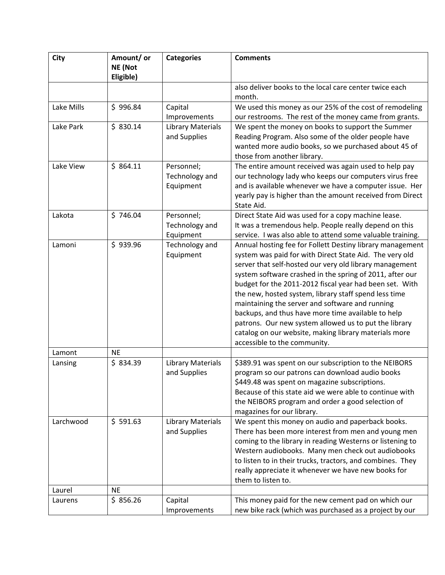| City       | Amount/ or | <b>Categories</b>            | <b>Comments</b>                                                                                                   |
|------------|------------|------------------------------|-------------------------------------------------------------------------------------------------------------------|
|            | NE (Not    |                              |                                                                                                                   |
|            | Eligible)  |                              | also deliver books to the local care center twice each                                                            |
|            |            |                              | month.                                                                                                            |
| Lake Mills | \$996.84   | Capital                      | We used this money as our 25% of the cost of remodeling                                                           |
|            |            | Improvements                 | our restrooms. The rest of the money came from grants.                                                            |
| Lake Park  | \$830.14   | <b>Library Materials</b>     | We spent the money on books to support the Summer                                                                 |
|            |            | and Supplies                 | Reading Program. Also some of the older people have                                                               |
|            |            |                              | wanted more audio books, so we purchased about 45 of                                                              |
|            |            |                              | those from another library.                                                                                       |
| Lake View  | \$864.11   | Personnel;                   | The entire amount received was again used to help pay                                                             |
|            |            | Technology and               | our technology lady who keeps our computers virus free                                                            |
|            |            | Equipment                    | and is available whenever we have a computer issue. Her                                                           |
|            |            |                              | yearly pay is higher than the amount received from Direct                                                         |
|            |            |                              | State Aid.                                                                                                        |
| Lakota     | \$746.04   | Personnel;<br>Technology and | Direct State Aid was used for a copy machine lease.<br>It was a tremendous help. People really depend on this     |
|            |            | Equipment                    | service. I was also able to attend some valuable training.                                                        |
| Lamoni     | \$939.96   | Technology and               | Annual hosting fee for Follett Destiny library management                                                         |
|            |            | Equipment                    | system was paid for with Direct State Aid. The very old                                                           |
|            |            |                              | server that self-hosted our very old library management                                                           |
|            |            |                              | system software crashed in the spring of 2011, after our                                                          |
|            |            |                              | budget for the 2011-2012 fiscal year had been set. With                                                           |
|            |            |                              | the new, hosted system, library staff spend less time                                                             |
|            |            |                              | maintaining the server and software and running                                                                   |
|            |            |                              | backups, and thus have more time available to help                                                                |
|            |            |                              | patrons. Our new system allowed us to put the library                                                             |
|            |            |                              | catalog on our website, making library materials more<br>accessible to the community.                             |
| Lamont     | <b>NE</b>  |                              |                                                                                                                   |
| Lansing    | \$834.39   | <b>Library Materials</b>     | \$389.91 was spent on our subscription to the NEIBORS                                                             |
|            |            | and Supplies                 | program so our patrons can download audio books                                                                   |
|            |            |                              | \$449.48 was spent on magazine subscriptions.                                                                     |
|            |            |                              | Because of this state aid we were able to continue with                                                           |
|            |            |                              | the NEIBORS program and order a good selection of                                                                 |
|            |            |                              | magazines for our library.                                                                                        |
| Larchwood  | \$591.63   | <b>Library Materials</b>     | We spent this money on audio and paperback books.                                                                 |
|            |            | and Supplies                 | There has been more interest from men and young men                                                               |
|            |            |                              | coming to the library in reading Westerns or listening to                                                         |
|            |            |                              | Western audiobooks. Many men check out audiobooks                                                                 |
|            |            |                              | to listen to in their trucks, tractors, and combines. They<br>really appreciate it whenever we have new books for |
|            |            |                              | them to listen to.                                                                                                |
| Laurel     | <b>NE</b>  |                              |                                                                                                                   |
| Laurens    | \$856.26   | Capital                      | This money paid for the new cement pad on which our                                                               |
|            |            | Improvements                 | new bike rack (which was purchased as a project by our                                                            |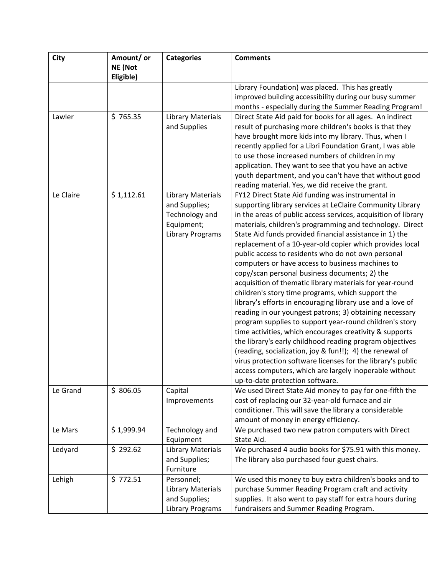| City      | Amount/ or | <b>Categories</b>        | <b>Comments</b>                                                                                                         |
|-----------|------------|--------------------------|-------------------------------------------------------------------------------------------------------------------------|
|           | NE (Not    |                          |                                                                                                                         |
|           | Eligible)  |                          |                                                                                                                         |
|           |            |                          | Library Foundation) was placed. This has greatly                                                                        |
|           |            |                          | improved building accessibility during our busy summer                                                                  |
|           |            |                          | months - especially during the Summer Reading Program!                                                                  |
| Lawler    | \$765.35   | <b>Library Materials</b> | Direct State Aid paid for books for all ages. An indirect                                                               |
|           |            | and Supplies             | result of purchasing more children's books is that they                                                                 |
|           |            |                          | have brought more kids into my library. Thus, when I<br>recently applied for a Libri Foundation Grant, I was able       |
|           |            |                          | to use those increased numbers of children in my                                                                        |
|           |            |                          | application. They want to see that you have an active                                                                   |
|           |            |                          | youth department, and you can't have that without good                                                                  |
|           |            |                          | reading material. Yes, we did receive the grant.                                                                        |
| Le Claire | \$1,112.61 | <b>Library Materials</b> | FY12 Direct State Aid funding was instrumental in                                                                       |
|           |            | and Supplies;            | supporting library services at LeClaire Community Library                                                               |
|           |            | Technology and           | in the areas of public access services, acquisition of library                                                          |
|           |            | Equipment;               | materials, children's programming and technology. Direct                                                                |
|           |            | <b>Library Programs</b>  | State Aid funds provided financial assistance in 1) the                                                                 |
|           |            |                          | replacement of a 10-year-old copier which provides local                                                                |
|           |            |                          | public access to residents who do not own personal                                                                      |
|           |            |                          | computers or have access to business machines to                                                                        |
|           |            |                          | copy/scan personal business documents; 2) the                                                                           |
|           |            |                          | acquisition of thematic library materials for year-round                                                                |
|           |            |                          | children's story time programs, which support the                                                                       |
|           |            |                          | library's efforts in encouraging library use and a love of                                                              |
|           |            |                          | reading in our youngest patrons; 3) obtaining necessary                                                                 |
|           |            |                          | program supplies to support year-round children's story                                                                 |
|           |            |                          | time activities, which encourages creativity & supports                                                                 |
|           |            |                          | the library's early childhood reading program objectives                                                                |
|           |            |                          | (reading, socialization, joy & fun!!); 4) the renewal of<br>virus protection software licenses for the library's public |
|           |            |                          | access computers, which are largely inoperable without                                                                  |
|           |            |                          | up-to-date protection software.                                                                                         |
| Le Grand  | \$806.05   | Capital                  | We used Direct State Aid money to pay for one-fifth the                                                                 |
|           |            | Improvements             | cost of replacing our 32-year-old furnace and air                                                                       |
|           |            |                          | conditioner. This will save the library a considerable                                                                  |
|           |            |                          | amount of money in energy efficiency.                                                                                   |
| Le Mars   | \$1,999.94 | Technology and           | We purchased two new patron computers with Direct                                                                       |
|           |            | Equipment                | State Aid.                                                                                                              |
| Ledyard   | \$292.62   | <b>Library Materials</b> | We purchased 4 audio books for \$75.91 with this money.                                                                 |
|           |            | and Supplies;            | The library also purchased four guest chairs.                                                                           |
|           |            | Furniture                |                                                                                                                         |
| Lehigh    | \$772.51   | Personnel;               | We used this money to buy extra children's books and to                                                                 |
|           |            | <b>Library Materials</b> | purchase Summer Reading Program craft and activity                                                                      |
|           |            | and Supplies;            | supplies. It also went to pay staff for extra hours during                                                              |
|           |            | <b>Library Programs</b>  | fundraisers and Summer Reading Program.                                                                                 |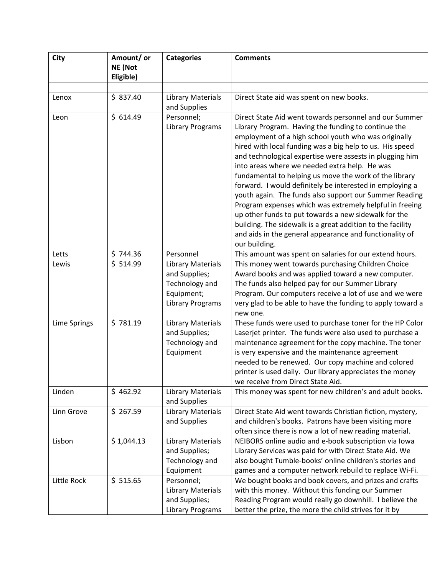| <b>City</b>         | Amount/ or | <b>Categories</b>                                                                                    | <b>Comments</b>                                                                                                                                                                                                                                                                                                                                                                                                                                                                                                                                                                                                                                                                                                                                                                             |
|---------------------|------------|------------------------------------------------------------------------------------------------------|---------------------------------------------------------------------------------------------------------------------------------------------------------------------------------------------------------------------------------------------------------------------------------------------------------------------------------------------------------------------------------------------------------------------------------------------------------------------------------------------------------------------------------------------------------------------------------------------------------------------------------------------------------------------------------------------------------------------------------------------------------------------------------------------|
|                     | NE (Not    |                                                                                                      |                                                                                                                                                                                                                                                                                                                                                                                                                                                                                                                                                                                                                                                                                                                                                                                             |
|                     | Eligible)  |                                                                                                      |                                                                                                                                                                                                                                                                                                                                                                                                                                                                                                                                                                                                                                                                                                                                                                                             |
|                     |            |                                                                                                      |                                                                                                                                                                                                                                                                                                                                                                                                                                                                                                                                                                                                                                                                                                                                                                                             |
| Lenox               | \$837.40   | <b>Library Materials</b><br>and Supplies                                                             | Direct State aid was spent on new books.                                                                                                                                                                                                                                                                                                                                                                                                                                                                                                                                                                                                                                                                                                                                                    |
| Leon                | \$614.49   | Personnel;<br><b>Library Programs</b>                                                                | Direct State Aid went towards personnel and our Summer<br>Library Program. Having the funding to continue the<br>employment of a high school youth who was originally<br>hired with local funding was a big help to us. His speed<br>and technological expertise were assests in plugging him<br>into areas where we needed extra help. He was<br>fundamental to helping us move the work of the library<br>forward. I would definitely be interested in employing a<br>youth again. The funds also support our Summer Reading<br>Program expenses which was extremely helpful in freeing<br>up other funds to put towards a new sidewalk for the<br>building. The sidewalk is a great addition to the facility<br>and aids in the general appearance and functionality of<br>our building. |
| Letts               | \$744.36   | Personnel                                                                                            | This amount was spent on salaries for our extend hours.                                                                                                                                                                                                                                                                                                                                                                                                                                                                                                                                                                                                                                                                                                                                     |
| Lewis               | \$514.99   | <b>Library Materials</b><br>and Supplies;<br>Technology and<br>Equipment;<br><b>Library Programs</b> | This money went towards purchasing Children Choice<br>Award books and was applied toward a new computer.<br>The funds also helped pay for our Summer Library<br>Program. Our computers receive a lot of use and we were<br>very glad to be able to have the funding to apply toward a<br>new one.                                                                                                                                                                                                                                                                                                                                                                                                                                                                                           |
| <b>Lime Springs</b> | \$781.19   | <b>Library Materials</b><br>and Supplies;<br>Technology and<br>Equipment                             | These funds were used to purchase toner for the HP Color<br>Laserjet printer. The funds were also used to purchase a<br>maintenance agreement for the copy machine. The toner<br>is very expensive and the maintenance agreement<br>needed to be renewed. Our copy machine and colored<br>printer is used daily. Our library appreciates the money<br>we receive from Direct State Aid.                                                                                                                                                                                                                                                                                                                                                                                                     |
| Linden              | \$462.92   | <b>Library Materials</b><br>and Supplies                                                             | This money was spent for new children's and adult books.                                                                                                                                                                                                                                                                                                                                                                                                                                                                                                                                                                                                                                                                                                                                    |
| Linn Grove          | \$267.59   | <b>Library Materials</b><br>and Supplies                                                             | Direct State Aid went towards Christian fiction, mystery,<br>and children's books. Patrons have been visiting more<br>often since there is now a lot of new reading material.                                                                                                                                                                                                                                                                                                                                                                                                                                                                                                                                                                                                               |
| Lisbon              | \$1,044.13 | <b>Library Materials</b><br>and Supplies;<br>Technology and<br>Equipment                             | NEIBORS online audio and e-book subscription via Iowa<br>Library Services was paid for with Direct State Aid. We<br>also bought Tumble-books' online children's stories and<br>games and a computer network rebuild to replace Wi-Fi.                                                                                                                                                                                                                                                                                                                                                                                                                                                                                                                                                       |
| Little Rock         | \$515.65   | Personnel;<br><b>Library Materials</b><br>and Supplies;<br><b>Library Programs</b>                   | We bought books and book covers, and prizes and crafts<br>with this money. Without this funding our Summer<br>Reading Program would really go downhill. I believe the<br>better the prize, the more the child strives for it by                                                                                                                                                                                                                                                                                                                                                                                                                                                                                                                                                             |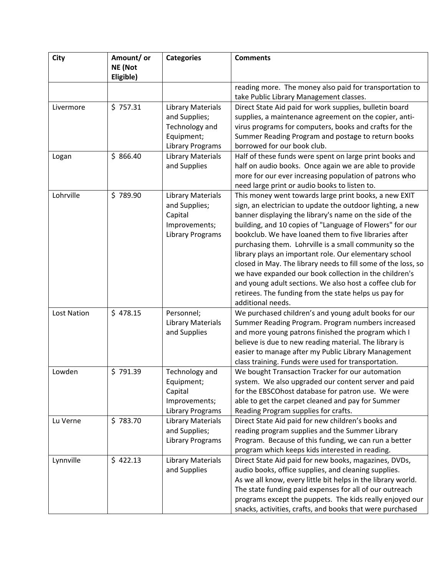| <b>City</b>        | Amount/ or | <b>Categories</b>        | <b>Comments</b>                                               |
|--------------------|------------|--------------------------|---------------------------------------------------------------|
|                    | NE (Not    |                          |                                                               |
|                    | Eligible)  |                          |                                                               |
|                    |            |                          | reading more. The money also paid for transportation to       |
|                    |            |                          | take Public Library Management classes.                       |
| Livermore          | \$757.31   | <b>Library Materials</b> | Direct State Aid paid for work supplies, bulletin board       |
|                    |            | and Supplies;            | supplies, a maintenance agreement on the copier, anti-        |
|                    |            | Technology and           | virus programs for computers, books and crafts for the        |
|                    |            | Equipment;               | Summer Reading Program and postage to return books            |
|                    |            | <b>Library Programs</b>  | borrowed for our book club.                                   |
| Logan              | \$866.40   | <b>Library Materials</b> | Half of these funds were spent on large print books and       |
|                    |            | and Supplies             | half on audio books. Once again we are able to provide        |
|                    |            |                          | more for our ever increasing population of patrons who        |
|                    |            |                          | need large print or audio books to listen to.                 |
| Lohrville          | \$789.90   | <b>Library Materials</b> | This money went towards large print books, a new EXIT         |
|                    |            | and Supplies;            | sign, an electrician to update the outdoor lighting, a new    |
|                    |            | Capital                  | banner displaying the library's name on the side of the       |
|                    |            | Improvements;            | building, and 10 copies of "Language of Flowers" for our      |
|                    |            | <b>Library Programs</b>  | bookclub. We have loaned them to five libraries after         |
|                    |            |                          | purchasing them. Lohrville is a small community so the        |
|                    |            |                          | library plays an important role. Our elementary school        |
|                    |            |                          | closed in May. The library needs to fill some of the loss, so |
|                    |            |                          | we have expanded our book collection in the children's        |
|                    |            |                          | and young adult sections. We also host a coffee club for      |
|                    |            |                          | retirees. The funding from the state helps us pay for         |
|                    |            |                          | additional needs.                                             |
| <b>Lost Nation</b> | \$478.15   | Personnel;               | We purchased children's and young adult books for our         |
|                    |            | <b>Library Materials</b> | Summer Reading Program. Program numbers increased             |
|                    |            | and Supplies             | and more young patrons finished the program which I           |
|                    |            |                          | believe is due to new reading material. The library is        |
|                    |            |                          | easier to manage after my Public Library Management           |
|                    |            |                          | class training. Funds were used for transportation.           |
| Lowden             | \$791.39   | Technology and           | We bought Transaction Tracker for our automation              |
|                    |            | Equipment;               | system. We also upgraded our content server and paid          |
|                    |            | Capital                  | for the EBSCOhost database for patron use. We were            |
|                    |            | Improvements;            | able to get the carpet cleaned and pay for Summer             |
|                    |            | <b>Library Programs</b>  | Reading Program supplies for crafts.                          |
| Lu Verne           | \$783.70   | <b>Library Materials</b> | Direct State Aid paid for new children's books and            |
|                    |            | and Supplies;            | reading program supplies and the Summer Library               |
|                    |            | <b>Library Programs</b>  | Program. Because of this funding, we can run a better         |
|                    |            |                          | program which keeps kids interested in reading.               |
| Lynnville          | \$422.13   | <b>Library Materials</b> | Direct State Aid paid for new books, magazines, DVDs,         |
|                    |            | and Supplies             | audio books, office supplies, and cleaning supplies.          |
|                    |            |                          | As we all know, every little bit helps in the library world.  |
|                    |            |                          | The state funding paid expenses for all of our outreach       |
|                    |            |                          | programs except the puppets. The kids really enjoyed our      |
|                    |            |                          | snacks, activities, crafts, and books that were purchased     |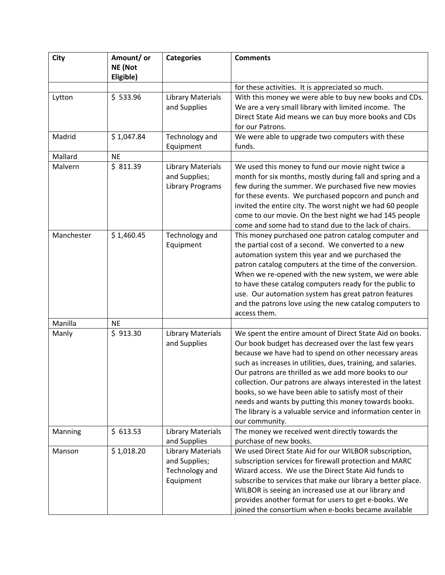| <b>City</b> | Amount/ or<br>NE (Not<br>Eligible) | <b>Categories</b>                                                        | <b>Comments</b>                                                                                                                                                                                                                                                                                                                                                                                                                                                                                                                                                     |
|-------------|------------------------------------|--------------------------------------------------------------------------|---------------------------------------------------------------------------------------------------------------------------------------------------------------------------------------------------------------------------------------------------------------------------------------------------------------------------------------------------------------------------------------------------------------------------------------------------------------------------------------------------------------------------------------------------------------------|
|             |                                    |                                                                          | for these activities. It is appreciated so much.                                                                                                                                                                                                                                                                                                                                                                                                                                                                                                                    |
| Lytton      | \$533.96                           | <b>Library Materials</b><br>and Supplies                                 | With this money we were able to buy new books and CDs.<br>We are a very small library with limited income. The<br>Direct State Aid means we can buy more books and CDs<br>for our Patrons.                                                                                                                                                                                                                                                                                                                                                                          |
| Madrid      | \$1,047.84                         | Technology and<br>Equipment                                              | We were able to upgrade two computers with these<br>funds.                                                                                                                                                                                                                                                                                                                                                                                                                                                                                                          |
| Mallard     | <b>NE</b>                          |                                                                          |                                                                                                                                                                                                                                                                                                                                                                                                                                                                                                                                                                     |
| Malvern     | \$811.39                           | <b>Library Materials</b><br>and Supplies;<br><b>Library Programs</b>     | We used this money to fund our movie night twice a<br>month for six months, mostly during fall and spring and a<br>few during the summer. We purchased five new movies<br>for these events. We purchased popcorn and punch and<br>invited the entire city. The worst night we had 60 people<br>come to our movie. On the best night we had 145 people<br>come and some had to stand due to the lack of chairs.                                                                                                                                                      |
| Manchester  | \$1,460.45                         | Technology and<br>Equipment                                              | This money purchased one patron catalog computer and<br>the partial cost of a second. We converted to a new<br>automation system this year and we purchased the<br>patron catalog computers at the time of the conversion.<br>When we re-opened with the new system, we were able<br>to have these catalog computers ready for the public to<br>use. Our automation system has great patron features<br>and the patrons love using the new catalog computers to<br>access them.                                                                                     |
| Manilla     | <b>NE</b>                          |                                                                          |                                                                                                                                                                                                                                                                                                                                                                                                                                                                                                                                                                     |
| Manly       | \$913.30                           | <b>Library Materials</b><br>and Supplies                                 | We spent the entire amount of Direct State Aid on books.<br>Our book budget has decreased over the last few years<br>because we have had to spend on other necessary areas<br>such as increases in utilities, dues, training, and salaries.<br>Our patrons are thrilled as we add more books to our<br>collection. Our patrons are always interested in the latest<br>books, so we have been able to satisfy most of their<br>needs and wants by putting this money towards books.<br>The library is a valuable service and information center in<br>our community. |
| Manning     | \$613.53                           | <b>Library Materials</b><br>and Supplies                                 | The money we received went directly towards the<br>purchase of new books.                                                                                                                                                                                                                                                                                                                                                                                                                                                                                           |
| Manson      | \$1,018.20                         | <b>Library Materials</b><br>and Supplies;<br>Technology and<br>Equipment | We used Direct State Aid for our WILBOR subscription,<br>subscription services for firewall protection and MARC<br>Wizard access. We use the Direct State Aid funds to<br>subscribe to services that make our library a better place.<br>WILBOR is seeing an increased use at our library and<br>provides another format for users to get e-books. We<br>joined the consortium when e-books became available                                                                                                                                                        |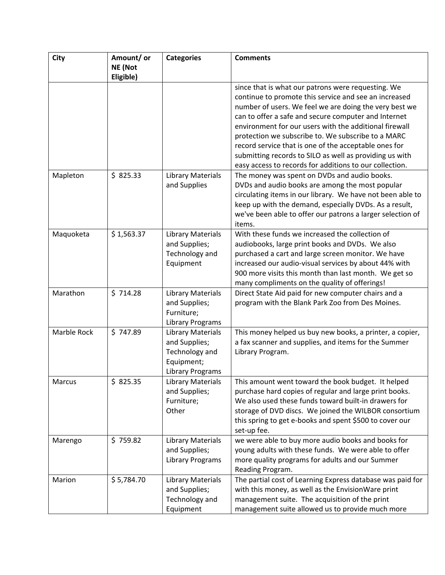| <b>City</b>   | Amount/ or | <b>Categories</b>                  | <b>Comments</b>                                                                                                |
|---------------|------------|------------------------------------|----------------------------------------------------------------------------------------------------------------|
|               | NE (Not    |                                    |                                                                                                                |
|               | Eligible)  |                                    |                                                                                                                |
|               |            |                                    | since that is what our patrons were requesting. We                                                             |
|               |            |                                    | continue to promote this service and see an increased                                                          |
|               |            |                                    | number of users. We feel we are doing the very best we<br>can to offer a safe and secure computer and Internet |
|               |            |                                    | environment for our users with the additional firewall                                                         |
|               |            |                                    | protection we subscribe to. We subscribe to a MARC                                                             |
|               |            |                                    | record service that is one of the acceptable ones for                                                          |
|               |            |                                    | submitting records to SILO as well as providing us with                                                        |
|               |            |                                    | easy access to records for additions to our collection.                                                        |
| Mapleton      | \$825.33   | <b>Library Materials</b>           | The money was spent on DVDs and audio books.                                                                   |
|               |            | and Supplies                       | DVDs and audio books are among the most popular                                                                |
|               |            |                                    | circulating items in our library. We have not been able to                                                     |
|               |            |                                    | keep up with the demand, especially DVDs. As a result,                                                         |
|               |            |                                    | we've been able to offer our patrons a larger selection of                                                     |
|               |            |                                    | items.                                                                                                         |
| Maquoketa     | \$1,563.37 | <b>Library Materials</b>           | With these funds we increased the collection of                                                                |
|               |            | and Supplies;                      | audiobooks, large print books and DVDs. We also                                                                |
|               |            | Technology and                     | purchased a cart and large screen monitor. We have                                                             |
|               |            | Equipment                          | increased our audio-visual services by about 44% with                                                          |
|               |            |                                    | 900 more visits this month than last month. We get so                                                          |
| Marathon      | \$714.28   | <b>Library Materials</b>           | many compliments on the quality of offerings!<br>Direct State Aid paid for new computer chairs and a           |
|               |            | and Supplies;                      | program with the Blank Park Zoo from Des Moines.                                                               |
|               |            | Furniture;                         |                                                                                                                |
|               |            | <b>Library Programs</b>            |                                                                                                                |
| Marble Rock   | \$747.89   | <b>Library Materials</b>           | This money helped us buy new books, a printer, a copier,                                                       |
|               |            | and Supplies;                      | a fax scanner and supplies, and items for the Summer                                                           |
|               |            | Technology and                     | Library Program.                                                                                               |
|               |            | Equipment;                         |                                                                                                                |
|               |            | <b>Library Programs</b>            |                                                                                                                |
| <b>Marcus</b> | \$825.35   | Library Materials                  | This amount went toward the book budget. It helped                                                             |
|               |            | and Supplies;                      | purchase hard copies of regular and large print books.                                                         |
|               |            | Furniture;                         | We also used these funds toward built-in drawers for                                                           |
|               |            | Other                              | storage of DVD discs. We joined the WILBOR consortium                                                          |
|               |            |                                    | this spring to get e-books and spent \$500 to cover our                                                        |
|               |            |                                    | set-up fee.                                                                                                    |
| Marengo       | \$759.82   | Library Materials<br>and Supplies; | we were able to buy more audio books and books for<br>young adults with these funds. We were able to offer     |
|               |            |                                    |                                                                                                                |
|               |            | <b>Library Programs</b>            | more quality programs for adults and our Summer<br>Reading Program.                                            |
| Marion        | \$5,784.70 | Library Materials                  | The partial cost of Learning Express database was paid for                                                     |
|               |            | and Supplies;                      | with this money, as well as the EnvisionWare print                                                             |
|               |            | Technology and                     | management suite. The acquisition of the print                                                                 |
|               |            | Equipment                          | management suite allowed us to provide much more                                                               |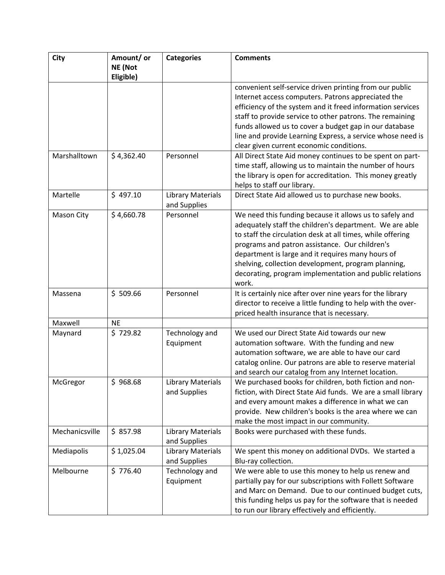| City           | Amount/ or<br><b>NE</b> (Not<br>Eligible) | <b>Categories</b>                        | <b>Comments</b>                                                                                                                                                                                                                                                                                                                                                                                                    |
|----------------|-------------------------------------------|------------------------------------------|--------------------------------------------------------------------------------------------------------------------------------------------------------------------------------------------------------------------------------------------------------------------------------------------------------------------------------------------------------------------------------------------------------------------|
|                |                                           |                                          | convenient self-service driven printing from our public<br>Internet access computers. Patrons appreciated the<br>efficiency of the system and it freed information services<br>staff to provide service to other patrons. The remaining<br>funds allowed us to cover a budget gap in our database<br>line and provide Learning Express, a service whose need is<br>clear given current economic conditions.        |
| Marshalltown   | \$4,362.40                                | Personnel                                | All Direct State Aid money continues to be spent on part-<br>time staff, allowing us to maintain the number of hours<br>the library is open for accreditation. This money greatly<br>helps to staff our library.                                                                                                                                                                                                   |
| Martelle       | \$497.10                                  | <b>Library Materials</b><br>and Supplies | Direct State Aid allowed us to purchase new books.                                                                                                                                                                                                                                                                                                                                                                 |
| Mason City     | \$4,660.78                                | Personnel                                | We need this funding because it allows us to safely and<br>adequately staff the children's department. We are able<br>to staff the circulation desk at all times, while offering<br>programs and patron assistance. Our children's<br>department is large and it requires many hours of<br>shelving, collection development, program planning,<br>decorating, program implementation and public relations<br>work. |
| Massena        | \$509.66                                  | Personnel                                | It is certainly nice after over nine years for the library<br>director to receive a little funding to help with the over-<br>priced health insurance that is necessary.                                                                                                                                                                                                                                            |
| Maxwell        | <b>NE</b>                                 |                                          |                                                                                                                                                                                                                                                                                                                                                                                                                    |
| Maynard        | \$729.82                                  | Technology and<br>Equipment              | We used our Direct State Aid towards our new<br>automation software. With the funding and new<br>automation software, we are able to have our card<br>catalog online. Our patrons are able to reserve material<br>and search our catalog from any Internet location.                                                                                                                                               |
| McGregor       | \$968.68                                  | <b>Library Materials</b><br>and Supplies | We purchased books for children, both fiction and non-<br>fiction, with Direct State Aid funds. We are a small library<br>and every amount makes a difference in what we can<br>provide. New children's books is the area where we can<br>make the most impact in our community.                                                                                                                                   |
| Mechanicsville | \$857.98                                  | <b>Library Materials</b><br>and Supplies | Books were purchased with these funds.                                                                                                                                                                                                                                                                                                                                                                             |
| Mediapolis     | \$1,025.04                                | <b>Library Materials</b><br>and Supplies | We spent this money on additional DVDs. We started a<br>Blu-ray collection.                                                                                                                                                                                                                                                                                                                                        |
| Melbourne      | \$776.40                                  | Technology and<br>Equipment              | We were able to use this money to help us renew and<br>partially pay for our subscriptions with Follett Software<br>and Marc on Demand. Due to our continued budget cuts,<br>this funding helps us pay for the software that is needed<br>to run our library effectively and efficiently.                                                                                                                          |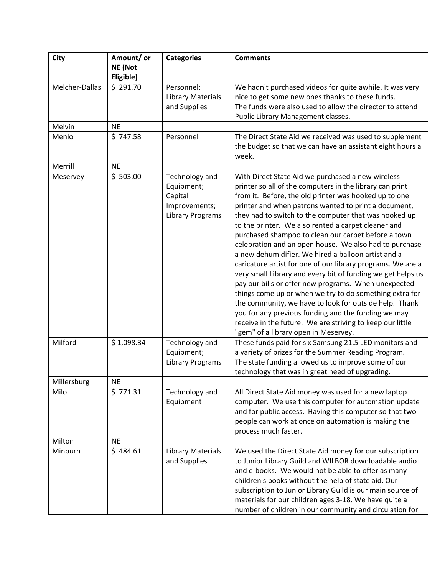| City           | Amount/ or           | <b>Categories</b>                                                                   | <b>Comments</b>                                                                                                                                                                                                                                                                                                                                                                                                                                                                                                                                                                                                                                                                                                                                                                                                                                                                                                                                                                               |
|----------------|----------------------|-------------------------------------------------------------------------------------|-----------------------------------------------------------------------------------------------------------------------------------------------------------------------------------------------------------------------------------------------------------------------------------------------------------------------------------------------------------------------------------------------------------------------------------------------------------------------------------------------------------------------------------------------------------------------------------------------------------------------------------------------------------------------------------------------------------------------------------------------------------------------------------------------------------------------------------------------------------------------------------------------------------------------------------------------------------------------------------------------|
|                | NE (Not<br>Eligible) |                                                                                     |                                                                                                                                                                                                                                                                                                                                                                                                                                                                                                                                                                                                                                                                                                                                                                                                                                                                                                                                                                                               |
| Melcher-Dallas | \$291.70             | Personnel;<br><b>Library Materials</b><br>and Supplies                              | We hadn't purchased videos for quite awhile. It was very<br>nice to get some new ones thanks to these funds.<br>The funds were also used to allow the director to attend<br>Public Library Management classes.                                                                                                                                                                                                                                                                                                                                                                                                                                                                                                                                                                                                                                                                                                                                                                                |
| Melvin         | <b>NE</b>            |                                                                                     |                                                                                                                                                                                                                                                                                                                                                                                                                                                                                                                                                                                                                                                                                                                                                                                                                                                                                                                                                                                               |
| Menlo          | \$747.58             | Personnel                                                                           | The Direct State Aid we received was used to supplement<br>the budget so that we can have an assistant eight hours a<br>week.                                                                                                                                                                                                                                                                                                                                                                                                                                                                                                                                                                                                                                                                                                                                                                                                                                                                 |
| Merrill        | <b>NE</b>            |                                                                                     |                                                                                                                                                                                                                                                                                                                                                                                                                                                                                                                                                                                                                                                                                                                                                                                                                                                                                                                                                                                               |
| Meservey       | \$503.00             | Technology and<br>Equipment;<br>Capital<br>Improvements;<br><b>Library Programs</b> | With Direct State Aid we purchased a new wireless<br>printer so all of the computers in the library can print<br>from it. Before, the old printer was hooked up to one<br>printer and when patrons wanted to print a document,<br>they had to switch to the computer that was hooked up<br>to the printer. We also rented a carpet cleaner and<br>purchased shampoo to clean our carpet before a town<br>celebration and an open house. We also had to purchase<br>a new dehumidifier. We hired a balloon artist and a<br>caricature artist for one of our library programs. We are a<br>very small Library and every bit of funding we get helps us<br>pay our bills or offer new programs. When unexpected<br>things come up or when we try to do something extra for<br>the community, we have to look for outside help. Thank<br>you for any previous funding and the funding we may<br>receive in the future. We are striving to keep our little<br>"gem" of a library open in Meservey. |
| Milford        | \$1,098.34           | Technology and<br>Equipment;<br><b>Library Programs</b>                             | These funds paid for six Samsung 21.5 LED monitors and<br>a variety of prizes for the Summer Reading Program.<br>The state funding allowed us to improve some of our<br>technology that was in great need of upgrading.                                                                                                                                                                                                                                                                                                                                                                                                                                                                                                                                                                                                                                                                                                                                                                       |
| Millersburg    | <b>NE</b>            |                                                                                     |                                                                                                                                                                                                                                                                                                                                                                                                                                                                                                                                                                                                                                                                                                                                                                                                                                                                                                                                                                                               |
| Milo           | \$771.31             | Technology and<br>Equipment                                                         | All Direct State Aid money was used for a new laptop<br>computer. We use this computer for automation update<br>and for public access. Having this computer so that two<br>people can work at once on automation is making the<br>process much faster.                                                                                                                                                                                                                                                                                                                                                                                                                                                                                                                                                                                                                                                                                                                                        |
| Milton         | <b>NE</b>            |                                                                                     |                                                                                                                                                                                                                                                                                                                                                                                                                                                                                                                                                                                                                                                                                                                                                                                                                                                                                                                                                                                               |
| Minburn        | \$484.61             | <b>Library Materials</b><br>and Supplies                                            | We used the Direct State Aid money for our subscription<br>to Junior Library Guild and WILBOR downloadable audio<br>and e-books. We would not be able to offer as many<br>children's books without the help of state aid. Our<br>subscription to Junior Library Guild is our main source of<br>materials for our children ages 3-18. We have quite a<br>number of children in our community and circulation for                                                                                                                                                                                                                                                                                                                                                                                                                                                                                                                                                                               |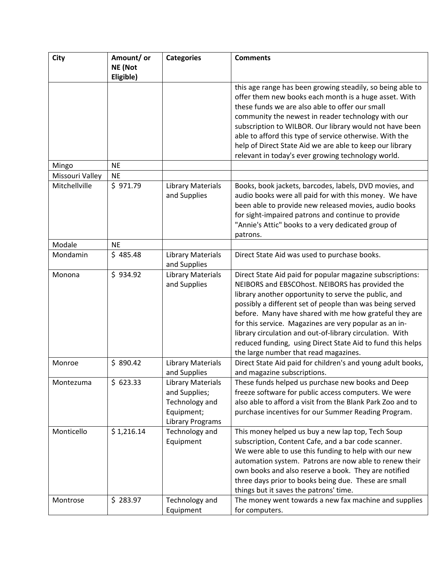| City            | Amount/ or<br>NE (Not | <b>Categories</b>                                                                                    | <b>Comments</b>                                                                                                                                                                                                                                                                                                                                                                                                                                                                                                         |
|-----------------|-----------------------|------------------------------------------------------------------------------------------------------|-------------------------------------------------------------------------------------------------------------------------------------------------------------------------------------------------------------------------------------------------------------------------------------------------------------------------------------------------------------------------------------------------------------------------------------------------------------------------------------------------------------------------|
|                 | Eligible)             |                                                                                                      | this age range has been growing steadily, so being able to<br>offer them new books each month is a huge asset. With<br>these funds we are also able to offer our small<br>community the newest in reader technology with our<br>subscription to WILBOR. Our library would not have been<br>able to afford this type of service otherwise. With the<br>help of Direct State Aid we are able to keep our library<br>relevant in today's ever growing technology world.                                                    |
| Mingo           | <b>NE</b>             |                                                                                                      |                                                                                                                                                                                                                                                                                                                                                                                                                                                                                                                         |
| Missouri Valley | <b>NE</b>             |                                                                                                      |                                                                                                                                                                                                                                                                                                                                                                                                                                                                                                                         |
| Mitchellville   | \$971.79              | <b>Library Materials</b><br>and Supplies                                                             | Books, book jackets, barcodes, labels, DVD movies, and<br>audio books were all paid for with this money. We have<br>been able to provide new released movies, audio books<br>for sight-impaired patrons and continue to provide<br>"Annie's Attic" books to a very dedicated group of<br>patrons.                                                                                                                                                                                                                       |
| Modale          | <b>NE</b>             |                                                                                                      |                                                                                                                                                                                                                                                                                                                                                                                                                                                                                                                         |
| Mondamin        | \$485.48              | <b>Library Materials</b><br>and Supplies                                                             | Direct State Aid was used to purchase books.                                                                                                                                                                                                                                                                                                                                                                                                                                                                            |
| Monona          | \$934.92              | <b>Library Materials</b><br>and Supplies                                                             | Direct State Aid paid for popular magazine subscriptions:<br>NEIBORS and EBSCOhost. NEIBORS has provided the<br>library another opportunity to serve the public, and<br>possibly a different set of people than was being served<br>before. Many have shared with me how grateful they are<br>for this service. Magazines are very popular as an in-<br>library circulation and out-of-library circulation. With<br>reduced funding, using Direct State Aid to fund this helps<br>the large number that read magazines. |
| Monroe          | \$890.42              | <b>Library Materials</b><br>and Supplies                                                             | Direct State Aid paid for children's and young adult books,<br>and magazine subscriptions.                                                                                                                                                                                                                                                                                                                                                                                                                              |
| Montezuma       | \$623.33              | <b>Library Materials</b><br>and Supplies;<br>Technology and<br>Equipment;<br><b>Library Programs</b> | These funds helped us purchase new books and Deep<br>freeze software for public access computers. We were<br>also able to afford a visit from the Blank Park Zoo and to<br>purchase incentives for our Summer Reading Program.                                                                                                                                                                                                                                                                                          |
| Monticello      | \$1,216.14            | Technology and<br>Equipment                                                                          | This money helped us buy a new lap top, Tech Soup<br>subscription, Content Cafe, and a bar code scanner.<br>We were able to use this funding to help with our new<br>automation system. Patrons are now able to renew their<br>own books and also reserve a book. They are notified<br>three days prior to books being due. These are small<br>things but it saves the patrons' time.                                                                                                                                   |
| Montrose        | \$283.97              | Technology and<br>Equipment                                                                          | The money went towards a new fax machine and supplies<br>for computers.                                                                                                                                                                                                                                                                                                                                                                                                                                                 |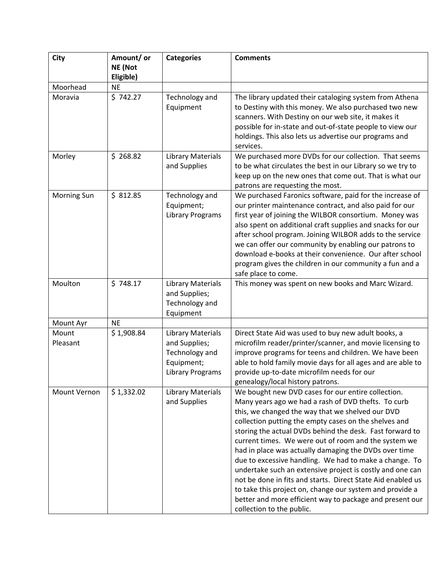| <b>City</b>        | Amount/ or             | <b>Categories</b>                                                                                    | <b>Comments</b>                                                                                                                                                                                                                                                                                                                                                                                                                                                                                                                                                                                                                                                                                                                                |
|--------------------|------------------------|------------------------------------------------------------------------------------------------------|------------------------------------------------------------------------------------------------------------------------------------------------------------------------------------------------------------------------------------------------------------------------------------------------------------------------------------------------------------------------------------------------------------------------------------------------------------------------------------------------------------------------------------------------------------------------------------------------------------------------------------------------------------------------------------------------------------------------------------------------|
|                    | NE (Not                |                                                                                                      |                                                                                                                                                                                                                                                                                                                                                                                                                                                                                                                                                                                                                                                                                                                                                |
| Moorhead           | Eligible)<br><b>NE</b> |                                                                                                      |                                                                                                                                                                                                                                                                                                                                                                                                                                                                                                                                                                                                                                                                                                                                                |
| Moravia            | \$742.27               | Technology and                                                                                       | The library updated their cataloging system from Athena                                                                                                                                                                                                                                                                                                                                                                                                                                                                                                                                                                                                                                                                                        |
|                    |                        | Equipment                                                                                            | to Destiny with this money. We also purchased two new<br>scanners. With Destiny on our web site, it makes it<br>possible for in-state and out-of-state people to view our                                                                                                                                                                                                                                                                                                                                                                                                                                                                                                                                                                      |
|                    |                        |                                                                                                      | holdings. This also lets us advertise our programs and<br>services.                                                                                                                                                                                                                                                                                                                                                                                                                                                                                                                                                                                                                                                                            |
| Morley             | \$268.82               | <b>Library Materials</b><br>and Supplies                                                             | We purchased more DVDs for our collection. That seems<br>to be what circulates the best in our Library so we try to<br>keep up on the new ones that come out. That is what our<br>patrons are requesting the most.                                                                                                                                                                                                                                                                                                                                                                                                                                                                                                                             |
| <b>Morning Sun</b> | \$812.85               | Technology and<br>Equipment;<br><b>Library Programs</b>                                              | We purchased Faronics software, paid for the increase of<br>our printer maintenance contract, and also paid for our<br>first year of joining the WILBOR consortium. Money was<br>also spent on additional craft supplies and snacks for our<br>after school program. Joining WILBOR adds to the service<br>we can offer our community by enabling our patrons to<br>download e-books at their convenience. Our after school<br>program gives the children in our community a fun and a<br>safe place to come.                                                                                                                                                                                                                                  |
| Moulton            | \$748.17               | <b>Library Materials</b><br>and Supplies;<br>Technology and<br>Equipment                             | This money was spent on new books and Marc Wizard.                                                                                                                                                                                                                                                                                                                                                                                                                                                                                                                                                                                                                                                                                             |
| Mount Ayr          | <b>NE</b>              |                                                                                                      |                                                                                                                                                                                                                                                                                                                                                                                                                                                                                                                                                                                                                                                                                                                                                |
| Mount<br>Pleasant  | \$1,908.84             | <b>Library Materials</b><br>and Supplies;<br>Technology and<br>Equipment;<br><b>Library Programs</b> | Direct State Aid was used to buy new adult books, a<br>microfilm reader/printer/scanner, and movie licensing to<br>improve programs for teens and children. We have been<br>able to hold family movie days for all ages and are able to<br>provide up-to-date microfilm needs for our<br>genealogy/local history patrons.                                                                                                                                                                                                                                                                                                                                                                                                                      |
| Mount Vernon       | \$1,332.02             | <b>Library Materials</b><br>and Supplies                                                             | We bought new DVD cases for our entire collection.<br>Many years ago we had a rash of DVD thefts. To curb<br>this, we changed the way that we shelved our DVD<br>collection putting the empty cases on the shelves and<br>storing the actual DVDs behind the desk. Fast forward to<br>current times. We were out of room and the system we<br>had in place was actually damaging the DVDs over time<br>due to excessive handling. We had to make a change. To<br>undertake such an extensive project is costly and one can<br>not be done in fits and starts. Direct State Aid enabled us<br>to take this project on, change our system and provide a<br>better and more efficient way to package and present our<br>collection to the public. |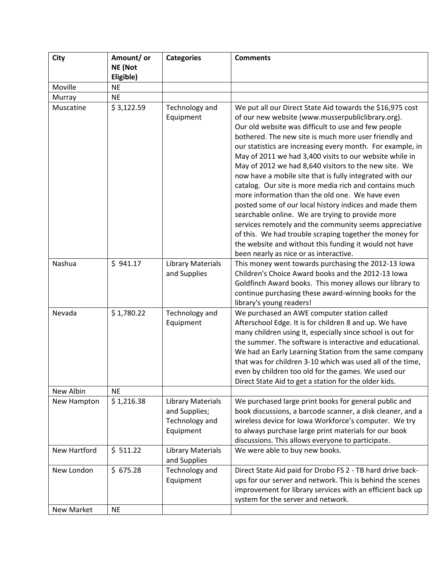| <b>City</b>  | Amount/ or | <b>Categories</b>           | <b>Comments</b>                                                                                                       |
|--------------|------------|-----------------------------|-----------------------------------------------------------------------------------------------------------------------|
|              | NE (Not    |                             |                                                                                                                       |
|              | Eligible)  |                             |                                                                                                                       |
| Moville      | <b>NE</b>  |                             |                                                                                                                       |
| Murray       | <b>NE</b>  |                             |                                                                                                                       |
| Muscatine    | \$3,122.59 | Technology and              | We put all our Direct State Aid towards the \$16,975 cost                                                             |
|              |            | Equipment                   | of our new website (www.musserpubliclibrary.org).                                                                     |
|              |            |                             | Our old website was difficult to use and few people                                                                   |
|              |            |                             | bothered. The new site is much more user friendly and                                                                 |
|              |            |                             | our statistics are increasing every month. For example, in<br>May of 2011 we had 3,400 visits to our website while in |
|              |            |                             | May of 2012 we had 8,640 visitors to the new site. We                                                                 |
|              |            |                             | now have a mobile site that is fully integrated with our                                                              |
|              |            |                             | catalog. Our site is more media rich and contains much                                                                |
|              |            |                             | more information than the old one. We have even                                                                       |
|              |            |                             | posted some of our local history indices and made them                                                                |
|              |            |                             | searchable online. We are trying to provide more                                                                      |
|              |            |                             | services remotely and the community seems appreciative                                                                |
|              |            |                             | of this. We had trouble scraping together the money for                                                               |
|              |            |                             | the website and without this funding it would not have                                                                |
|              |            |                             | been nearly as nice or as interactive.                                                                                |
| Nashua       | \$941.17   | <b>Library Materials</b>    | This money went towards purchasing the 2012-13 lowa                                                                   |
|              |            | and Supplies                | Children's Choice Award books and the 2012-13 Iowa                                                                    |
|              |            |                             | Goldfinch Award books. This money allows our library to<br>continue purchasing these award-winning books for the      |
|              |            |                             | library's young readers!                                                                                              |
| Nevada       | \$1,780.22 | Technology and              | We purchased an AWE computer station called                                                                           |
|              |            | Equipment                   | Afterschool Edge. It is for children 8 and up. We have                                                                |
|              |            |                             | many children using it, especially since school is out for                                                            |
|              |            |                             | the summer. The software is interactive and educational.                                                              |
|              |            |                             | We had an Early Learning Station from the same company                                                                |
|              |            |                             | that was for children 3-10 which was used all of the time,                                                            |
|              |            |                             | even by children too old for the games. We used our                                                                   |
|              |            |                             | Direct State Aid to get a station for the older kids.                                                                 |
| New Albin    | <b>NE</b>  |                             |                                                                                                                       |
| New Hampton  | \$1,216.38 | <b>Library Materials</b>    | We purchased large print books for general public and                                                                 |
|              |            | and Supplies;               | book discussions, a barcode scanner, a disk cleaner, and a<br>wireless device for Iowa Workforce's computer. We try   |
|              |            | Technology and<br>Equipment | to always purchase large print materials for our book                                                                 |
|              |            |                             | discussions. This allows everyone to participate.                                                                     |
| New Hartford | \$511.22   | <b>Library Materials</b>    | We were able to buy new books.                                                                                        |
|              |            | and Supplies                |                                                                                                                       |
| New London   | \$675.28   | Technology and              | Direct State Aid paid for Drobo FS 2 - TB hard drive back-                                                            |
|              |            | Equipment                   | ups for our server and network. This is behind the scenes                                                             |
|              |            |                             | improvement for library services with an efficient back up                                                            |
|              |            |                             | system for the server and network.                                                                                    |
| New Market   | <b>NE</b>  |                             |                                                                                                                       |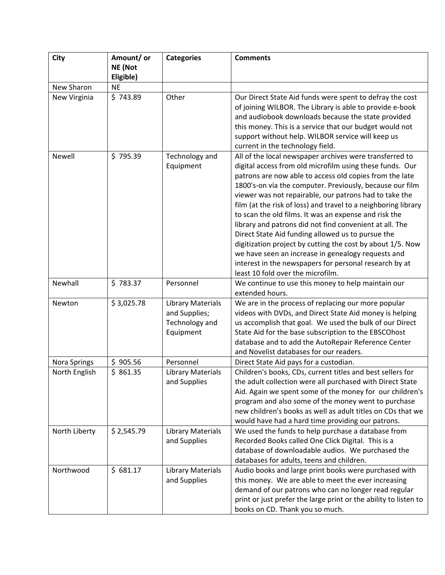| <b>City</b>   | Amount/ or | <b>Categories</b>        | <b>Comments</b>                                                                                                      |
|---------------|------------|--------------------------|----------------------------------------------------------------------------------------------------------------------|
|               | NE (Not    |                          |                                                                                                                      |
|               | Eligible)  |                          |                                                                                                                      |
| New Sharon    | <b>NE</b>  |                          |                                                                                                                      |
| New Virginia  | \$743.89   | Other                    | Our Direct State Aid funds were spent to defray the cost<br>of joining WILBOR. The Library is able to provide e-book |
|               |            |                          | and audiobook downloads because the state provided                                                                   |
|               |            |                          | this money. This is a service that our budget would not                                                              |
|               |            |                          | support without help. WILBOR service will keep us                                                                    |
|               |            |                          | current in the technology field.                                                                                     |
| Newell        | \$795.39   | Technology and           | All of the local newspaper archives were transferred to                                                              |
|               |            | Equipment                | digital access from old microfilm using these funds. Our                                                             |
|               |            |                          | patrons are now able to access old copies from the late                                                              |
|               |            |                          | 1800's-on via the computer. Previously, because our film                                                             |
|               |            |                          | viewer was not repairable, our patrons had to take the                                                               |
|               |            |                          | film (at the risk of loss) and travel to a neighboring library                                                       |
|               |            |                          | to scan the old films. It was an expense and risk the<br>library and patrons did not find convenient at all. The     |
|               |            |                          | Direct State Aid funding allowed us to pursue the                                                                    |
|               |            |                          | digitization project by cutting the cost by about 1/5. Now                                                           |
|               |            |                          | we have seen an increase in genealogy requests and                                                                   |
|               |            |                          | interest in the newspapers for personal research by at                                                               |
|               |            |                          | least 10 fold over the microfilm.                                                                                    |
| Newhall       | \$783.37   | Personnel                | We continue to use this money to help maintain our                                                                   |
|               |            |                          | extended hours.                                                                                                      |
| Newton        | \$3,025.78 | <b>Library Materials</b> | We are in the process of replacing our more popular                                                                  |
|               |            | and Supplies;            | videos with DVDs, and Direct State Aid money is helping                                                              |
|               |            | Technology and           | us accomplish that goal. We used the bulk of our Direct                                                              |
|               |            | Equipment                | State Aid for the base subscription to the EBSCOhost                                                                 |
|               |            |                          | database and to add the AutoRepair Reference Center                                                                  |
|               |            |                          | and Novelist databases for our readers.                                                                              |
| Nora Springs  | \$905.56   | Personnel                | Direct State Aid pays for a custodian.                                                                               |
| North English | \$861.35   | <b>Library Materials</b> | Children's books, CDs, current titles and best sellers for                                                           |
|               |            | and Supplies             | the adult collection were all purchased with Direct State                                                            |
|               |            |                          | Aid. Again we spent some of the money for our children's<br>program and also some of the money went to purchase      |
|               |            |                          | new children's books as well as adult titles on CDs that we                                                          |
|               |            |                          | would have had a hard time providing our patrons.                                                                    |
| North Liberty | \$2,545.79 | Library Materials        | We used the funds to help purchase a database from                                                                   |
|               |            | and Supplies             | Recorded Books called One Click Digital. This is a                                                                   |
|               |            |                          | database of downloadable audios. We purchased the                                                                    |
|               |            |                          | databases for adults, teens and children.                                                                            |
| Northwood     | \$681.17   | <b>Library Materials</b> | Audio books and large print books were purchased with                                                                |
|               |            | and Supplies             | this money. We are able to meet the ever increasing                                                                  |
|               |            |                          | demand of our patrons who can no longer read regular                                                                 |
|               |            |                          | print or just prefer the large print or the ability to listen to                                                     |
|               |            |                          | books on CD. Thank you so much.                                                                                      |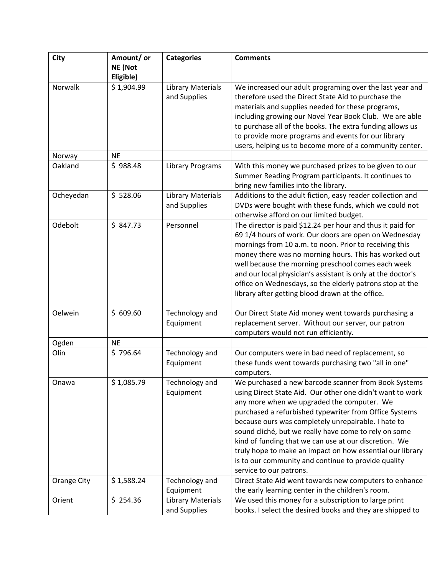| <b>City</b> | Amount/ or | <b>Categories</b>        | <b>Comments</b>                                                                                                     |
|-------------|------------|--------------------------|---------------------------------------------------------------------------------------------------------------------|
|             | NE (Not    |                          |                                                                                                                     |
|             | Eligible)  |                          |                                                                                                                     |
| Norwalk     | \$1,904.99 | <b>Library Materials</b> | We increased our adult programing over the last year and                                                            |
|             |            | and Supplies             | therefore used the Direct State Aid to purchase the<br>materials and supplies needed for these programs,            |
|             |            |                          | including growing our Novel Year Book Club. We are able                                                             |
|             |            |                          | to purchase all of the books. The extra funding allows us                                                           |
|             |            |                          | to provide more programs and events for our library                                                                 |
|             |            |                          | users, helping us to become more of a community center.                                                             |
| Norway      | <b>NE</b>  |                          |                                                                                                                     |
| Oakland     | \$988.48   | <b>Library Programs</b>  | With this money we purchased prizes to be given to our                                                              |
|             |            |                          | Summer Reading Program participants. It continues to                                                                |
|             |            |                          | bring new families into the library.                                                                                |
| Ocheyedan   | \$528.06   | <b>Library Materials</b> | Additions to the adult fiction, easy reader collection and                                                          |
|             |            | and Supplies             | DVDs were bought with these funds, which we could not                                                               |
|             | \$847.73   |                          | otherwise afford on our limited budget.                                                                             |
| Odebolt     |            | Personnel                | The director is paid \$12.24 per hour and thus it paid for<br>69 1/4 hours of work. Our doors are open on Wednesday |
|             |            |                          | mornings from 10 a.m. to noon. Prior to receiving this                                                              |
|             |            |                          | money there was no morning hours. This has worked out                                                               |
|             |            |                          | well because the morning preschool comes each week                                                                  |
|             |            |                          | and our local physician's assistant is only at the doctor's                                                         |
|             |            |                          | office on Wednesdays, so the elderly patrons stop at the                                                            |
|             |            |                          | library after getting blood drawn at the office.                                                                    |
| Oelwein     | \$609.60   | Technology and           | Our Direct State Aid money went towards purchasing a                                                                |
|             |            | Equipment                | replacement server. Without our server, our patron                                                                  |
|             |            |                          | computers would not run efficiently.                                                                                |
| Ogden       | <b>NE</b>  |                          |                                                                                                                     |
| Olin        | \$796.64   | Technology and           | Our computers were in bad need of replacement, so                                                                   |
|             |            | Equipment                | these funds went towards purchasing two "all in one"                                                                |
|             |            |                          | computers.                                                                                                          |
| Onawa       | \$1,085.79 | Technology and           | We purchased a new barcode scanner from Book Systems                                                                |
|             |            | Equipment                | using Direct State Aid. Our other one didn't want to work                                                           |
|             |            |                          | any more when we upgraded the computer. We<br>purchased a refurbished typewriter from Office Systems                |
|             |            |                          | because ours was completely unrepairable. I hate to                                                                 |
|             |            |                          | sound cliché, but we really have come to rely on some                                                               |
|             |            |                          | kind of funding that we can use at our discretion. We                                                               |
|             |            |                          | truly hope to make an impact on how essential our library                                                           |
|             |            |                          | is to our community and continue to provide quality                                                                 |
|             |            |                          | service to our patrons.                                                                                             |
| Orange City | \$1,588.24 | Technology and           | Direct State Aid went towards new computers to enhance                                                              |
|             |            | Equipment                | the early learning center in the children's room.                                                                   |
| Orient      | \$254.36   | <b>Library Materials</b> | We used this money for a subscription to large print                                                                |
|             |            | and Supplies             | books. I select the desired books and they are shipped to                                                           |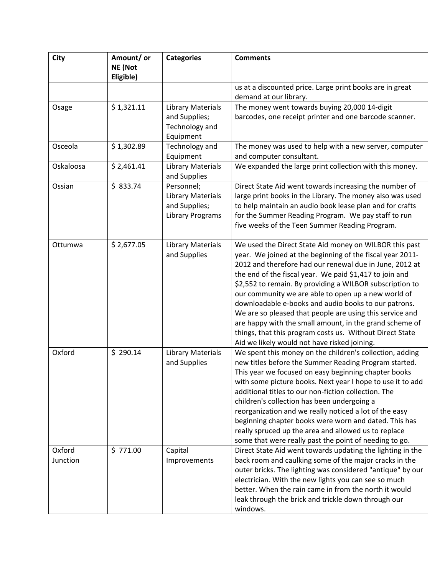| <b>City</b> | Amount/ or<br>NE (Not | <b>Categories</b>                        | <b>Comments</b>                                                                                                     |
|-------------|-----------------------|------------------------------------------|---------------------------------------------------------------------------------------------------------------------|
|             | Eligible)             |                                          |                                                                                                                     |
|             |                       |                                          | us at a discounted price. Large print books are in great                                                            |
|             |                       |                                          | demand at our library.                                                                                              |
| Osage       | \$1,321.11            | <b>Library Materials</b>                 | The money went towards buying 20,000 14-digit                                                                       |
|             |                       | and Supplies;<br>Technology and          | barcodes, one receipt printer and one barcode scanner.                                                              |
|             |                       | Equipment                                |                                                                                                                     |
| Osceola     | \$1,302.89            | Technology and                           | The money was used to help with a new server, computer                                                              |
|             |                       | Equipment                                | and computer consultant.                                                                                            |
| Oskaloosa   | \$2,461.41            | <b>Library Materials</b>                 | We expanded the large print collection with this money.                                                             |
|             |                       | and Supplies                             |                                                                                                                     |
| Ossian      | \$833.74              | Personnel;                               | Direct State Aid went towards increasing the number of                                                              |
|             |                       | <b>Library Materials</b>                 | large print books in the Library. The money also was used                                                           |
|             |                       | and Supplies;                            | to help maintain an audio book lease plan and for crafts                                                            |
|             |                       | <b>Library Programs</b>                  | for the Summer Reading Program. We pay staff to run                                                                 |
|             |                       |                                          | five weeks of the Teen Summer Reading Program.                                                                      |
|             |                       |                                          |                                                                                                                     |
| Ottumwa     | \$2,677.05            | <b>Library Materials</b><br>and Supplies | We used the Direct State Aid money on WILBOR this past<br>year. We joined at the beginning of the fiscal year 2011- |
|             |                       |                                          | 2012 and therefore had our renewal due in June, 2012 at                                                             |
|             |                       |                                          | the end of the fiscal year. We paid \$1,417 to join and                                                             |
|             |                       |                                          | \$2,552 to remain. By providing a WILBOR subscription to                                                            |
|             |                       |                                          | our community we are able to open up a new world of                                                                 |
|             |                       |                                          | downloadable e-books and audio books to our patrons.                                                                |
|             |                       |                                          | We are so pleased that people are using this service and                                                            |
|             |                       |                                          | are happy with the small amount, in the grand scheme of                                                             |
|             |                       |                                          | things, that this program costs us. Without Direct State                                                            |
|             |                       |                                          | Aid we likely would not have risked joining.                                                                        |
| Oxford      | \$290.14              | <b>Library Materials</b>                 | We spent this money on the children's collection, adding                                                            |
|             |                       | and Supplies                             | new titles before the Summer Reading Program started.                                                               |
|             |                       |                                          | This year we focused on easy beginning chapter books                                                                |
|             |                       |                                          | with some picture books. Next year I hope to use it to add                                                          |
|             |                       |                                          | additional titles to our non-fiction collection. The                                                                |
|             |                       |                                          | children's collection has been undergoing a<br>reorganization and we really noticed a lot of the easy               |
|             |                       |                                          | beginning chapter books were worn and dated. This has                                                               |
|             |                       |                                          | really spruced up the area and allowed us to replace                                                                |
|             |                       |                                          | some that were really past the point of needing to go.                                                              |
| Oxford      | \$771.00              | Capital                                  | Direct State Aid went towards updating the lighting in the                                                          |
| Junction    |                       | Improvements                             | back room and caulking some of the major cracks in the                                                              |
|             |                       |                                          | outer bricks. The lighting was considered "antique" by our                                                          |
|             |                       |                                          | electrician. With the new lights you can see so much                                                                |
|             |                       |                                          | better. When the rain came in from the north it would                                                               |
|             |                       |                                          | leak through the brick and trickle down through our                                                                 |
|             |                       |                                          | windows.                                                                                                            |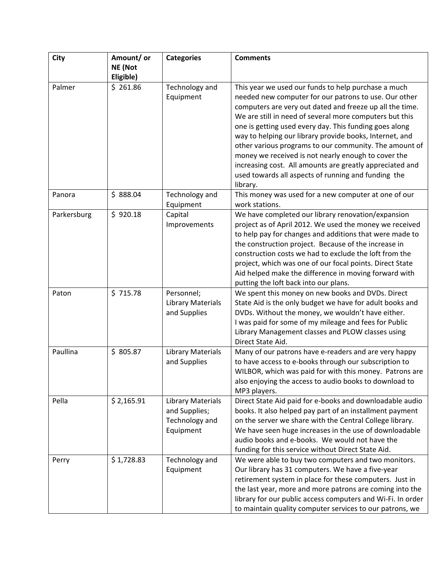| <b>City</b> | Amount/ or | <b>Categories</b>                                                        | <b>Comments</b>                                                                                                                                                                                                                                                                                                                                                                                                                                                                                                                                                                              |
|-------------|------------|--------------------------------------------------------------------------|----------------------------------------------------------------------------------------------------------------------------------------------------------------------------------------------------------------------------------------------------------------------------------------------------------------------------------------------------------------------------------------------------------------------------------------------------------------------------------------------------------------------------------------------------------------------------------------------|
|             | NE (Not    |                                                                          |                                                                                                                                                                                                                                                                                                                                                                                                                                                                                                                                                                                              |
|             | Eligible)  |                                                                          |                                                                                                                                                                                                                                                                                                                                                                                                                                                                                                                                                                                              |
| Palmer      | \$261.86   | Technology and<br>Equipment                                              | This year we used our funds to help purchase a much<br>needed new computer for our patrons to use. Our other<br>computers are very out dated and freeze up all the time.<br>We are still in need of several more computers but this<br>one is getting used every day. This funding goes along<br>way to helping our library provide books, Internet, and<br>other various programs to our community. The amount of<br>money we received is not nearly enough to cover the<br>increasing cost. All amounts are greatly appreciated and<br>used towards all aspects of running and funding the |
|             |            |                                                                          | library.                                                                                                                                                                                                                                                                                                                                                                                                                                                                                                                                                                                     |
| Panora      | \$888.04   | Technology and<br>Equipment                                              | This money was used for a new computer at one of our<br>work stations.                                                                                                                                                                                                                                                                                                                                                                                                                                                                                                                       |
| Parkersburg | \$920.18   | Capital<br>Improvements                                                  | We have completed our library renovation/expansion<br>project as of April 2012. We used the money we received<br>to help pay for changes and additions that were made to<br>the construction project. Because of the increase in<br>construction costs we had to exclude the loft from the<br>project, which was one of our focal points. Direct State<br>Aid helped make the difference in moving forward with<br>putting the loft back into our plans.                                                                                                                                     |
| Paton       | \$715.78   | Personnel;<br><b>Library Materials</b><br>and Supplies                   | We spent this money on new books and DVDs. Direct<br>State Aid is the only budget we have for adult books and<br>DVDs. Without the money, we wouldn't have either.<br>I was paid for some of my mileage and fees for Public<br>Library Management classes and PLOW classes using<br>Direct State Aid.                                                                                                                                                                                                                                                                                        |
| Paullina    | \$805.87   | <b>Library Materials</b><br>and Supplies                                 | Many of our patrons have e-readers and are very happy<br>to have access to e-books through our subscription to<br>WILBOR, which was paid for with this money. Patrons are<br>also enjoying the access to audio books to download to<br>MP3 players.                                                                                                                                                                                                                                                                                                                                          |
| Pella       | \$2,165.91 | <b>Library Materials</b><br>and Supplies;<br>Technology and<br>Equipment | Direct State Aid paid for e-books and downloadable audio<br>books. It also helped pay part of an installment payment<br>on the server we share with the Central College library.<br>We have seen huge increases in the use of downloadable<br>audio books and e-books. We would not have the<br>funding for this service without Direct State Aid.                                                                                                                                                                                                                                           |
| Perry       | \$1,728.83 | Technology and<br>Equipment                                              | We were able to buy two computers and two monitors.<br>Our library has 31 computers. We have a five-year<br>retirement system in place for these computers. Just in<br>the last year, more and more patrons are coming into the<br>library for our public access computers and Wi-Fi. In order<br>to maintain quality computer services to our patrons, we                                                                                                                                                                                                                                   |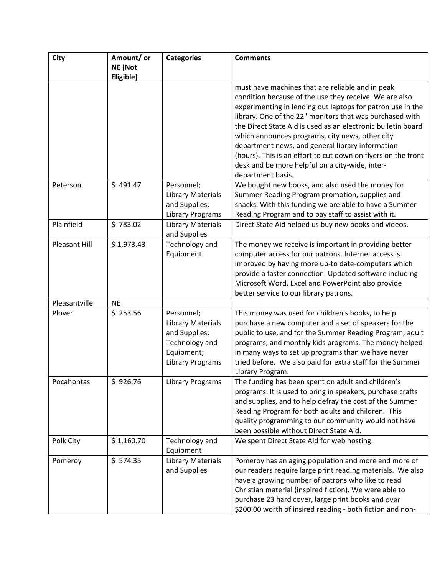| <b>City</b>   | Amount/ or | <b>Categories</b>        | <b>Comments</b>                                                                             |
|---------------|------------|--------------------------|---------------------------------------------------------------------------------------------|
|               | NE (Not    |                          |                                                                                             |
|               | Eligible)  |                          |                                                                                             |
|               |            |                          | must have machines that are reliable and in peak                                            |
|               |            |                          | condition because of the use they receive. We are also                                      |
|               |            |                          | experimenting in lending out laptops for patron use in the                                  |
|               |            |                          | library. One of the 22" monitors that was purchased with                                    |
|               |            |                          | the Direct State Aid is used as an electronic bulletin board                                |
|               |            |                          | which announces programs, city news, other city                                             |
|               |            |                          | department news, and general library information                                            |
|               |            |                          | (hours). This is an effort to cut down on flyers on the front                               |
|               |            |                          | desk and be more helpful on a city-wide, inter-                                             |
|               |            |                          | department basis.                                                                           |
| Peterson      | \$491.47   | Personnel;               | We bought new books, and also used the money for                                            |
|               |            | <b>Library Materials</b> | Summer Reading Program promotion, supplies and                                              |
|               |            | and Supplies;            | snacks. With this funding we are able to have a Summer                                      |
|               |            | <b>Library Programs</b>  | Reading Program and to pay staff to assist with it.                                         |
| Plainfield    | \$783.02   | <b>Library Materials</b> | Direct State Aid helped us buy new books and videos.                                        |
| Pleasant Hill |            | and Supplies             |                                                                                             |
|               | \$1,973.43 | Technology and           | The money we receive is important in providing better                                       |
|               |            | Equipment                | computer access for our patrons. Internet access is                                         |
|               |            |                          | improved by having more up-to date-computers which                                          |
|               |            |                          | provide a faster connection. Updated software including                                     |
|               |            |                          | Microsoft Word, Excel and PowerPoint also provide<br>better service to our library patrons. |
| Pleasantville | <b>NE</b>  |                          |                                                                                             |
| Plover        | \$253.56   | Personnel;               | This money was used for children's books, to help                                           |
|               |            | <b>Library Materials</b> | purchase a new computer and a set of speakers for the                                       |
|               |            | and Supplies;            | public to use, and for the Summer Reading Program, adult                                    |
|               |            | Technology and           | programs, and monthly kids programs. The money helped                                       |
|               |            | Equipment;               | in many ways to set up programs than we have never                                          |
|               |            | <b>Library Programs</b>  | tried before. We also paid for extra staff for the Summer                                   |
|               |            |                          | Library Program.                                                                            |
| Pocahontas    | \$926.76   | <b>Library Programs</b>  | The funding has been spent on adult and children's                                          |
|               |            |                          | programs. It is used to bring in speakers, purchase crafts                                  |
|               |            |                          | and supplies, and to help defray the cost of the Summer                                     |
|               |            |                          | Reading Program for both adults and children. This                                          |
|               |            |                          | quality programming to our community would not have                                         |
|               |            |                          | been possible without Direct State Aid.                                                     |
| Polk City     | \$1,160.70 | Technology and           | We spent Direct State Aid for web hosting.                                                  |
|               |            | Equipment                |                                                                                             |
| Pomeroy       | \$574.35   | <b>Library Materials</b> | Pomeroy has an aging population and more and more of                                        |
|               |            | and Supplies             | our readers require large print reading materials. We also                                  |
|               |            |                          | have a growing number of patrons who like to read                                           |
|               |            |                          | Christian material (inspired fiction). We were able to                                      |
|               |            |                          | purchase 23 hard cover, large print books and over                                          |
|               |            |                          | \$200.00 worth of insired reading - both fiction and non-                                   |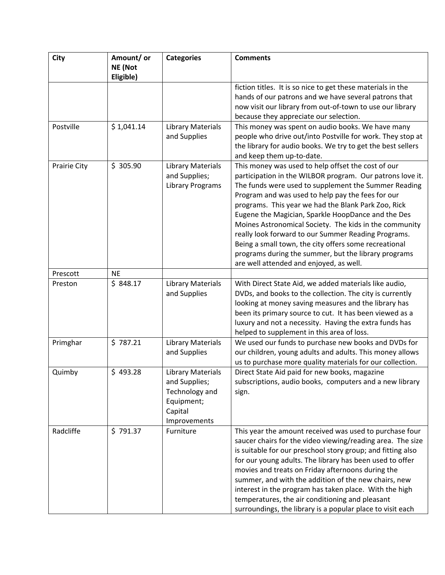| <b>City</b>         | Amount/ or | <b>Categories</b>        | <b>Comments</b>                                                                                                 |
|---------------------|------------|--------------------------|-----------------------------------------------------------------------------------------------------------------|
|                     | NE (Not    |                          |                                                                                                                 |
|                     | Eligible)  |                          |                                                                                                                 |
|                     |            |                          | fiction titles. It is so nice to get these materials in the                                                     |
|                     |            |                          | hands of our patrons and we have several patrons that                                                           |
|                     |            |                          | now visit our library from out-of-town to use our library                                                       |
| Postville           | \$1,041.14 | <b>Library Materials</b> | because they appreciate our selection.<br>This money was spent on audio books. We have many                     |
|                     |            | and Supplies             | people who drive out/into Postville for work. They stop at                                                      |
|                     |            |                          | the library for audio books. We try to get the best sellers                                                     |
|                     |            |                          | and keep them up-to-date.                                                                                       |
| <b>Prairie City</b> | \$305.90   | Library Materials        | This money was used to help offset the cost of our                                                              |
|                     |            | and Supplies;            | participation in the WILBOR program. Our patrons love it.                                                       |
|                     |            | <b>Library Programs</b>  | The funds were used to supplement the Summer Reading                                                            |
|                     |            |                          | Program and was used to help pay the fees for our                                                               |
|                     |            |                          | programs. This year we had the Blank Park Zoo, Rick                                                             |
|                     |            |                          | Eugene the Magician, Sparkle HoopDance and the Des                                                              |
|                     |            |                          | Moines Astronomical Society. The kids in the community                                                          |
|                     |            |                          | really look forward to our Summer Reading Programs.                                                             |
|                     |            |                          | Being a small town, the city offers some recreational                                                           |
|                     |            |                          | programs during the summer, but the library programs                                                            |
|                     |            |                          | are well attended and enjoyed, as well.                                                                         |
| Prescott            | <b>NE</b>  |                          |                                                                                                                 |
| Preston             | \$848.17   | <b>Library Materials</b> | With Direct State Aid, we added materials like audio,                                                           |
|                     |            | and Supplies             | DVDs, and books to the collection. The city is currently                                                        |
|                     |            |                          | looking at money saving measures and the library has<br>been its primary source to cut. It has been viewed as a |
|                     |            |                          | luxury and not a necessity. Having the extra funds has                                                          |
|                     |            |                          | helped to supplement in this area of loss.                                                                      |
| Primghar            | \$787.21   | <b>Library Materials</b> | We used our funds to purchase new books and DVDs for                                                            |
|                     |            | and Supplies             | our children, young adults and adults. This money allows                                                        |
|                     |            |                          | us to purchase more quality materials for our collection.                                                       |
| Quimby              | \$493.28   | <b>Library Materials</b> | Direct State Aid paid for new books, magazine                                                                   |
|                     |            | and Supplies;            | subscriptions, audio books, computers and a new library                                                         |
|                     |            | Technology and           | sign.                                                                                                           |
|                     |            | Equipment;               |                                                                                                                 |
|                     |            | Capital                  |                                                                                                                 |
|                     |            | Improvements             |                                                                                                                 |
| Radcliffe           | \$791.37   | Furniture                | This year the amount received was used to purchase four                                                         |
|                     |            |                          | saucer chairs for the video viewing/reading area. The size                                                      |
|                     |            |                          | is suitable for our preschool story group; and fitting also                                                     |
|                     |            |                          | for our young adults. The library has been used to offer                                                        |
|                     |            |                          | movies and treats on Friday afternoons during the<br>summer, and with the addition of the new chairs, new       |
|                     |            |                          | interest in the program has taken place. With the high                                                          |
|                     |            |                          | temperatures, the air conditioning and pleasant                                                                 |
|                     |            |                          | surroundings, the library is a popular place to visit each                                                      |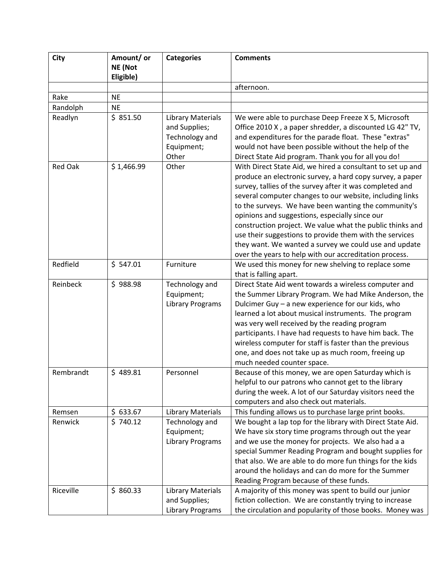| <b>City</b>    | Amount/ or | <b>Categories</b>        | <b>Comments</b>                                                                                                    |
|----------------|------------|--------------------------|--------------------------------------------------------------------------------------------------------------------|
|                | NE (Not    |                          |                                                                                                                    |
|                | Eligible)  |                          | afternoon.                                                                                                         |
| Rake           | <b>NE</b>  |                          |                                                                                                                    |
| Randolph       | <b>NE</b>  |                          |                                                                                                                    |
| Readlyn        | \$851.50   | <b>Library Materials</b> | We were able to purchase Deep Freeze X 5, Microsoft                                                                |
|                |            | and Supplies;            | Office 2010 X, a paper shredder, a discounted LG 42" TV,                                                           |
|                |            | Technology and           | and expenditures for the parade float. These "extras"                                                              |
|                |            | Equipment;               | would not have been possible without the help of the                                                               |
|                |            | Other                    | Direct State Aid program. Thank you for all you do!                                                                |
| <b>Red Oak</b> | \$1,466.99 | Other                    | With Direct State Aid, we hired a consultant to set up and                                                         |
|                |            |                          | produce an electronic survey, a hard copy survey, a paper                                                          |
|                |            |                          | survey, tallies of the survey after it was completed and                                                           |
|                |            |                          | several computer changes to our website, including links                                                           |
|                |            |                          | to the surveys. We have been wanting the community's<br>opinions and suggestions, especially since our             |
|                |            |                          | construction project. We value what the public thinks and                                                          |
|                |            |                          | use their suggestions to provide them with the services                                                            |
|                |            |                          | they want. We wanted a survey we could use and update                                                              |
|                |            |                          | over the years to help with our accreditation process.                                                             |
| Redfield       | \$547.01   | Furniture                | We used this money for new shelving to replace some                                                                |
|                |            |                          | that is falling apart.                                                                                             |
| Reinbeck       | \$988.98   | Technology and           | Direct State Aid went towards a wireless computer and                                                              |
|                |            | Equipment;               | the Summer Library Program. We had Mike Anderson, the                                                              |
|                |            | <b>Library Programs</b>  | Dulcimer Guy - a new experience for our kids, who                                                                  |
|                |            |                          | learned a lot about musical instruments. The program                                                               |
|                |            |                          | was very well received by the reading program                                                                      |
|                |            |                          | participants. I have had requests to have him back. The<br>wireless computer for staff is faster than the previous |
|                |            |                          | one, and does not take up as much room, freeing up                                                                 |
|                |            |                          | much needed counter space.                                                                                         |
| Rembrandt      | \$489.81   | Personnel                | Because of this money, we are open Saturday which is                                                               |
|                |            |                          | helpful to our patrons who cannot get to the library                                                               |
|                |            |                          | during the week. A lot of our Saturday visitors need the                                                           |
|                |            |                          | computers and also check out materials.                                                                            |
| Remsen         | \$633.67   | <b>Library Materials</b> | This funding allows us to purchase large print books.                                                              |
| Renwick        | \$740.12   | Technology and           | We bought a lap top for the library with Direct State Aid.                                                         |
|                |            | Equipment;               | We have six story time programs through out the year<br>and we use the money for projects. We also had a a         |
|                |            | <b>Library Programs</b>  | special Summer Reading Program and bought supplies for                                                             |
|                |            |                          | that also. We are able to do more fun things for the kids                                                          |
|                |            |                          | around the holidays and can do more for the Summer                                                                 |
|                |            |                          | Reading Program because of these funds.                                                                            |
| Riceville      | \$860.33   | <b>Library Materials</b> | A majority of this money was spent to build our junior                                                             |
|                |            | and Supplies;            | fiction collection. We are constantly trying to increase                                                           |
|                |            | <b>Library Programs</b>  | the circulation and popularity of those books. Money was                                                           |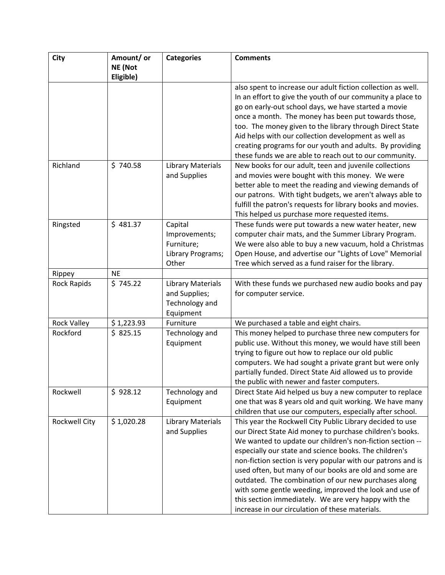| City                 | Amount/ or<br>NE (Not | <b>Categories</b>        | <b>Comments</b>                                                                                                     |
|----------------------|-----------------------|--------------------------|---------------------------------------------------------------------------------------------------------------------|
|                      | Eligible)             |                          |                                                                                                                     |
|                      |                       |                          | also spent to increase our adult fiction collection as well.                                                        |
|                      |                       |                          | In an effort to give the youth of our community a place to                                                          |
|                      |                       |                          | go on early-out school days, we have started a movie                                                                |
|                      |                       |                          | once a month. The money has been put towards those,                                                                 |
|                      |                       |                          | too. The money given to the library through Direct State                                                            |
|                      |                       |                          | Aid helps with our collection development as well as                                                                |
|                      |                       |                          | creating programs for our youth and adults. By providing                                                            |
|                      |                       |                          | these funds we are able to reach out to our community.                                                              |
| Richland             | \$740.58              | <b>Library Materials</b> | New books for our adult, teen and juvenile collections                                                              |
|                      |                       | and Supplies             | and movies were bought with this money. We were                                                                     |
|                      |                       |                          | better able to meet the reading and viewing demands of<br>our patrons. With tight budgets, we aren't always able to |
|                      |                       |                          | fulfill the patron's requests for library books and movies.                                                         |
|                      |                       |                          | This helped us purchase more requested items.                                                                       |
| Ringsted             | \$481.37              | Capital                  | These funds were put towards a new water heater, new                                                                |
|                      |                       | Improvements;            | computer chair mats, and the Summer Library Program.                                                                |
|                      |                       | Furniture;               | We were also able to buy a new vacuum, hold a Christmas                                                             |
|                      |                       | Library Programs;        | Open House, and advertise our "Lights of Love" Memorial                                                             |
|                      |                       | Other                    | Tree which served as a fund raiser for the library.                                                                 |
| Rippey               | <b>NE</b>             |                          |                                                                                                                     |
| <b>Rock Rapids</b>   | \$745.22              | <b>Library Materials</b> | With these funds we purchased new audio books and pay                                                               |
|                      |                       | and Supplies;            | for computer service.                                                                                               |
|                      |                       | Technology and           |                                                                                                                     |
|                      |                       | Equipment                |                                                                                                                     |
| <b>Rock Valley</b>   | \$1,223.93            | Furniture                | We purchased a table and eight chairs.                                                                              |
| Rockford             | \$825.15              | Technology and           | This money helped to purchase three new computers for                                                               |
|                      |                       | Equipment                | public use. Without this money, we would have still been<br>trying to figure out how to replace our old public      |
|                      |                       |                          | computers. We had sought a private grant but were only                                                              |
|                      |                       |                          | partially funded. Direct State Aid allowed us to provide                                                            |
|                      |                       |                          | the public with newer and faster computers.                                                                         |
| Rockwell             | \$928.12              | Technology and           | Direct State Aid helped us buy a new computer to replace                                                            |
|                      |                       | Equipment                | one that was 8 years old and quit working. We have many                                                             |
|                      |                       |                          | children that use our computers, especially after school.                                                           |
| <b>Rockwell City</b> | \$1,020.28            | <b>Library Materials</b> | This year the Rockwell City Public Library decided to use                                                           |
|                      |                       | and Supplies             | our Direct State Aid money to purchase children's books.                                                            |
|                      |                       |                          | We wanted to update our children's non-fiction section --                                                           |
|                      |                       |                          | especially our state and science books. The children's                                                              |
|                      |                       |                          | non-fiction section is very popular with our patrons and is                                                         |
|                      |                       |                          | used often, but many of our books are old and some are                                                              |
|                      |                       |                          | outdated. The combination of our new purchases along                                                                |
|                      |                       |                          | with some gentle weeding, improved the look and use of                                                              |
|                      |                       |                          | this section immediately. We are very happy with the                                                                |
|                      |                       |                          | increase in our circulation of these materials.                                                                     |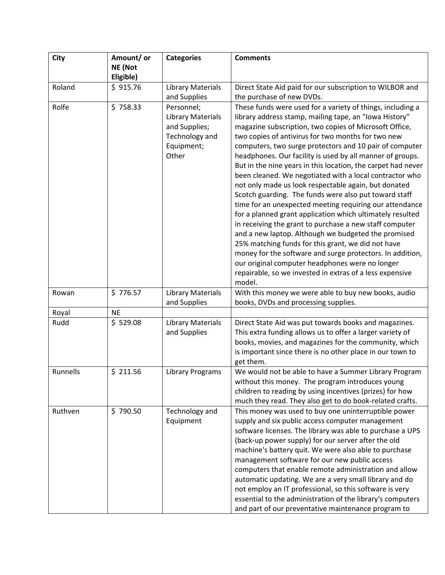| <b>City</b> | Amount/ or | <b>Categories</b>        | <b>Comments</b>                                                                                                         |
|-------------|------------|--------------------------|-------------------------------------------------------------------------------------------------------------------------|
|             | NE (Not    |                          |                                                                                                                         |
|             | Eligible)  |                          |                                                                                                                         |
| Roland      | \$915.76   | <b>Library Materials</b> | Direct State Aid paid for our subscription to WILBOR and                                                                |
|             |            | and Supplies             | the purchase of new DVDs.                                                                                               |
| Rolfe       | \$758.33   | Personnel;               | These funds were used for a variety of things, including a                                                              |
|             |            | <b>Library Materials</b> | library address stamp, mailing tape, an "Iowa History"                                                                  |
|             |            | and Supplies;            | magazine subscription, two copies of Microsoft Office,                                                                  |
|             |            | Technology and           | two copies of antivirus for two months for two new                                                                      |
|             |            | Equipment;               | computers, two surge protectors and 10 pair of computer                                                                 |
|             |            | Other                    | headphones. Our facility is used by all manner of groups.                                                               |
|             |            |                          | But in the nine years in this location, the carpet had never<br>been cleaned. We negotiated with a local contractor who |
|             |            |                          | not only made us look respectable again, but donated                                                                    |
|             |            |                          | Scotch guarding. The funds were also put toward staff                                                                   |
|             |            |                          | time for an unexpected meeting requiring our attendance                                                                 |
|             |            |                          | for a planned grant application which ultimately resulted                                                               |
|             |            |                          | in receiving the grant to purchase a new staff computer                                                                 |
|             |            |                          | and a new laptop. Although we budgeted the promised                                                                     |
|             |            |                          | 25% matching funds for this grant, we did not have                                                                      |
|             |            |                          | money for the software and surge protectors. In addition,                                                               |
|             |            |                          | our original computer headphones were no longer                                                                         |
|             |            |                          | repairable, so we invested in extras of a less expensive                                                                |
|             |            |                          | model.                                                                                                                  |
| Rowan       | \$776.57   | <b>Library Materials</b> | With this money we were able to buy new books, audio                                                                    |
|             |            | and Supplies             | books, DVDs and processing supplies.                                                                                    |
| Royal       | <b>NE</b>  |                          |                                                                                                                         |
| Rudd        | \$529.08   | <b>Library Materials</b> | Direct State Aid was put towards books and magazines.                                                                   |
|             |            | and Supplies             | This extra funding allows us to offer a larger variety of<br>books, movies, and magazines for the community, which      |
|             |            |                          | is important since there is no other place in our town to                                                               |
|             |            |                          | get them.                                                                                                               |
| Runnells    | \$211.56   | <b>Library Programs</b>  | We would not be able to have a Summer Library Program                                                                   |
|             |            |                          | without this money. The program introduces young                                                                        |
|             |            |                          | children to reading by using incentives (prizes) for how                                                                |
|             |            |                          | much they read. They also get to do book-related crafts.                                                                |
| Ruthven     | \$790.50   | Technology and           | This money was used to buy one uninterruptible power                                                                    |
|             |            | Equipment                | supply and six public access computer management                                                                        |
|             |            |                          | software licenses. The library was able to purchase a UPS                                                               |
|             |            |                          | (back-up power supply) for our server after the old                                                                     |
|             |            |                          | machine's battery quit. We were also able to purchase                                                                   |
|             |            |                          | management software for our new public access                                                                           |
|             |            |                          | computers that enable remote administration and allow                                                                   |
|             |            |                          | automatic updating. We are a very small library and do                                                                  |
|             |            |                          | not employ an IT professional, so this software is very                                                                 |
|             |            |                          | essential to the administration of the library's computers                                                              |
|             |            |                          | and part of our preventative maintenance program to                                                                     |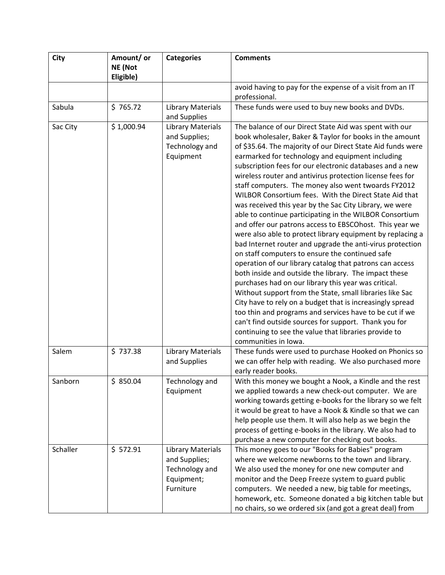| <b>City</b> | Amount/ or<br>NE (Not<br>Eligible) | <b>Categories</b>                                                                      | <b>Comments</b>                                                                                                                                                                                                                                                                                                                                                                                                                                                                                                                                                                                                                                                                                                                                                                                                                                                                                                                                                                                                                                                                                                                                                                                                                                                                                                                                          |
|-------------|------------------------------------|----------------------------------------------------------------------------------------|----------------------------------------------------------------------------------------------------------------------------------------------------------------------------------------------------------------------------------------------------------------------------------------------------------------------------------------------------------------------------------------------------------------------------------------------------------------------------------------------------------------------------------------------------------------------------------------------------------------------------------------------------------------------------------------------------------------------------------------------------------------------------------------------------------------------------------------------------------------------------------------------------------------------------------------------------------------------------------------------------------------------------------------------------------------------------------------------------------------------------------------------------------------------------------------------------------------------------------------------------------------------------------------------------------------------------------------------------------|
|             |                                    |                                                                                        | avoid having to pay for the expense of a visit from an IT<br>professional.                                                                                                                                                                                                                                                                                                                                                                                                                                                                                                                                                                                                                                                                                                                                                                                                                                                                                                                                                                                                                                                                                                                                                                                                                                                                               |
| Sabula      | \$765.72                           | <b>Library Materials</b><br>and Supplies                                               | These funds were used to buy new books and DVDs.                                                                                                                                                                                                                                                                                                                                                                                                                                                                                                                                                                                                                                                                                                                                                                                                                                                                                                                                                                                                                                                                                                                                                                                                                                                                                                         |
| Sac City    | \$1,000.94                         | <b>Library Materials</b><br>and Supplies;<br>Technology and<br>Equipment               | The balance of our Direct State Aid was spent with our<br>book wholesaler, Baker & Taylor for books in the amount<br>of \$35.64. The majority of our Direct State Aid funds were<br>earmarked for technology and equipment including<br>subscription fees for our electronic databases and a new<br>wireless router and antivirus protection license fees for<br>staff computers. The money also went twoards FY2012<br>WILBOR Consortium fees. With the Direct State Aid that<br>was received this year by the Sac City Library, we were<br>able to continue participating in the WILBOR Consortium<br>and offer our patrons access to EBSCOhost. This year we<br>were also able to protect library equipment by replacing a<br>bad Internet router and upgrade the anti-virus protection<br>on staff computers to ensure the continued safe<br>operation of our library catalog that patrons can access<br>both inside and outside the library. The impact these<br>purchases had on our library this year was critical.<br>Without support from the State, small libraries like Sac<br>City have to rely on a budget that is increasingly spread<br>too thin and programs and services have to be cut if we<br>can't find outside sources for support. Thank you for<br>continuing to see the value that libraries provide to<br>communities in Iowa. |
| Salem       | \$737.38                           | <b>Library Materials</b><br>and Supplies                                               | These funds were used to purchase Hooked on Phonics so<br>we can offer help with reading. We also purchased more<br>early reader books.                                                                                                                                                                                                                                                                                                                                                                                                                                                                                                                                                                                                                                                                                                                                                                                                                                                                                                                                                                                                                                                                                                                                                                                                                  |
| Sanborn     | \$850.04                           | Technology and<br>Equipment                                                            | With this money we bought a Nook, a Kindle and the rest<br>we applied towards a new check-out computer. We are<br>working towards getting e-books for the library so we felt<br>it would be great to have a Nook & Kindle so that we can<br>help people use them. It will also help as we begin the<br>process of getting e-books in the library. We also had to<br>purchase a new computer for checking out books.                                                                                                                                                                                                                                                                                                                                                                                                                                                                                                                                                                                                                                                                                                                                                                                                                                                                                                                                      |
| Schaller    | \$572.91                           | <b>Library Materials</b><br>and Supplies;<br>Technology and<br>Equipment;<br>Furniture | This money goes to our "Books for Babies" program<br>where we welcome newborns to the town and library.<br>We also used the money for one new computer and<br>monitor and the Deep Freeze system to guard public<br>computers. We needed a new, big table for meetings,<br>homework, etc. Someone donated a big kitchen table but<br>no chairs, so we ordered six (and got a great deal) from                                                                                                                                                                                                                                                                                                                                                                                                                                                                                                                                                                                                                                                                                                                                                                                                                                                                                                                                                            |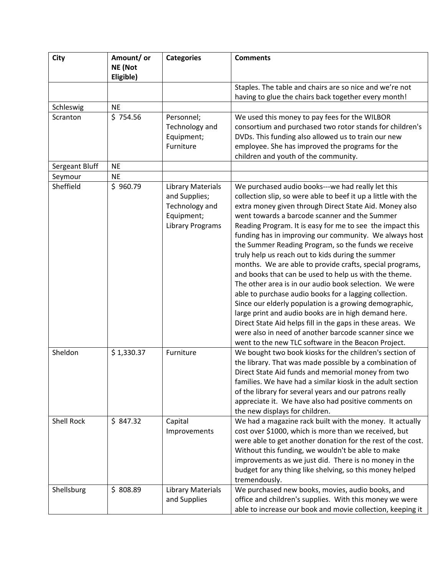| <b>City</b>           | Amount/ or<br>NE (Not<br>Eligible) | <b>Categories</b>                                                                                    | <b>Comments</b>                                                                                                                                                                                                                                                                                                                                                                                                                                                                                                                                                                                                                                                                                                                                                                                                                                                                                                                                                                                           |
|-----------------------|------------------------------------|------------------------------------------------------------------------------------------------------|-----------------------------------------------------------------------------------------------------------------------------------------------------------------------------------------------------------------------------------------------------------------------------------------------------------------------------------------------------------------------------------------------------------------------------------------------------------------------------------------------------------------------------------------------------------------------------------------------------------------------------------------------------------------------------------------------------------------------------------------------------------------------------------------------------------------------------------------------------------------------------------------------------------------------------------------------------------------------------------------------------------|
|                       |                                    |                                                                                                      | Staples. The table and chairs are so nice and we're not                                                                                                                                                                                                                                                                                                                                                                                                                                                                                                                                                                                                                                                                                                                                                                                                                                                                                                                                                   |
|                       | <b>NE</b>                          |                                                                                                      | having to glue the chairs back together every month!                                                                                                                                                                                                                                                                                                                                                                                                                                                                                                                                                                                                                                                                                                                                                                                                                                                                                                                                                      |
| Schleswig<br>Scranton | \$754.56                           | Personnel;                                                                                           |                                                                                                                                                                                                                                                                                                                                                                                                                                                                                                                                                                                                                                                                                                                                                                                                                                                                                                                                                                                                           |
|                       |                                    | Technology and<br>Equipment;<br>Furniture                                                            | We used this money to pay fees for the WILBOR<br>consortium and purchased two rotor stands for children's<br>DVDs. This funding also allowed us to train our new<br>employee. She has improved the programs for the<br>children and youth of the community.                                                                                                                                                                                                                                                                                                                                                                                                                                                                                                                                                                                                                                                                                                                                               |
| Sergeant Bluff        | <b>NE</b>                          |                                                                                                      |                                                                                                                                                                                                                                                                                                                                                                                                                                                                                                                                                                                                                                                                                                                                                                                                                                                                                                                                                                                                           |
| Seymour               | <b>NE</b>                          |                                                                                                      |                                                                                                                                                                                                                                                                                                                                                                                                                                                                                                                                                                                                                                                                                                                                                                                                                                                                                                                                                                                                           |
| Sheffield             | \$960.79                           | <b>Library Materials</b><br>and Supplies;<br>Technology and<br>Equipment;<br><b>Library Programs</b> | We purchased audio books---we had really let this<br>collection slip, so were able to beef it up a little with the<br>extra money given through Direct State Aid. Money also<br>went towards a barcode scanner and the Summer<br>Reading Program. It is easy for me to see the impact this<br>funding has in improving our community. We always host<br>the Summer Reading Program, so the funds we receive<br>truly help us reach out to kids during the summer<br>months. We are able to provide crafts, special programs,<br>and books that can be used to help us with the theme.<br>The other area is in our audio book selection. We were<br>able to purchase audio books for a lagging collection.<br>Since our elderly population is a growing demographic,<br>large print and audio books are in high demand here.<br>Direct State Aid helps fill in the gaps in these areas. We<br>were also in need of another barcode scanner since we<br>went to the new TLC software in the Beacon Project. |
| Sheldon               | \$1,330.37                         | Furniture                                                                                            | We bought two book kiosks for the children's section of<br>the library. That was made possible by a combination of<br>Direct State Aid funds and memorial money from two<br>families. We have had a similar kiosk in the adult section<br>of the library for several years and our patrons really<br>appreciate it. We have also had positive comments on<br>the new displays for children.                                                                                                                                                                                                                                                                                                                                                                                                                                                                                                                                                                                                               |
| <b>Shell Rock</b>     | \$847.32                           | Capital<br>Improvements                                                                              | We had a magazine rack built with the money. It actually<br>cost over \$1000, which is more than we received, but<br>were able to get another donation for the rest of the cost.<br>Without this funding, we wouldn't be able to make<br>improvements as we just did. There is no money in the<br>budget for any thing like shelving, so this money helped<br>tremendously.                                                                                                                                                                                                                                                                                                                                                                                                                                                                                                                                                                                                                               |
| Shellsburg            | \$808.89                           | <b>Library Materials</b><br>and Supplies                                                             | We purchased new books, movies, audio books, and<br>office and children's supplies. With this money we were<br>able to increase our book and movie collection, keeping it                                                                                                                                                                                                                                                                                                                                                                                                                                                                                                                                                                                                                                                                                                                                                                                                                                 |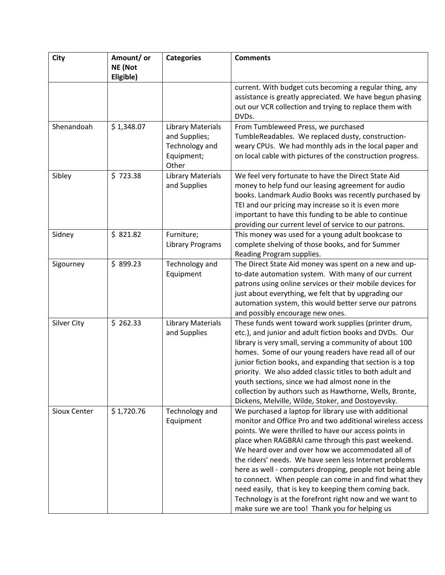| <b>City</b>        | Amount/ or | <b>Categories</b>                                                                  | <b>Comments</b>                                                                                                                                                                                                                                                                                                                                                                                                                                                                                                                                                                                                                              |
|--------------------|------------|------------------------------------------------------------------------------------|----------------------------------------------------------------------------------------------------------------------------------------------------------------------------------------------------------------------------------------------------------------------------------------------------------------------------------------------------------------------------------------------------------------------------------------------------------------------------------------------------------------------------------------------------------------------------------------------------------------------------------------------|
|                    | NE (Not    |                                                                                    |                                                                                                                                                                                                                                                                                                                                                                                                                                                                                                                                                                                                                                              |
|                    | Eligible)  |                                                                                    | current. With budget cuts becoming a regular thing, any<br>assistance is greatly appreciated. We have begun phasing<br>out our VCR collection and trying to replace them with<br>DVDs.                                                                                                                                                                                                                                                                                                                                                                                                                                                       |
| Shenandoah         | \$1,348.07 | <b>Library Materials</b><br>and Supplies;<br>Technology and<br>Equipment;<br>Other | From Tumbleweed Press, we purchased<br>TumbleReadables. We replaced dusty, construction-<br>weary CPUs. We had monthly ads in the local paper and<br>on local cable with pictures of the construction progress.                                                                                                                                                                                                                                                                                                                                                                                                                              |
| Sibley             | \$723.38   | <b>Library Materials</b><br>and Supplies                                           | We feel very fortunate to have the Direct State Aid<br>money to help fund our leasing agreement for audio<br>books. Landmark Audio Books was recently purchased by<br>TEI and our pricing may increase so it is even more<br>important to have this funding to be able to continue<br>providing our current level of service to our patrons.                                                                                                                                                                                                                                                                                                 |
| Sidney             | \$821.82   | Furniture;<br><b>Library Programs</b>                                              | This money was used for a young adult bookcase to<br>complete shelving of those books, and for Summer<br>Reading Program supplies.                                                                                                                                                                                                                                                                                                                                                                                                                                                                                                           |
| Sigourney          | \$899.23   | Technology and<br>Equipment                                                        | The Direct State Aid money was spent on a new and up-<br>to-date automation system. With many of our current<br>patrons using online services or their mobile devices for<br>just about everything, we felt that by upgrading our<br>automation system, this would better serve our patrons<br>and possibly encourage new ones.                                                                                                                                                                                                                                                                                                              |
| <b>Silver City</b> | \$262.33   | <b>Library Materials</b><br>and Supplies                                           | These funds went toward work supplies (printer drum,<br>etc.), and junior and adult fiction books and DVDs. Our<br>library is very small, serving a community of about 100<br>homes. Some of our young readers have read all of our<br>junior fiction books, and expanding that section is a top<br>priority. We also added classic titles to both adult and<br>youth sections, since we had almost none in the<br>collection by authors such as Hawthorne, Wells, Bronte,<br>Dickens, Melville, Wilde, Stoker, and Dostoyevsky.                                                                                                             |
| Sioux Center       | \$1,720.76 | Technology and<br>Equipment                                                        | We purchased a laptop for library use with additional<br>monitor and Office Pro and two additional wireless access<br>points. We were thrilled to have our access points in<br>place when RAGBRAI came through this past weekend.<br>We heard over and over how we accommodated all of<br>the riders' needs. We have seen less Internet problems<br>here as well - computers dropping, people not being able<br>to connect. When people can come in and find what they<br>need easily, that is key to keeping them coming back.<br>Technology is at the forefront right now and we want to<br>make sure we are too! Thank you for helping us |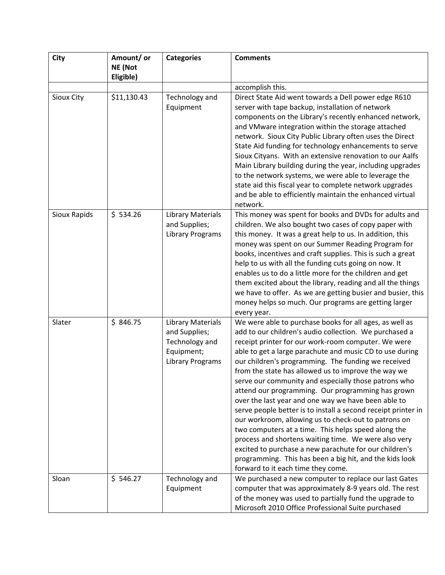| <b>City</b>  | Amount/ or  | <b>Categories</b>                                                                                    | <b>Comments</b>                                                                                                                                                                                                                                                                                                                                                                                                                                                                                                                                                                                                                                                                                                                                                                                                                                                                                                           |
|--------------|-------------|------------------------------------------------------------------------------------------------------|---------------------------------------------------------------------------------------------------------------------------------------------------------------------------------------------------------------------------------------------------------------------------------------------------------------------------------------------------------------------------------------------------------------------------------------------------------------------------------------------------------------------------------------------------------------------------------------------------------------------------------------------------------------------------------------------------------------------------------------------------------------------------------------------------------------------------------------------------------------------------------------------------------------------------|
|              | NE (Not     |                                                                                                      |                                                                                                                                                                                                                                                                                                                                                                                                                                                                                                                                                                                                                                                                                                                                                                                                                                                                                                                           |
|              | Eligible)   |                                                                                                      | accomplish this.                                                                                                                                                                                                                                                                                                                                                                                                                                                                                                                                                                                                                                                                                                                                                                                                                                                                                                          |
| Sioux City   | \$11,130.43 | Technology and<br>Equipment                                                                          | Direct State Aid went towards a Dell power edge R610<br>server with tape backup, installation of network<br>components on the Library's recently enhanced network,<br>and VMware integration within the storage attached<br>network. Sioux City Public Library often uses the Direct<br>State Aid funding for technology enhancements to serve<br>Sioux Cityans. With an extensive renovation to our Aalfs<br>Main Library building during the year, including upgrades<br>to the network systems, we were able to leverage the<br>state aid this fiscal year to complete network upgrades<br>and be able to efficiently maintain the enhanced virtual<br>network.                                                                                                                                                                                                                                                        |
| Sioux Rapids | \$534.26    | <b>Library Materials</b><br>and Supplies;<br><b>Library Programs</b>                                 | This money was spent for books and DVDs for adults and<br>children. We also bought two cases of copy paper with<br>this money. It was a great help to us. In addition, this<br>money was spent on our Summer Reading Program for<br>books, incentives and craft supplies. This is such a great<br>help to us with all the funding cuts going on now. It<br>enables us to do a little more for the children and get<br>them excited about the library, reading and all the things<br>we have to offer. As we are getting busier and busier, this<br>money helps so much. Our programs are getting larger<br>every year.                                                                                                                                                                                                                                                                                                    |
| Slater       | \$846.75    | <b>Library Materials</b><br>and Supplies;<br>Technology and<br>Equipment;<br><b>Library Programs</b> | We were able to purchase books for all ages, as well as<br>add to our children's audio collection. We purchased a<br>receipt printer for our work-room computer. We were<br>able to get a large parachute and music CD to use during<br>our children's programming. The funding we received<br>from the state has allowed us to improve the way we<br>serve our community and especially those patrons who<br>attend our programming. Our programming has grown<br>over the last year and one way we have been able to<br>serve people better is to install a second receipt printer in<br>our workroom, allowing us to check-out to patrons on<br>two computers at a time. This helps speed along the<br>process and shortens waiting time. We were also very<br>excited to purchase a new parachute for our children's<br>programming. This has been a big hit, and the kids look<br>forward to it each time they come. |
| Sloan        | \$546.27    | Technology and<br>Equipment                                                                          | We purchased a new computer to replace our last Gates<br>computer that was approximately 8-9 years old. The rest<br>of the money was used to partially fund the upgrade to<br>Microsoft 2010 Office Professional Suite purchased                                                                                                                                                                                                                                                                                                                                                                                                                                                                                                                                                                                                                                                                                          |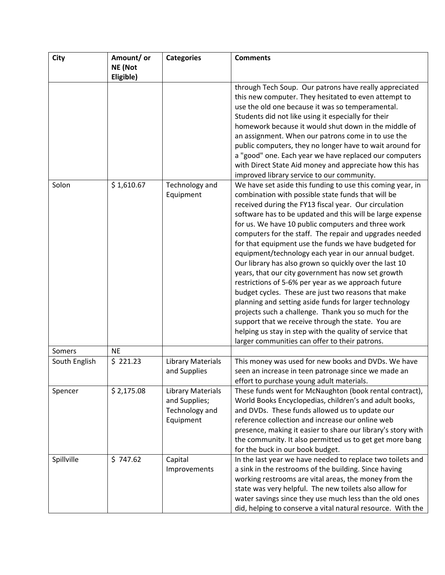| <b>City</b>   | Amount/ or | <b>Categories</b>        | <b>Comments</b>                                              |
|---------------|------------|--------------------------|--------------------------------------------------------------|
|               | NE (Not    |                          |                                                              |
|               | Eligible)  |                          |                                                              |
|               |            |                          | through Tech Soup. Our patrons have really appreciated       |
|               |            |                          | this new computer. They hesitated to even attempt to         |
|               |            |                          | use the old one because it was so temperamental.             |
|               |            |                          | Students did not like using it especially for their          |
|               |            |                          | homework because it would shut down in the middle of         |
|               |            |                          | an assignment. When our patrons come in to use the           |
|               |            |                          | public computers, they no longer have to wait around for     |
|               |            |                          | a "good" one. Each year we have replaced our computers       |
|               |            |                          | with Direct State Aid money and appreciate how this has      |
|               |            |                          | improved library service to our community.                   |
| Solon         | \$1,610.67 | Technology and           | We have set aside this funding to use this coming year, in   |
|               |            | Equipment                | combination with possible state funds that will be           |
|               |            |                          | received during the FY13 fiscal year. Our circulation        |
|               |            |                          | software has to be updated and this will be large expense    |
|               |            |                          | for us. We have 10 public computers and three work           |
|               |            |                          | computers for the staff. The repair and upgrades needed      |
|               |            |                          | for that equipment use the funds we have budgeted for        |
|               |            |                          | equipment/technology each year in our annual budget.         |
|               |            |                          | Our library has also grown so quickly over the last 10       |
|               |            |                          | years, that our city government has now set growth           |
|               |            |                          | restrictions of 5-6% per year as we approach future          |
|               |            |                          | budget cycles. These are just two reasons that make          |
|               |            |                          | planning and setting aside funds for larger technology       |
|               |            |                          | projects such a challenge. Thank you so much for the         |
|               |            |                          | support that we receive through the state. You are           |
|               |            |                          | helping us stay in step with the quality of service that     |
|               |            |                          | larger communities can offer to their patrons.               |
| Somers        | <b>NE</b>  |                          |                                                              |
| South English | \$221.23   | <b>Library Materials</b> | This money was used for new books and DVDs. We have          |
|               |            | and Supplies             | seen an increase in teen patronage since we made an          |
|               |            |                          | effort to purchase young adult materials.                    |
| Spencer       | \$2,175.08 | <b>Library Materials</b> | These funds went for McNaughton (book rental contract),      |
|               |            | and Supplies;            | World Books Encyclopedias, children's and adult books,       |
|               |            | Technology and           | and DVDs. These funds allowed us to update our               |
|               |            | Equipment                | reference collection and increase our online web             |
|               |            |                          | presence, making it easier to share our library's story with |
|               |            |                          | the community. It also permitted us to get get more bang     |
|               |            |                          | for the buck in our book budget.                             |
| Spillville    | \$747.62   | Capital                  | In the last year we have needed to replace two toilets and   |
|               |            | Improvements             | a sink in the restrooms of the building. Since having        |
|               |            |                          | working restrooms are vital areas, the money from the        |
|               |            |                          | state was very helpful. The new toilets also allow for       |
|               |            |                          | water savings since they use much less than the old ones     |
|               |            |                          | did, helping to conserve a vital natural resource. With the  |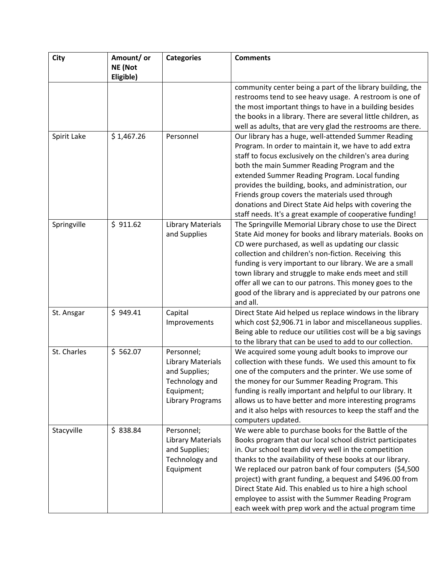| City        | Amount/ or<br>NE (Not | <b>Categories</b>        | <b>Comments</b>                                                                                                    |
|-------------|-----------------------|--------------------------|--------------------------------------------------------------------------------------------------------------------|
|             | Eligible)             |                          | community center being a part of the library building, the                                                         |
|             |                       |                          | restrooms tend to see heavy usage. A restroom is one of                                                            |
|             |                       |                          | the most important things to have in a building besides                                                            |
|             |                       |                          | the books in a library. There are several little children, as                                                      |
|             |                       |                          | well as adults, that are very glad the restrooms are there.                                                        |
| Spirit Lake | \$1,467.26            | Personnel                | Our library has a huge, well-attended Summer Reading                                                               |
|             |                       |                          | Program. In order to maintain it, we have to add extra                                                             |
|             |                       |                          | staff to focus exclusively on the children's area during                                                           |
|             |                       |                          | both the main Summer Reading Program and the                                                                       |
|             |                       |                          | extended Summer Reading Program. Local funding                                                                     |
|             |                       |                          | provides the building, books, and administration, our                                                              |
|             |                       |                          | Friends group covers the materials used through                                                                    |
|             |                       |                          | donations and Direct State Aid helps with covering the                                                             |
|             |                       |                          | staff needs. It's a great example of cooperative funding!                                                          |
| Springville | \$911.62              | <b>Library Materials</b> | The Springville Memorial Library chose to use the Direct                                                           |
|             |                       | and Supplies             | State Aid money for books and library materials. Books on                                                          |
|             |                       |                          | CD were purchased, as well as updating our classic                                                                 |
|             |                       |                          | collection and children's non-fiction. Receiving this                                                              |
|             |                       |                          | funding is very important to our library. We are a small                                                           |
|             |                       |                          | town library and struggle to make ends meet and still                                                              |
|             |                       |                          | offer all we can to our patrons. This money goes to the                                                            |
|             |                       |                          | good of the library and is appreciated by our patrons one                                                          |
|             |                       |                          | and all.                                                                                                           |
| St. Ansgar  | \$949.41              | Capital                  | Direct State Aid helped us replace windows in the library                                                          |
|             |                       | Improvements             | which cost \$2,906.71 in labor and miscellaneous supplies.                                                         |
|             |                       |                          | Being able to reduce our utilities cost will be a big savings                                                      |
|             |                       |                          | to the library that can be used to add to our collection.                                                          |
| St. Charles | \$562.07              | Personnel;               | We acquired some young adult books to improve our                                                                  |
|             |                       | <b>Library Materials</b> | collection with these funds. We used this amount to fix                                                            |
|             |                       | and Supplies;            | one of the computers and the printer. We use some of                                                               |
|             |                       | Technology and           | the money for our Summer Reading Program. This                                                                     |
|             |                       | Equipment;               | funding is really important and helpful to our library. It                                                         |
|             |                       | <b>Library Programs</b>  | allows us to have better and more interesting programs                                                             |
|             |                       |                          | and it also helps with resources to keep the staff and the                                                         |
|             |                       |                          | computers updated.                                                                                                 |
| Stacyville  | \$838.84              | Personnel;               | We were able to purchase books for the Battle of the                                                               |
|             |                       | <b>Library Materials</b> | Books program that our local school district participates                                                          |
|             |                       | and Supplies;            | in. Our school team did very well in the competition                                                               |
|             |                       | Technology and           | thanks to the availability of these books at our library.                                                          |
|             |                       | Equipment                | We replaced our patron bank of four computers (\$4,500<br>project) with grant funding, a bequest and \$496.00 from |
|             |                       |                          |                                                                                                                    |
|             |                       |                          | Direct State Aid. This enabled us to hire a high school                                                            |
|             |                       |                          | employee to assist with the Summer Reading Program                                                                 |
|             |                       |                          | each week with prep work and the actual program time                                                               |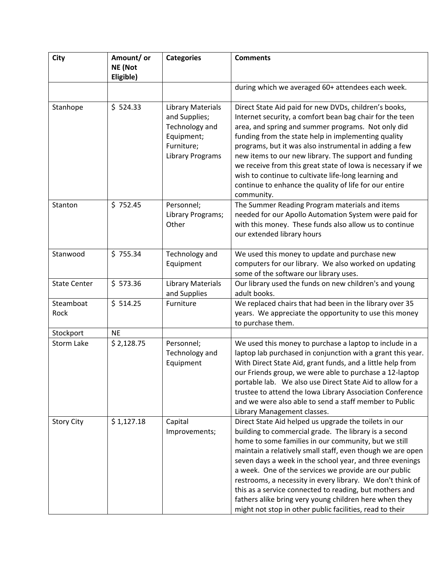| <b>City</b>         | Amount/ or<br>NE (Not | <b>Categories</b>                                                                                                  | <b>Comments</b>                                                                                                                                                                                                                                                                                                                                                                                                                                                                                                                                                                                          |
|---------------------|-----------------------|--------------------------------------------------------------------------------------------------------------------|----------------------------------------------------------------------------------------------------------------------------------------------------------------------------------------------------------------------------------------------------------------------------------------------------------------------------------------------------------------------------------------------------------------------------------------------------------------------------------------------------------------------------------------------------------------------------------------------------------|
|                     | Eligible)             |                                                                                                                    |                                                                                                                                                                                                                                                                                                                                                                                                                                                                                                                                                                                                          |
|                     |                       |                                                                                                                    | during which we averaged 60+ attendees each week.                                                                                                                                                                                                                                                                                                                                                                                                                                                                                                                                                        |
| Stanhope            | \$524.33              | <b>Library Materials</b><br>and Supplies;<br>Technology and<br>Equipment;<br>Furniture;<br><b>Library Programs</b> | Direct State Aid paid for new DVDs, children's books,<br>Internet security, a comfort bean bag chair for the teen<br>area, and spring and summer programs. Not only did<br>funding from the state help in implementing quality<br>programs, but it was also instrumental in adding a few<br>new items to our new library. The support and funding<br>we receive from this great state of Iowa is necessary if we<br>wish to continue to cultivate life-long learning and<br>continue to enhance the quality of life for our entire<br>community.                                                         |
| Stanton             | \$752.45              | Personnel;<br>Library Programs;<br>Other                                                                           | The Summer Reading Program materials and items<br>needed for our Apollo Automation System were paid for<br>with this money. These funds also allow us to continue<br>our extended library hours                                                                                                                                                                                                                                                                                                                                                                                                          |
| Stanwood            | \$755.34              | Technology and<br>Equipment                                                                                        | We used this money to update and purchase new<br>computers for our library. We also worked on updating<br>some of the software our library uses.                                                                                                                                                                                                                                                                                                                                                                                                                                                         |
| <b>State Center</b> | \$573.36              | <b>Library Materials</b><br>and Supplies                                                                           | Our library used the funds on new children's and young<br>adult books.                                                                                                                                                                                                                                                                                                                                                                                                                                                                                                                                   |
| Steamboat<br>Rock   | \$514.25              | Furniture                                                                                                          | We replaced chairs that had been in the library over 35<br>years. We appreciate the opportunity to use this money<br>to purchase them.                                                                                                                                                                                                                                                                                                                                                                                                                                                                   |
| Stockport           | <b>NE</b>             |                                                                                                                    |                                                                                                                                                                                                                                                                                                                                                                                                                                                                                                                                                                                                          |
| Storm Lake          | \$2,128.75            | Personnel;<br>Technology and<br>Equipment                                                                          | We used this money to purchase a laptop to include in a<br>laptop lab purchased in conjunction with a grant this year.<br>With Direct State Aid, grant funds, and a little help from<br>our Friends group, we were able to purchase a 12-laptop<br>portable lab. We also use Direct State Aid to allow for a<br>trustee to attend the Iowa Library Association Conference<br>and we were also able to send a staff member to Public<br>Library Management classes.                                                                                                                                       |
| <b>Story City</b>   | \$1,127.18            | Capital<br>Improvements;                                                                                           | Direct State Aid helped us upgrade the toilets in our<br>building to commercial grade. The library is a second<br>home to some families in our community, but we still<br>maintain a relatively small staff, even though we are open<br>seven days a week in the school year, and three evenings<br>a week. One of the services we provide are our public<br>restrooms, a necessity in every library. We don't think of<br>this as a service connected to reading, but mothers and<br>fathers alike bring very young children here when they<br>might not stop in other public facilities, read to their |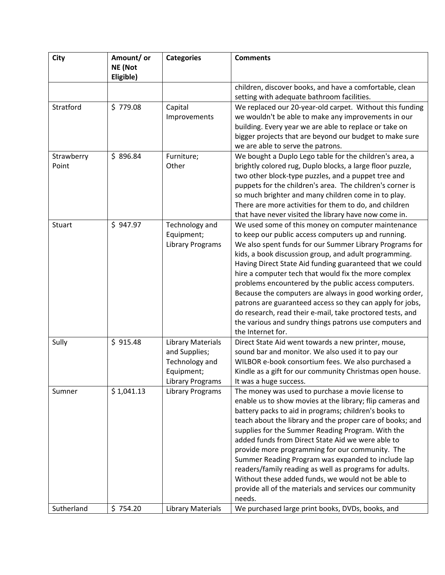| <b>City</b> | Amount/ or           | <b>Categories</b>        | <b>Comments</b>                                                                                              |
|-------------|----------------------|--------------------------|--------------------------------------------------------------------------------------------------------------|
|             | NE (Not<br>Eligible) |                          |                                                                                                              |
|             |                      |                          | children, discover books, and have a comfortable, clean                                                      |
|             |                      |                          | setting with adequate bathroom facilities.                                                                   |
| Stratford   | \$779.08             | Capital                  | We replaced our 20-year-old carpet. Without this funding                                                     |
|             |                      | Improvements             | we wouldn't be able to make any improvements in our                                                          |
|             |                      |                          | building. Every year we are able to replace or take on                                                       |
|             |                      |                          | bigger projects that are beyond our budget to make sure                                                      |
|             |                      |                          | we are able to serve the patrons.                                                                            |
| Strawberry  | \$896.84             | Furniture;               | We bought a Duplo Lego table for the children's area, a                                                      |
| Point       |                      | Other                    | brightly colored rug, Duplo blocks, a large floor puzzle,                                                    |
|             |                      |                          | two other block-type puzzles, and a puppet tree and                                                          |
|             |                      |                          | puppets for the children's area. The children's corner is                                                    |
|             |                      |                          | so much brighter and many children come in to play.                                                          |
|             |                      |                          | There are more activities for them to do, and children                                                       |
|             |                      |                          | that have never visited the library have now come in.                                                        |
| Stuart      | \$947.97             | Technology and           | We used some of this money on computer maintenance                                                           |
|             |                      | Equipment;               | to keep our public access computers up and running.                                                          |
|             |                      | <b>Library Programs</b>  | We also spent funds for our Summer Library Programs for                                                      |
|             |                      |                          | kids, a book discussion group, and adult programming.                                                        |
|             |                      |                          | Having Direct State Aid funding guaranteed that we could                                                     |
|             |                      |                          | hire a computer tech that would fix the more complex<br>problems encountered by the public access computers. |
|             |                      |                          | Because the computers are always in good working order,                                                      |
|             |                      |                          | patrons are guaranteed access so they can apply for jobs,                                                    |
|             |                      |                          | do research, read their e-mail, take proctored tests, and                                                    |
|             |                      |                          | the various and sundry things patrons use computers and                                                      |
|             |                      |                          | the Internet for.                                                                                            |
| Sully       | \$915.48             | <b>Library Materials</b> | Direct State Aid went towards a new printer, mouse,                                                          |
|             |                      | and Supplies;            | sound bar and monitor. We also used it to pay our                                                            |
|             |                      | Technology and           | WILBOR e-book consortium fees. We also purchased a                                                           |
|             |                      | Equipment;               | Kindle as a gift for our community Christmas open house.                                                     |
|             |                      | <b>Library Programs</b>  | It was a huge success.                                                                                       |
| Sumner      | \$1,041.13           | <b>Library Programs</b>  | The money was used to purchase a movie license to                                                            |
|             |                      |                          | enable us to show movies at the library; flip cameras and                                                    |
|             |                      |                          | battery packs to aid in programs; children's books to                                                        |
|             |                      |                          | teach about the library and the proper care of books; and                                                    |
|             |                      |                          | supplies for the Summer Reading Program. With the                                                            |
|             |                      |                          | added funds from Direct State Aid we were able to                                                            |
|             |                      |                          | provide more programming for our community. The                                                              |
|             |                      |                          | Summer Reading Program was expanded to include lap                                                           |
|             |                      |                          | readers/family reading as well as programs for adults.                                                       |
|             |                      |                          | Without these added funds, we would not be able to                                                           |
|             |                      |                          | provide all of the materials and services our community                                                      |
|             |                      |                          | needs.                                                                                                       |
| Sutherland  | \$754.20             | <b>Library Materials</b> | We purchased large print books, DVDs, books, and                                                             |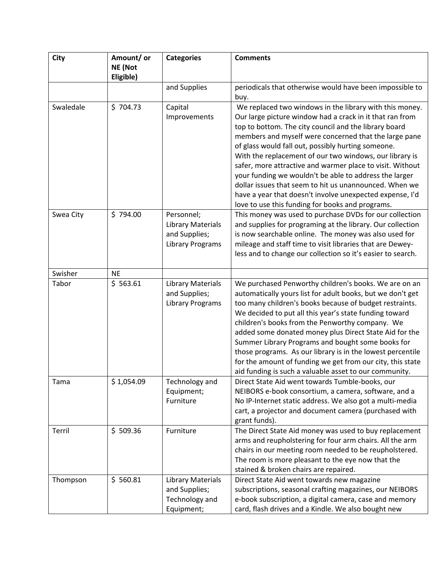| City      | Amount/ or<br>NE (Not | <b>Categories</b>                         | <b>Comments</b>                                                                                                     |
|-----------|-----------------------|-------------------------------------------|---------------------------------------------------------------------------------------------------------------------|
|           | Eligible)             |                                           |                                                                                                                     |
|           |                       | and Supplies                              | periodicals that otherwise would have been impossible to<br>buy.                                                    |
| Swaledale | \$704.73              | Capital                                   | We replaced two windows in the library with this money.                                                             |
|           |                       | Improvements                              | Our large picture window had a crack in it that ran from                                                            |
|           |                       |                                           | top to bottom. The city council and the library board                                                               |
|           |                       |                                           | members and myself were concerned that the large pane                                                               |
|           |                       |                                           | of glass would fall out, possibly hurting someone.                                                                  |
|           |                       |                                           | With the replacement of our two windows, our library is                                                             |
|           |                       |                                           | safer, more attractive and warmer place to visit. Without                                                           |
|           |                       |                                           | your funding we wouldn't be able to address the larger                                                              |
|           |                       |                                           | dollar issues that seem to hit us unannounced. When we                                                              |
|           |                       |                                           | have a year that doesn't involve unexpected expense, I'd<br>love to use this funding for books and programs.        |
| Swea City | \$794.00              | Personnel;                                | This money was used to purchase DVDs for our collection                                                             |
|           |                       | <b>Library Materials</b>                  | and supplies for programing at the library. Our collection                                                          |
|           |                       | and Supplies;                             | is now searchable online. The money was also used for                                                               |
|           |                       | <b>Library Programs</b>                   | mileage and staff time to visit libraries that are Dewey-                                                           |
|           |                       |                                           | less and to change our collection so it's easier to search.                                                         |
|           |                       |                                           |                                                                                                                     |
| Swisher   | <b>NE</b>             |                                           |                                                                                                                     |
| Tabor     | \$563.61              | <b>Library Materials</b><br>and Supplies; | We purchased Penworthy children's books. We are on an<br>automatically yours list for adult books, but we don't get |
|           |                       | <b>Library Programs</b>                   | too many children's books because of budget restraints.                                                             |
|           |                       |                                           | We decided to put all this year's state funding toward                                                              |
|           |                       |                                           | children's books from the Penworthy company. We                                                                     |
|           |                       |                                           | added some donated money plus Direct State Aid for the                                                              |
|           |                       |                                           | Summer Library Programs and bought some books for                                                                   |
|           |                       |                                           | those programs. As our library is in the lowest percentile                                                          |
|           |                       |                                           | for the amount of funding we get from our city, this state                                                          |
|           |                       |                                           | aid funding is such a valuable asset to our community.                                                              |
| Tama      | \$1,054.09            | Technology and                            | Direct State Aid went towards Tumble-books, our                                                                     |
|           |                       | Equipment;<br>Furniture                   | NEIBORS e-book consortium, a camera, software, and a                                                                |
|           |                       |                                           | No IP-Internet static address. We also got a multi-media<br>cart, a projector and document camera (purchased with   |
|           |                       |                                           | grant funds).                                                                                                       |
| Terril    | \$509.36              | Furniture                                 | The Direct State Aid money was used to buy replacement                                                              |
|           |                       |                                           | arms and reupholstering for four arm chairs. All the arm                                                            |
|           |                       |                                           | chairs in our meeting room needed to be reupholstered.                                                              |
|           |                       |                                           | The room is more pleasant to the eye now that the                                                                   |
|           |                       |                                           | stained & broken chairs are repaired.                                                                               |
| Thompson  | \$560.81              | <b>Library Materials</b>                  | Direct State Aid went towards new magazine                                                                          |
|           |                       | and Supplies;                             | subscriptions, seasonal crafting magazines, our NEIBORS                                                             |
|           |                       | Technology and                            | e-book subscription, a digital camera, case and memory                                                              |
|           |                       | Equipment;                                | card, flash drives and a Kindle. We also bought new                                                                 |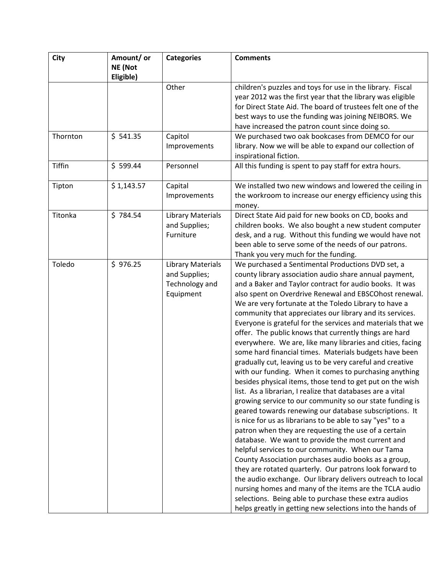| City     | Amount/ or | <b>Categories</b>        | <b>Comments</b>                                                                                                 |
|----------|------------|--------------------------|-----------------------------------------------------------------------------------------------------------------|
|          | NE (Not    |                          |                                                                                                                 |
|          | Eligible)  |                          |                                                                                                                 |
|          |            | Other                    | children's puzzles and toys for use in the library. Fiscal                                                      |
|          |            |                          | year 2012 was the first year that the library was eligible                                                      |
|          |            |                          | for Direct State Aid. The board of trustees felt one of the                                                     |
|          |            |                          | best ways to use the funding was joining NEIBORS. We                                                            |
|          |            |                          | have increased the patron count since doing so.                                                                 |
| Thornton | \$541.35   | Capitol                  | We purchased two oak bookcases from DEMCO for our                                                               |
|          |            | Improvements             | library. Now we will be able to expand our collection of                                                        |
|          |            |                          | inspirational fiction.                                                                                          |
| Tiffin   | \$599.44   | Personnel                | All this funding is spent to pay staff for extra hours.                                                         |
| Tipton   | \$1,143.57 | Capital                  | We installed two new windows and lowered the ceiling in                                                         |
|          |            | Improvements             | the workroom to increase our energy efficiency using this                                                       |
|          |            |                          | money.                                                                                                          |
| Titonka  | \$784.54   | <b>Library Materials</b> | Direct State Aid paid for new books on CD, books and                                                            |
|          |            | and Supplies;            | children books. We also bought a new student computer                                                           |
|          |            | Furniture                | desk, and a rug. Without this funding we would have not                                                         |
|          |            |                          | been able to serve some of the needs of our patrons.                                                            |
|          |            |                          | Thank you very much for the funding.                                                                            |
| Toledo   | \$976.25   | <b>Library Materials</b> | We purchased a Sentimental Productions DVD set, a                                                               |
|          |            | and Supplies;            | county library association audio share annual payment,                                                          |
|          |            | Technology and           | and a Baker and Taylor contract for audio books. It was                                                         |
|          |            | Equipment                | also spent on Overdrive Renewal and EBSCOhost renewal.<br>We are very fortunate at the Toledo Library to have a |
|          |            |                          | community that appreciates our library and its services.                                                        |
|          |            |                          | Everyone is grateful for the services and materials that we                                                     |
|          |            |                          | offer. The public knows that currently things are hard                                                          |
|          |            |                          | everywhere. We are, like many libraries and cities, facing                                                      |
|          |            |                          | some hard financial times. Materials budgets have been                                                          |
|          |            |                          | gradually cut, leaving us to be very careful and creative                                                       |
|          |            |                          | with our funding. When it comes to purchasing anything                                                          |
|          |            |                          | besides physical items, those tend to get put on the wish                                                       |
|          |            |                          | list. As a librarian, I realize that databases are a vital                                                      |
|          |            |                          | growing service to our community so our state funding is                                                        |
|          |            |                          | geared towards renewing our database subscriptions. It                                                          |
|          |            |                          | is nice for us as librarians to be able to say "yes" to a                                                       |
|          |            |                          | patron when they are requesting the use of a certain                                                            |
|          |            |                          | database. We want to provide the most current and                                                               |
|          |            |                          | helpful services to our community. When our Tama                                                                |
|          |            |                          | County Association purchases audio books as a group,                                                            |
|          |            |                          | they are rotated quarterly. Our patrons look forward to                                                         |
|          |            |                          | the audio exchange. Our library delivers outreach to local                                                      |
|          |            |                          | nursing homes and many of the items are the TCLA audio                                                          |
|          |            |                          | selections. Being able to purchase these extra audios                                                           |
|          |            |                          | helps greatly in getting new selections into the hands of                                                       |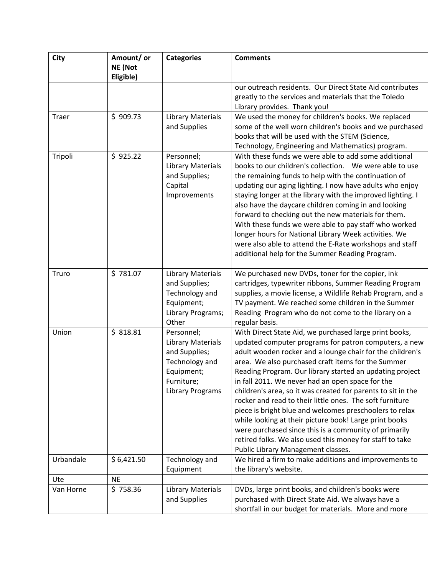| City      | Amount/ or<br>NE (Not | <b>Categories</b>        | <b>Comments</b>                                              |
|-----------|-----------------------|--------------------------|--------------------------------------------------------------|
|           | Eligible)             |                          |                                                              |
|           |                       |                          | our outreach residents. Our Direct State Aid contributes     |
|           |                       |                          | greatly to the services and materials that the Toledo        |
|           |                       |                          | Library provides. Thank you!                                 |
| Traer     | \$909.73              | <b>Library Materials</b> | We used the money for children's books. We replaced          |
|           |                       | and Supplies             | some of the well worn children's books and we purchased      |
|           |                       |                          | books that will be used with the STEM (Science,              |
|           |                       |                          | Technology, Engineering and Mathematics) program.            |
| Tripoli   | \$925.22              | Personnel;               | With these funds we were able to add some additional         |
|           |                       | <b>Library Materials</b> | books to our children's collection. We were able to use      |
|           |                       | and Supplies;            | the remaining funds to help with the continuation of         |
|           |                       | Capital                  | updating our aging lighting. I now have adults who enjoy     |
|           |                       | Improvements             | staying longer at the library with the improved lighting. I  |
|           |                       |                          | also have the daycare children coming in and looking         |
|           |                       |                          | forward to checking out the new materials for them.          |
|           |                       |                          | With these funds we were able to pay staff who worked        |
|           |                       |                          | longer hours for National Library Week activities. We        |
|           |                       |                          | were also able to attend the E-Rate workshops and staff      |
|           |                       |                          | additional help for the Summer Reading Program.              |
| Truro     | \$781.07              | <b>Library Materials</b> | We purchased new DVDs, toner for the copier, ink             |
|           |                       | and Supplies;            | cartridges, typewriter ribbons, Summer Reading Program       |
|           |                       | Technology and           | supplies, a movie license, a Wildlife Rehab Program, and a   |
|           |                       | Equipment;               | TV payment. We reached some children in the Summer           |
|           |                       | Library Programs;        | Reading Program who do not come to the library on a          |
|           |                       | Other                    | regular basis.                                               |
| Union     | \$818.81              | Personnel;               | With Direct State Aid, we purchased large print books,       |
|           |                       | <b>Library Materials</b> | updated computer programs for patron computers, a new        |
|           |                       | and Supplies;            | adult wooden rocker and a lounge chair for the children's    |
|           |                       | Technology and           | area. We also purchased craft items for the Summer           |
|           |                       | Equipment;               | Reading Program. Our library started an updating project     |
|           |                       | Furniture;               | in fall 2011. We never had an open space for the             |
|           |                       | Library Programs         | children's area, so it was created for parents to sit in the |
|           |                       |                          | rocker and read to their little ones. The soft furniture     |
|           |                       |                          | piece is bright blue and welcomes preschoolers to relax      |
|           |                       |                          | while looking at their picture book! Large print books       |
|           |                       |                          | were purchased since this is a community of primarily        |
|           |                       |                          | retired folks. We also used this money for staff to take     |
|           |                       |                          | Public Library Management classes.                           |
| Urbandale | \$6,421.50            | Technology and           | We hired a firm to make additions and improvements to        |
|           |                       | Equipment                | the library's website.                                       |
| Ute       | <b>NE</b>             |                          |                                                              |
| Van Horne | \$758.36              | <b>Library Materials</b> | DVDs, large print books, and children's books were           |
|           |                       | and Supplies             | purchased with Direct State Aid. We always have a            |
|           |                       |                          | shortfall in our budget for materials. More and more         |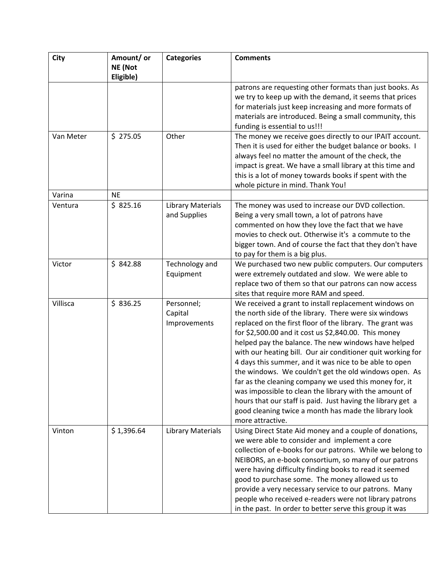| <b>City</b> | Amount/ or | <b>Categories</b>        | <b>Comments</b>                                                                                                 |
|-------------|------------|--------------------------|-----------------------------------------------------------------------------------------------------------------|
|             | NE (Not    |                          |                                                                                                                 |
|             | Eligible)  |                          |                                                                                                                 |
|             |            |                          | patrons are requesting other formats than just books. As                                                        |
|             |            |                          | we try to keep up with the demand, it seems that prices                                                         |
|             |            |                          | for materials just keep increasing and more formats of                                                          |
|             |            |                          | materials are introduced. Being a small community, this                                                         |
|             |            |                          | funding is essential to us!!!                                                                                   |
| Van Meter   | \$275.05   | Other                    | The money we receive goes directly to our IPAIT account.                                                        |
|             |            |                          | Then it is used for either the budget balance or books. I<br>always feel no matter the amount of the check, the |
|             |            |                          | impact is great. We have a small library at this time and                                                       |
|             |            |                          | this is a lot of money towards books if spent with the                                                          |
|             |            |                          | whole picture in mind. Thank You!                                                                               |
| Varina      | <b>NE</b>  |                          |                                                                                                                 |
| Ventura     | \$825.16   | <b>Library Materials</b> | The money was used to increase our DVD collection.                                                              |
|             |            | and Supplies             | Being a very small town, a lot of patrons have                                                                  |
|             |            |                          | commented on how they love the fact that we have                                                                |
|             |            |                          | movies to check out. Otherwise it's a commute to the                                                            |
|             |            |                          | bigger town. And of course the fact that they don't have                                                        |
|             |            |                          | to pay for them is a big plus.                                                                                  |
| Victor      | \$842.88   | Technology and           | We purchased two new public computers. Our computers                                                            |
|             |            | Equipment                | were extremely outdated and slow. We were able to                                                               |
|             |            |                          | replace two of them so that our patrons can now access                                                          |
|             |            |                          | sites that require more RAM and speed.                                                                          |
| Villisca    | \$836.25   | Personnel;               | We received a grant to install replacement windows on                                                           |
|             |            | Capital                  | the north side of the library. There were six windows                                                           |
|             |            | Improvements             | replaced on the first floor of the library. The grant was                                                       |
|             |            |                          | for \$2,500.00 and it cost us \$2,840.00. This money                                                            |
|             |            |                          | helped pay the balance. The new windows have helped                                                             |
|             |            |                          | with our heating bill. Our air conditioner quit working for                                                     |
|             |            |                          | 4 days this summer, and it was nice to be able to open                                                          |
|             |            |                          | the windows. We couldn't get the old windows open. As<br>far as the cleaning company we used this money for, it |
|             |            |                          | was impossible to clean the library with the amount of                                                          |
|             |            |                          | hours that our staff is paid. Just having the library get a                                                     |
|             |            |                          | good cleaning twice a month has made the library look                                                           |
|             |            |                          | more attractive.                                                                                                |
| Vinton      | \$1,396.64 | <b>Library Materials</b> | Using Direct State Aid money and a couple of donations,                                                         |
|             |            |                          | we were able to consider and implement a core                                                                   |
|             |            |                          | collection of e-books for our patrons. While we belong to                                                       |
|             |            |                          | NEIBORS, an e-book consortium, so many of our patrons                                                           |
|             |            |                          | were having difficulty finding books to read it seemed                                                          |
|             |            |                          | good to purchase some. The money allowed us to                                                                  |
|             |            |                          | provide a very necessary service to our patrons. Many                                                           |
|             |            |                          | people who received e-readers were not library patrons                                                          |
|             |            |                          | in the past. In order to better serve this group it was                                                         |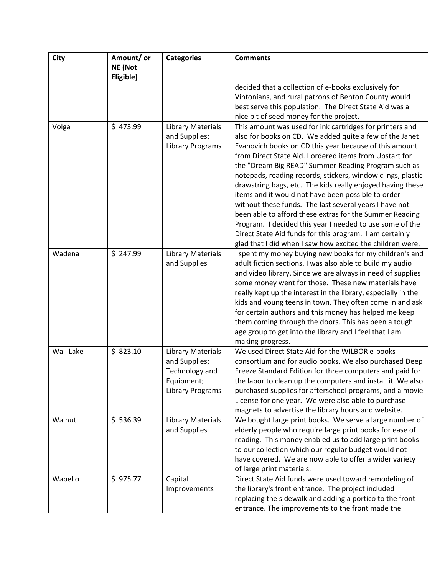| City      | Amount/ or | <b>Categories</b>                        | <b>Comments</b>                                                                                                      |
|-----------|------------|------------------------------------------|----------------------------------------------------------------------------------------------------------------------|
|           | NE (Not    |                                          |                                                                                                                      |
|           | Eligible)  |                                          |                                                                                                                      |
|           |            |                                          | decided that a collection of e-books exclusively for<br>Vintonians, and rural patrons of Benton County would         |
|           |            |                                          | best serve this population. The Direct State Aid was a                                                               |
|           |            |                                          | nice bit of seed money for the project.                                                                              |
| Volga     | \$473.99   | <b>Library Materials</b>                 | This amount was used for ink cartridges for printers and                                                             |
|           |            | and Supplies;                            | also for books on CD. We added quite a few of the Janet                                                              |
|           |            | <b>Library Programs</b>                  | Evanovich books on CD this year because of this amount                                                               |
|           |            |                                          | from Direct State Aid. I ordered items from Upstart for                                                              |
|           |            |                                          | the "Dream Big READ" Summer Reading Program such as                                                                  |
|           |            |                                          | notepads, reading records, stickers, window clings, plastic                                                          |
|           |            |                                          | drawstring bags, etc. The kids really enjoyed having these                                                           |
|           |            |                                          | items and it would not have been possible to order                                                                   |
|           |            |                                          | without these funds. The last several years I have not                                                               |
|           |            |                                          | been able to afford these extras for the Summer Reading                                                              |
|           |            |                                          | Program. I decided this year I needed to use some of the                                                             |
|           |            |                                          | Direct State Aid funds for this program. I am certainly                                                              |
| Wadena    | \$247.99   |                                          | glad that I did when I saw how excited the children were.                                                            |
|           |            | <b>Library Materials</b><br>and Supplies | I spent my money buying new books for my children's and<br>adult fiction sections. I was also able to build my audio |
|           |            |                                          | and video library. Since we are always in need of supplies                                                           |
|           |            |                                          | some money went for those. These new materials have                                                                  |
|           |            |                                          | really kept up the interest in the library, especially in the                                                        |
|           |            |                                          | kids and young teens in town. They often come in and ask                                                             |
|           |            |                                          | for certain authors and this money has helped me keep                                                                |
|           |            |                                          | them coming through the doors. This has been a tough                                                                 |
|           |            |                                          | age group to get into the library and I feel that I am                                                               |
|           |            |                                          | making progress.                                                                                                     |
| Wall Lake | \$823.10   | <b>Library Materials</b>                 | We used Direct State Aid for the WILBOR e-books                                                                      |
|           |            | and Supplies;                            | consortium and for audio books. We also purchased Deep                                                               |
|           |            | Technology and                           | Freeze Standard Edition for three computers and paid for                                                             |
|           |            | Equipment;                               | the labor to clean up the computers and install it. We also                                                          |
|           |            | <b>Library Programs</b>                  | purchased supplies for afterschool programs, and a movie                                                             |
|           |            |                                          | License for one year. We were also able to purchase<br>magnets to advertise the library hours and website.           |
| Walnut    | \$536.39   | <b>Library Materials</b>                 | We bought large print books. We serve a large number of                                                              |
|           |            | and Supplies                             | elderly people who require large print books for ease of                                                             |
|           |            |                                          | reading. This money enabled us to add large print books                                                              |
|           |            |                                          | to our collection which our regular budget would not                                                                 |
|           |            |                                          | have covered. We are now able to offer a wider variety                                                               |
|           |            |                                          | of large print materials.                                                                                            |
| Wapello   | \$975.77   | Capital                                  | Direct State Aid funds were used toward remodeling of                                                                |
|           |            | Improvements                             | the library's front entrance. The project included                                                                   |
|           |            |                                          | replacing the sidewalk and adding a portico to the front                                                             |
|           |            |                                          | entrance. The improvements to the front made the                                                                     |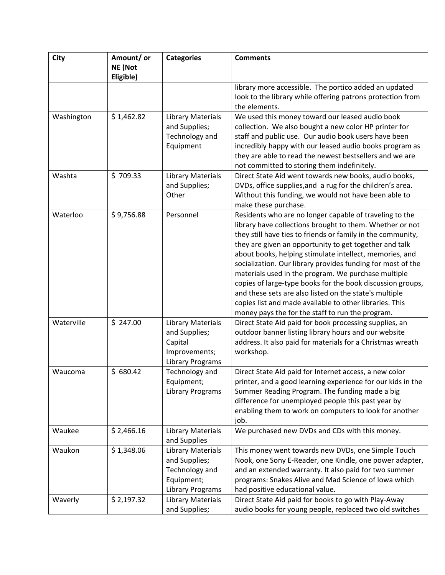| City       | Amount/ or           | <b>Categories</b>                         | <b>Comments</b>                                                                                                       |
|------------|----------------------|-------------------------------------------|-----------------------------------------------------------------------------------------------------------------------|
|            | NE (Not<br>Eligible) |                                           |                                                                                                                       |
|            |                      |                                           | library more accessible. The portico added an updated                                                                 |
|            |                      |                                           | look to the library while offering patrons protection from                                                            |
|            |                      |                                           | the elements.                                                                                                         |
| Washington | \$1,462.82           | <b>Library Materials</b>                  | We used this money toward our leased audio book                                                                       |
|            |                      | and Supplies;                             | collection. We also bought a new color HP printer for                                                                 |
|            |                      | Technology and                            | staff and public use. Our audio book users have been                                                                  |
|            |                      | Equipment                                 | incredibly happy with our leased audio books program as                                                               |
|            |                      |                                           | they are able to read the newest bestsellers and we are                                                               |
| Washta     | \$709.33             |                                           | not committed to storing them indefinitely.<br>Direct State Aid went towards new books, audio books,                  |
|            |                      | <b>Library Materials</b><br>and Supplies; | DVDs, office supplies, and a rug for the children's area.                                                             |
|            |                      | Other                                     | Without this funding, we would not have been able to                                                                  |
|            |                      |                                           | make these purchase.                                                                                                  |
| Waterloo   | \$9,756.88           | Personnel                                 | Residents who are no longer capable of traveling to the                                                               |
|            |                      |                                           | library have collections brought to them. Whether or not                                                              |
|            |                      |                                           | they still have ties to friends or family in the community,                                                           |
|            |                      |                                           | they are given an opportunity to get together and talk                                                                |
|            |                      |                                           | about books, helping stimulate intellect, memories, and                                                               |
|            |                      |                                           | socialization. Our library provides funding for most of the                                                           |
|            |                      |                                           | materials used in the program. We purchase multiple<br>copies of large-type books for the book discussion groups,     |
|            |                      |                                           | and these sets are also listed on the state's multiple                                                                |
|            |                      |                                           | copies list and made available to other libraries. This                                                               |
|            |                      |                                           | money pays the for the staff to run the program.                                                                      |
| Waterville | \$247.00             | <b>Library Materials</b>                  | Direct State Aid paid for book processing supplies, an                                                                |
|            |                      | and Supplies;                             | outdoor banner listing library hours and our website                                                                  |
|            |                      | Capital                                   | address. It also paid for materials for a Christmas wreath                                                            |
|            |                      | Improvements;                             | workshop.                                                                                                             |
|            |                      | Library Programs                          |                                                                                                                       |
| Waucoma    | \$680.42             | Technology and<br>Equipment;              | Direct State Aid paid for Internet access, a new color<br>printer, and a good learning experience for our kids in the |
|            |                      | <b>Library Programs</b>                   | Summer Reading Program. The funding made a big                                                                        |
|            |                      |                                           | difference for unemployed people this past year by                                                                    |
|            |                      |                                           | enabling them to work on computers to look for another                                                                |
|            |                      |                                           | job.                                                                                                                  |
| Waukee     | \$2,466.16           | <b>Library Materials</b>                  | We purchased new DVDs and CDs with this money.                                                                        |
|            |                      | and Supplies                              |                                                                                                                       |
| Waukon     | \$1,348.06           | <b>Library Materials</b>                  | This money went towards new DVDs, one Simple Touch                                                                    |
|            |                      | and Supplies;                             | Nook, one Sony E-Reader, one Kindle, one power adapter,                                                               |
|            |                      | Technology and                            | and an extended warranty. It also paid for two summer                                                                 |
|            |                      | Equipment;<br>Library Programs            | programs: Snakes Alive and Mad Science of Iowa which<br>had positive educational value.                               |
| Waverly    | \$2,197.32           | Library Materials                         | Direct State Aid paid for books to go with Play-Away                                                                  |
|            |                      | and Supplies;                             | audio books for young people, replaced two old switches                                                               |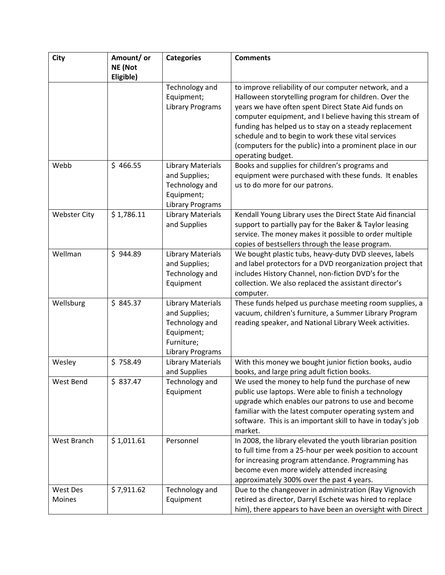| City                | Amount/ or | <b>Categories</b>        | <b>Comments</b>                                             |
|---------------------|------------|--------------------------|-------------------------------------------------------------|
|                     | NE (Not    |                          |                                                             |
|                     | Eligible)  |                          |                                                             |
|                     |            | Technology and           | to improve reliability of our computer network, and a       |
|                     |            | Equipment;               | Halloween storytelling program for children. Over the       |
|                     |            | Library Programs         | years we have often spent Direct State Aid funds on         |
|                     |            |                          | computer equipment, and I believe having this stream of     |
|                     |            |                          | funding has helped us to stay on a steady replacement       |
|                     |            |                          | schedule and to begin to work these vital services          |
|                     |            |                          | (computers for the public) into a prominent place in our    |
|                     |            |                          | operating budget.                                           |
| Webb                | \$466.55   | <b>Library Materials</b> | Books and supplies for children's programs and              |
|                     |            | and Supplies;            | equipment were purchased with these funds. It enables       |
|                     |            | Technology and           | us to do more for our patrons.                              |
|                     |            | Equipment;               |                                                             |
|                     |            | <b>Library Programs</b>  |                                                             |
| <b>Webster City</b> | \$1,786.11 | <b>Library Materials</b> | Kendall Young Library uses the Direct State Aid financial   |
|                     |            | and Supplies             | support to partially pay for the Baker & Taylor leasing     |
|                     |            |                          | service. The money makes it possible to order multiple      |
|                     |            |                          | copies of bestsellers through the lease program.            |
| Wellman             | \$944.89   | <b>Library Materials</b> | We bought plastic tubs, heavy-duty DVD sleeves, labels      |
|                     |            | and Supplies;            | and label protectors for a DVD reorganization project that  |
|                     |            | Technology and           | includes History Channel, non-fiction DVD's for the         |
|                     |            | Equipment                | collection. We also replaced the assistant director's       |
|                     |            |                          | computer.                                                   |
| Wellsburg           | \$845.37   | <b>Library Materials</b> | These funds helped us purchase meeting room supplies, a     |
|                     |            | and Supplies;            | vacuum, children's furniture, a Summer Library Program      |
|                     |            | Technology and           | reading speaker, and National Library Week activities.      |
|                     |            | Equipment;               |                                                             |
|                     |            | Furniture;               |                                                             |
|                     |            | <b>Library Programs</b>  |                                                             |
| Wesley              | \$758.49   | <b>Library Materials</b> | With this money we bought junior fiction books, audio       |
|                     |            | and Supplies             | books, and large pring adult fiction books.                 |
| West Bend           | \$837.47   | Technology and           | We used the money to help fund the purchase of new          |
|                     |            | Equipment                | public use laptops. Were able to finish a technology        |
|                     |            |                          | upgrade which enables our patrons to use and become         |
|                     |            |                          | familiar with the latest computer operating system and      |
|                     |            |                          | software. This is an important skill to have in today's job |
|                     |            |                          | market.                                                     |
| West Branch         | \$1,011.61 | Personnel                | In 2008, the library elevated the youth librarian position  |
|                     |            |                          | to full time from a 25-hour per week position to account    |
|                     |            |                          | for increasing program attendance. Programming has          |
|                     |            |                          | become even more widely attended increasing                 |
|                     |            |                          | approximately 300% over the past 4 years.                   |
| West Des            | \$7,911.62 | Technology and           | Due to the changeover in administration (Ray Vignovich      |
| Moines              |            | Equipment                | retired as director, Darryl Eschete was hired to replace    |
|                     |            |                          | him), there appears to have been an oversight with Direct   |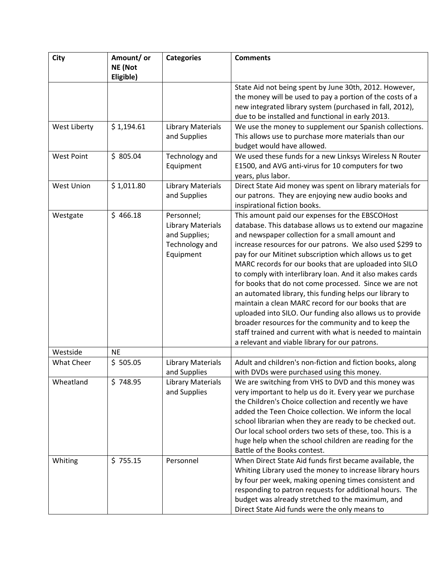| <b>City</b>       | Amount/ or | <b>Categories</b>        | <b>Comments</b>                                                                                                     |
|-------------------|------------|--------------------------|---------------------------------------------------------------------------------------------------------------------|
|                   | NE (Not    |                          |                                                                                                                     |
|                   | Eligible)  |                          |                                                                                                                     |
|                   |            |                          | State Aid not being spent by June 30th, 2012. However,<br>the money will be used to pay a portion of the costs of a |
|                   |            |                          | new integrated library system (purchased in fall, 2012),                                                            |
|                   |            |                          | due to be installed and functional in early 2013.                                                                   |
| West Liberty      | \$1,194.61 | <b>Library Materials</b> | We use the money to supplement our Spanish collections.                                                             |
|                   |            | and Supplies             | This allows use to purchase more materials than our                                                                 |
|                   |            |                          | budget would have allowed.                                                                                          |
| <b>West Point</b> | \$805.04   | Technology and           | We used these funds for a new Linksys Wireless N Router                                                             |
|                   |            | Equipment                | E1500, and AVG anti-virus for 10 computers for two                                                                  |
|                   |            |                          | years, plus labor.                                                                                                  |
| <b>West Union</b> | \$1,011.80 | <b>Library Materials</b> | Direct State Aid money was spent on library materials for                                                           |
|                   |            | and Supplies             | our patrons. They are enjoying new audio books and                                                                  |
|                   |            |                          | inspirational fiction books.                                                                                        |
| Westgate          | \$466.18   | Personnel;               | This amount paid our expenses for the EBSCOHost                                                                     |
|                   |            | <b>Library Materials</b> | database. This database allows us to extend our magazine                                                            |
|                   |            | and Supplies;            | and newspaper collection for a small amount and                                                                     |
|                   |            | Technology and           | increase resources for our patrons. We also used \$299 to                                                           |
|                   |            | Equipment                | pay for our Mitinet subscription which allows us to get                                                             |
|                   |            |                          | MARC records for our books that are uploaded into SILO                                                              |
|                   |            |                          | to comply with interlibrary loan. And it also makes cards                                                           |
|                   |            |                          | for books that do not come processed. Since we are not<br>an automated library, this funding helps our library to   |
|                   |            |                          | maintain a clean MARC record for our books that are                                                                 |
|                   |            |                          | uploaded into SILO. Our funding also allows us to provide                                                           |
|                   |            |                          | broader resources for the community and to keep the                                                                 |
|                   |            |                          | staff trained and current with what is needed to maintain                                                           |
|                   |            |                          | a relevant and viable library for our patrons.                                                                      |
| Westside          | <b>NE</b>  |                          |                                                                                                                     |
| What Cheer        | \$505.05   | <b>Library Materials</b> | Adult and children's non-fiction and fiction books, along                                                           |
|                   |            | and Supplies             | with DVDs were purchased using this money.                                                                          |
| Wheatland         | \$748.95   | <b>Library Materials</b> | We are switching from VHS to DVD and this money was                                                                 |
|                   |            | and Supplies             | very important to help us do it. Every year we purchase                                                             |
|                   |            |                          | the Children's Choice collection and recently we have                                                               |
|                   |            |                          | added the Teen Choice collection. We inform the local                                                               |
|                   |            |                          | school librarian when they are ready to be checked out.                                                             |
|                   |            |                          | Our local school orders two sets of these, too. This is a                                                           |
|                   |            |                          | huge help when the school children are reading for the                                                              |
|                   |            |                          | Battle of the Books contest.                                                                                        |
| Whiting           | \$755.15   | Personnel                | When Direct State Aid funds first became available, the                                                             |
|                   |            |                          | Whiting Library used the money to increase library hours                                                            |
|                   |            |                          | by four per week, making opening times consistent and                                                               |
|                   |            |                          | responding to patron requests for additional hours. The                                                             |
|                   |            |                          | budget was already stretched to the maximum, and                                                                    |
|                   |            |                          | Direct State Aid funds were the only means to                                                                       |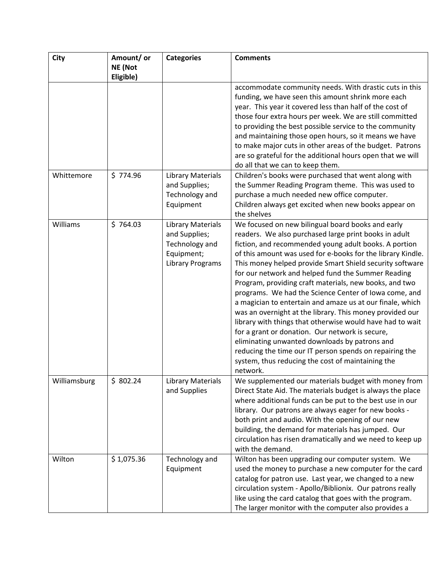| <b>City</b>  | Amount/ or | <b>Categories</b>                                                                                    | <b>Comments</b>                                                                                                                                                                                                                                                                                                                                                                                                                                                                                                                                                                                                                                                                                                                                                                                                                                                                               |
|--------------|------------|------------------------------------------------------------------------------------------------------|-----------------------------------------------------------------------------------------------------------------------------------------------------------------------------------------------------------------------------------------------------------------------------------------------------------------------------------------------------------------------------------------------------------------------------------------------------------------------------------------------------------------------------------------------------------------------------------------------------------------------------------------------------------------------------------------------------------------------------------------------------------------------------------------------------------------------------------------------------------------------------------------------|
|              | NE (Not    |                                                                                                      |                                                                                                                                                                                                                                                                                                                                                                                                                                                                                                                                                                                                                                                                                                                                                                                                                                                                                               |
|              | Eligible)  |                                                                                                      | accommodate community needs. With drastic cuts in this<br>funding, we have seen this amount shrink more each<br>year. This year it covered less than half of the cost of<br>those four extra hours per week. We are still committed<br>to providing the best possible service to the community                                                                                                                                                                                                                                                                                                                                                                                                                                                                                                                                                                                                |
|              |            |                                                                                                      | and maintaining those open hours, so it means we have<br>to make major cuts in other areas of the budget. Patrons<br>are so grateful for the additional hours open that we will<br>do all that we can to keep them.                                                                                                                                                                                                                                                                                                                                                                                                                                                                                                                                                                                                                                                                           |
| Whittemore   | \$774.96   | <b>Library Materials</b><br>and Supplies;<br>Technology and<br>Equipment                             | Children's books were purchased that went along with<br>the Summer Reading Program theme. This was used to<br>purchase a much needed new office computer.<br>Children always get excited when new books appear on<br>the shelves                                                                                                                                                                                                                                                                                                                                                                                                                                                                                                                                                                                                                                                              |
| Williams     | \$764.03   | <b>Library Materials</b><br>and Supplies;<br>Technology and<br>Equipment;<br><b>Library Programs</b> | We focused on new bilingual board books and early<br>readers. We also purchased large print books in adult<br>fiction, and recommended young adult books. A portion<br>of this amount was used for e-books for the library Kindle.<br>This money helped provide Smart Shield security software<br>for our network and helped fund the Summer Reading<br>Program, providing craft materials, new books, and two<br>programs. We had the Science Center of Iowa come, and<br>a magician to entertain and amaze us at our finale, which<br>was an overnight at the library. This money provided our<br>library with things that otherwise would have had to wait<br>for a grant or donation. Our network is secure,<br>eliminating unwanted downloads by patrons and<br>reducing the time our IT person spends on repairing the<br>system, thus reducing the cost of maintaining the<br>network. |
| Williamsburg | \$802.24   | <b>Library Materials</b><br>and Supplies                                                             | We supplemented our materials budget with money from<br>Direct State Aid. The materials budget is always the place<br>where additional funds can be put to the best use in our<br>library. Our patrons are always eager for new books -<br>both print and audio. With the opening of our new<br>building, the demand for materials has jumped. Our<br>circulation has risen dramatically and we need to keep up<br>with the demand.                                                                                                                                                                                                                                                                                                                                                                                                                                                           |
| Wilton       | \$1,075.36 | Technology and<br>Equipment                                                                          | Wilton has been upgrading our computer system. We<br>used the money to purchase a new computer for the card<br>catalog for patron use. Last year, we changed to a new<br>circulation system - Apollo/Biblionix. Our patrons really<br>like using the card catalog that goes with the program.<br>The larger monitor with the computer also provides a                                                                                                                                                                                                                                                                                                                                                                                                                                                                                                                                         |